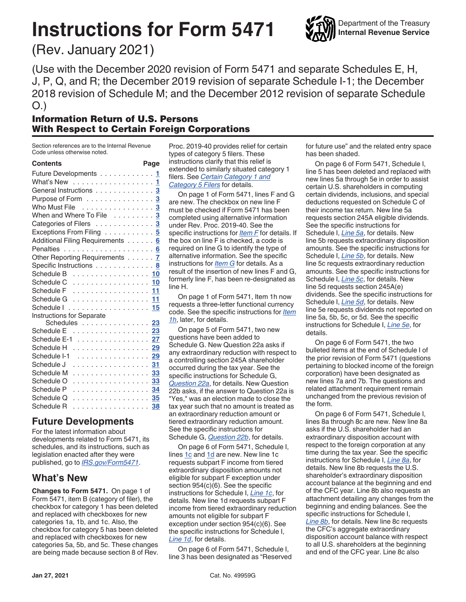# **Instructions for Form 5471**



(Rev. January 2021)

(Use with the December 2020 revision of Form 5471 and separate Schedules E, H, J, P, Q, and R; the December 2019 revision of separate Schedule I-1; the December 2018 revision of Schedule M; and the December 2012 revision of separate Schedule O.)

# Information Return of U.S. Persons With Respect to Certain Foreign Corporations

Section references are to the Internal Revenue Code unless otherwise noted.

| <b>Contents</b>                                                        | Page                 |
|------------------------------------------------------------------------|----------------------|
| Future Developments                                                    | 1                    |
| What's New                                                             | 1                    |
| General Instructions                                                   | 3                    |
| Purpose of Form $\ldots \ldots \ldots \ldots$                          | 3                    |
| Who Must File                                                          | 3<br>L.              |
| When and Where To File                                                 | 3                    |
| Categories of Filers                                                   | $\overline{3}$<br>l. |
| Exceptions From Filing 5                                               |                      |
| Additional Filing Requirements                                         | 6                    |
|                                                                        |                      |
| Other Reporting Requirements 7                                         |                      |
| Specific Instructions<br>$\sim$ 100 $\sim$ 100 $\sim$                  | . 8                  |
| Schedule $B_1, \ldots, A_n, \ldots, A_n$                               | 10                   |
| Schedule C<br>.                                                        | 10                   |
| Schedule F<br>.                                                        | 11                   |
| Schedule G<br>.                                                        | 11                   |
| Schedule I<br>.                                                        | 15                   |
| Instructions for Separate                                              |                      |
| Schedules                                                              | 23                   |
| $S$ chedule $E$ , $\ldots$ , $\ldots$ , $\ldots$ , $\ldots$ , $\ldots$ | 23                   |
| Schedule E-1                                                           | 27                   |
| Schedule H<br>.                                                        | 29                   |
| Schedule I-1<br>.                                                      | 29                   |
| Schedule J<br>.                                                        | 31                   |
| Schedule M<br>.                                                        | 33                   |
| Schedule O<br>.                                                        | 33                   |
| Schedule P<br>.                                                        | 34                   |
| Schedule Q<br>.                                                        | 35                   |
| Schedule R<br>.                                                        | 38                   |
|                                                                        |                      |

# **Future Developments**

For the latest information about developments related to Form 5471, its schedules, and its instructions, such as legislation enacted after they were published, go to *[IRS.gov/Form5471](https://www.irs.gov/form5471)*.

# **What's New**

**Changes to Form 5471.** On page 1 of Form 5471, item B (category of filer), the checkbox for category 1 has been deleted and replaced with checkboxes for new categories 1a, 1b, and 1c. Also, the checkbox for category 5 has been deleted and replaced with checkboxes for new categories 5a, 5b, and 5c. These changes are being made because section 8 of Rev. Proc. 2019-40 provides relief for certain types of category 5 filers. These instructions clarify that this relief is extended to similarly situated category 1 filers. See *[Certain Category 1 and](#page-3-0)  [Category 5 Filers](#page-3-0)* for details.

On page 1 of Form 5471, lines F and G are new. The checkbox on new line F must be checked if Form 5471 has been completed using alternative information under Rev. Proc. 2019-40. See the specific instructions for *[Item F](#page-7-0)* for details. If the box on line F is checked, a code is required on line G to identify the type of alternative information. See the specific instructions for *[Item G](#page-8-0)* for details. As a result of the insertion of new lines F and G, formerly line F, has been re-designated as line H.

On page 1 of Form 5471, Item 1h now requests a three-letter functional currency code. See the specific instructions for *[Item](#page-9-0) [1h](#page-9-0)*, later, for details.

On page 5 of Form 5471, two new questions have been added to Schedule G. New Question 22a asks if any extraordinary reduction with respect to a controlling section 245A shareholder occurred during the tax year. See the specific instructions for Schedule G, *[Question 22a](#page-14-0)*, for details. New Question 22b asks, if the answer to Question 22a is "Yes," was an election made to close the tax year such that no amount is treated as an extraordinary reduction amount or tiered extraordinary reduction amount. See the specific instructions for Schedule G, *[Question 22b](#page-14-0)*, for details.

On page 6 of Form 5471, Schedule I, lines [1c](#page-15-0) and [1d](#page-15-0) are new. New line 1c requests subpart F income from tiered extraordinary disposition amounts not eligible for subpart F exception under section 954(c)(6). See the specific instructions for Schedule I, *[Line 1c](#page-15-0)*, for details. New line 1d requests subpart F income from tiered extraordinary reduction amounts not eligible for subpart F exception under section 954(c)(6). See the specific instructions for Schedule I, *[Line 1d](#page-15-0)*, for details.

On page 6 of Form 5471, Schedule I, line 3 has been designated as "Reserved for future use" and the related entry space has been shaded.

On page 6 of Form 5471, Schedule I, line 5 has been deleted and replaced with new lines 5a through 5e in order to assist certain U.S. shareholders in computing certain dividends, inclusions, and special deductions requested on Schedule C of their income tax return. New line 5a requests section 245A eligible dividends. See the specific instructions for Schedule I, *[Line 5a](#page-15-0)*, for details. New line 5b requests extraordinary disposition amounts. See the specific instructions for Schedule I, *[Line 5b](#page-15-0)*, for details. New line 5c requests extraordinary reduction amounts. See the specific instructions for Schedule I, *[Line 5c](#page-15-0)*, for details. New line 5d requests section 245A(e) dividends. See the specific instructions for Schedule I, *[Line 5d](#page-15-0)*, for details. New line 5e requests dividends not reported on line 5a, 5b, 5c, or 5d. See the specific instructions for Schedule I, *[Line 5e](#page-16-0)*, for details.

On page 6 of Form 5471, the two bulleted items at the end of Schedule I of the prior revision of Form 5471 (questions pertaining to blocked income of the foreign corporation) have been designated as new lines 7a and 7b. The questions and related attachment requirement remain unchanged from the previous revision of the form.

On page 6 of Form 5471, Schedule I, lines 8a through 8c are new. New line 8a asks if the U.S. shareholder had an extraordinary disposition account with respect to the foreign corporation at any time during the tax year. See the specific instructions for Schedule I, *[Line 8a](#page-16-0)*, for details. New line 8b requests the U.S. shareholder's extraordinary disposition account balance at the beginning and end of the CFC year. Line 8b also requests an attachment detailing any changes from the beginning and ending balances. See the specific instructions for Schedule I, *[Line 8b](#page-16-0)*, for details. New line 8c requests the CFC's aggregate extraordinary disposition account balance with respect to all U.S. shareholders at the beginning and end of the CFC year. Line 8c also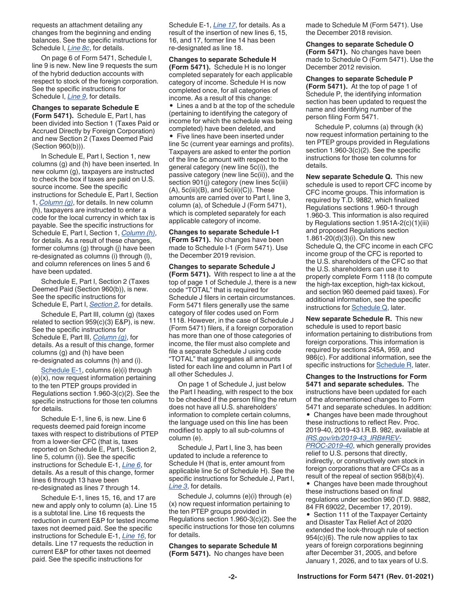requests an attachment detailing any changes from the beginning and ending balances. See the specific instructions for Schedule I, *[Line 8c](#page-16-0)*, for details.

On page 6 of Form 5471, Schedule I, line 9 is new. New line 9 requests the sum of the hybrid deduction accounts with respect to stock of the foreign corporation. See the specific instructions for Schedule I, *[Line 9](#page-16-0)*, for details.

#### **Changes to separate Schedule E**

**(Form 5471).** Schedule E, Part I, has been divided into Section 1 (Taxes Paid or Accrued Directly by Foreign Corporation) and new Section 2 (Taxes Deemed Paid (Section 960(b))).

In Schedule E, Part I, Section 1, new columns (g) and (h) have been inserted. In new column (g), taxpayers are instructed to check the box if taxes are paid on U.S. source income. See the specific instructions for Schedule E, Part I, Section 1, *[Column \(g\)](#page-24-0)*, for details. In new column (h), taxpayers are instructed to enter a code for the local currency in which tax is payable. See the specific instructions for Schedule E, Part I, Section 1, *[Column \(h\)](#page-24-0)*, for details. As a result of these changes, former columns (g) through (j) have been re-designated as columns (i) through (l), and column references on lines 5 and 6 have been updated.

Schedule E, Part I, Section 2 (Taxes Deemed Paid (Section 960(b)), is new. See the specific instructions for Schedule E, Part I, *[Section 2](#page-24-0)*, for details.

Schedule E, Part III, column (g) (taxes related to section  $959(c)(3)$  E&P), is new. See the specific instructions for Schedule E, Part III, *[Column \(g\)](#page-25-0)*, for details. As a result of this change, former columns (g) and (h) have been re-designated as columns (h) and (i).

[Schedule E-1,](#page-26-0) columns (e)(i) through (e)(x), now request information pertaining to the ten PTEP groups provided in Regulations section 1.960-3(c)(2). See the specific instructions for those ten columns for details.

Schedule E-1, line 6, is new. Line 6 requests deemed paid foreign income taxes with respect to distributions of PTEP from a lower-tier CFC (that is, taxes reported on Schedule E, Part I, Section 2, line 5, column (i)). See the specific instructions for Schedule E-1, *[Line 6](#page-27-0)*, for details. As a result of this change, former lines 6 through 13 have been re-designated as lines 7 through 14.

Schedule E-1, lines 15, 16, and 17 are new and apply only to column (a). Line 15 is a subtotal line. Line 16 requests the reduction in current E&P for tested income taxes not deemed paid. See the specific instructions for Schedule E-1, *[Line 16](#page-28-0)*, for details. Line 17 requests the reduction in current E&P for other taxes not deemed paid. See the specific instructions for

Schedule E-1, *[Line 17](#page-28-0)*, for details. As a result of the insertion of new lines 6, 15, 16, and 17, former line 14 has been re-designated as line 18.

**Changes to separate Schedule H (Form 5471).** Schedule H is no longer completed separately for each applicable category of income. Schedule H is now completed once, for all categories of income. As a result of this change:

• Lines a and b at the top of the schedule (pertaining to identifying the category of income for which the schedule was being completed) have been deleted, and

• Five lines have been inserted under line 5c (current year earnings and profits). Taxpayers are asked to enter the portion of the line 5c amount with respect to the general category (new line 5c(i)), the passive category (new line 5c(ii)), and the section 901(j) category (new lines 5c(iii)  $(A)$ , 5c(iii) $(B)$ , and 5c(iii) $(C)$ ). These amounts are carried over to Part I, line 3, column (a), of Schedule J (Form 5471), which is completed separately for each applicable category of income.

**Changes to separate Schedule I-1 (Form 5471).** No changes have been made to Schedule I-1 (Form 5471). Use the December 2019 revision.

**Changes to separate Schedule J (Form 5471).** With respect to line a at the top of page 1 of Schedule J, there is a new code "TOTAL" that is required for Schedule J filers in certain circumstances. Form 5471 filers generally use the same category of filer codes used on Form 1118. However, in the case of Schedule J (Form 5471) filers, if a foreign corporation has more than one of those categories of income, the filer must also complete and file a separate Schedule J using code "TOTAL" that aggregates all amounts listed for each line and column in Part I of all other Schedules J.

On page 1 of Schedule J, just below the Part I heading, with respect to the box to be checked if the person filing the return does not have all U.S. shareholders' information to complete certain columns, the language used on this line has been modified to apply to all sub-columns of column (e).

Schedule J, Part I, line 3, has been updated to include a reference to Schedule H (that is, enter amount from applicable line 5c of Schedule H). See the specific instructions for Schedule J, Part I, *[Line 3](#page-31-0)*, for details.

Schedule J, columns (e)(i) through (e) (x) now request information pertaining to the ten PTEP groups provided in Regulations section 1.960-3(c)(2). See the specific instructions for those ten columns for details.

**Changes to separate Schedule M (Form 5471).** No changes have been made to Schedule M (Form 5471). Use the December 2018 revision.

**Changes to separate Schedule O (Form 5471).** No changes have been made to Schedule O (Form 5471). Use the December 2012 revision.

**Changes to separate Schedule P (Form 5471).** At the top of page 1 of Schedule P, the identifying information section has been updated to request the name and identifying number of the person filing Form 5471.

Schedule P, columns (a) through (k) now request information pertaining to the ten PTEP groups provided in Regulations section 1.960-3(c)(2). See the specific instructions for those ten columns for details.

**New separate Schedule Q.** This new schedule is used to report CFC income by CFC income groups. This information is required by T.D. 9882, which finalized Regulations sections 1.960-1 through 1.960-3. This information is also required by Regulations section 1.951A-2(c)(1)(iii) and proposed Regulations section 1.861-20(d)(3)(i). On this new Schedule Q, the CFC income in each CFC income group of the CFC is reported to the U.S. shareholders of the CFC so that the U.S. shareholders can use it to properly complete Form 1118 (to compute the high-tax exception, high-tax kickout, and section 960 deemed paid taxes). For additional information, see the specific instructions for **Schedule Q**, later.

**New separate Schedule R.** This new schedule is used to report basic information pertaining to distributions from foreign corporations. This information is required by sections 245A, 959, and 986(c). For additional information, see the specific instructions for [Schedule R,](#page-37-0) later.

**Changes to the Instructions for Form 5471 and separate schedules.** The instructions have been updated for each of the aforementioned changes to Form 5471 and separate schedules. In addition: • Changes have been made throughout these instructions to reflect Rev. Proc. 2019-40, 2019-43 I.R.B. 982, available at *[IRS.gov/irb/2019-43\\_IRB#REV-](https://www.irs.gov/irb/2019-43_IRB#REV-PROC-2019-40)[PROC-2019-40](https://www.irs.gov/irb/2019-43_IRB#REV-PROC-2019-40)*, which generally provides relief to U.S. persons that directly, indirectly, or constructively own stock in foreign corporations that are CFCs as a result of the repeal of section 958(b)(4).

• Changes have been made throughout these instructions based on final regulations under section 960 (T.D. 9882, 84 FR 69022, December 17, 2019).

• Section 111 of the Taxpayer Certainty and Disaster Tax Relief Act of 2020 extended the look-through rule of section 954(c)(6). The rule now applies to tax years of foreign corporations beginning after December 31, 2005, and before January 1, 2026, and to tax years of U.S.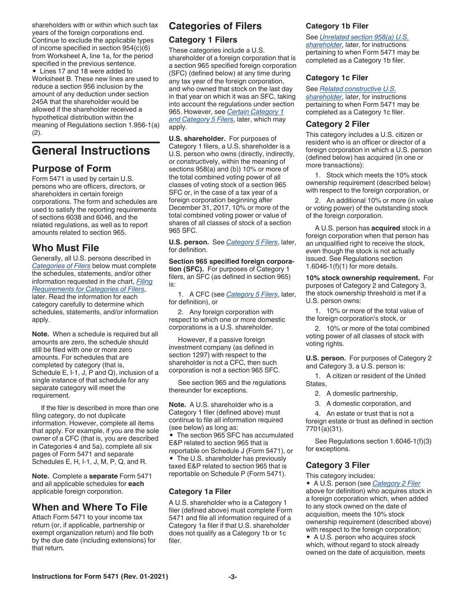<span id="page-2-0"></span>shareholders with or within which such tax years of the foreign corporations end. Continue to exclude the applicable types of income specified in section 954(c)(6) from Worksheet A, line 1a, for the period specified in the previous sentence. • Lines 17 and 18 were added to

Worksheet B. These new lines are used to reduce a section 956 inclusion by the amount of any deduction under section 245A that the shareholder would be allowed if the shareholder received a hypothetical distribution within the meaning of Regulations section 1.956-1(a) (2).

# **General Instructions**

# **Purpose of Form**

Form 5471 is used by certain U.S. persons who are officers, directors, or shareholders in certain foreign corporations. The form and schedules are used to satisfy the reporting requirements of sections 6038 and 6046, and the related regulations, as well as to report amounts related to section 965.

# **Who Must File**

Generally, all U.S. persons described in *Categories of Filers* below must complete the schedules, statements, and/or other information requested in the chart, *[Filing](#page-4-0) [Requirements for Categories of Filers](#page-4-0)*, later. Read the information for each category carefully to determine which schedules, statements, and/or information apply.

**Note.** When a schedule is required but all amounts are zero, the schedule should still be filed with one or more zero amounts. For schedules that are completed by category (that is, Schedule E, I-1, J, P and Q), inclusion of a single instance of that schedule for any separate category will meet the requirement.

If the filer is described in more than one filing category, do not duplicate information. However, complete all items that apply. For example, if you are the sole owner of a CFC (that is, you are described in Categories 4 and 5a), complete all six pages of Form 5471 and separate Schedules E, H, I-1, J, M, P, Q, and R.

**Note.** Complete a **separate** Form 5471 and all applicable schedules for **each**  applicable foreign corporation.

# **When and Where To File**

Attach Form 5471 to your income tax return (or, if applicable, partnership or exempt organization return) and file both by the due date (including extensions) for that return.

# **Categories of Filers**

# **Category 1 Filers**

These categories include a U.S. shareholder of a foreign corporation that is a section 965 specified foreign corporation (SFC) (defined below) at any time during any tax year of the foreign corporation, and who owned that stock on the last day in that year on which it was an SFC, taking into account the regulations under section 965. However, see *[Certain Category 1](#page-3-0) [and Category 5 Filers](#page-3-0)*, later, which may apply.

**U.S. shareholder.** For purposes of Category 1 filers, a U.S. shareholder is a U.S. person who owns (directly, indirectly, or constructively, within the meaning of sections 958(a) and (b)) 10% or more of the total combined voting power of all classes of voting stock of a section 965 SFC or, in the case of a tax year of a foreign corporation beginning after December 31, 2017, 10% or more of the total combined voting power or value of shares of all classes of stock of a section 965 SFC.

**U.S. person.** See *[Category 5 Filers](#page-3-0)*, later, for definition.

**Section 965 specified foreign corporation (SFC).** For purposes of Category 1 filers, an SFC (as defined in section 965) is:

1. A CFC (see *[Category 5 Filers](#page-3-0)*, later, for definition), or

2. Any foreign corporation with respect to which one or more domestic corporations is a U.S. shareholder.

However, if a passive foreign investment company (as defined in section 1297) with respect to the shareholder is not a CFC, then such corporation is not a section 965 SFC.

See section 965 and the regulations thereunder for exceptions.

**Note.** A U.S. shareholder who is a Category 1 filer (defined above) must continue to file all information required (see below) as long as:

• The section 965 SFC has accumulated E&P related to section 965 that is reportable on Schedule J (Form 5471), or • The U.S. shareholder has previously taxed E&P related to section 965 that is reportable on Schedule P (Form 5471).

# **Category 1a Filer**

A U.S. shareholder who is a Category 1 filer (defined above) must complete Form 5471 and file all information required of a Category 1a filer if that U.S. shareholder does not qualify as a Category 1b or 1c filer.

# **Category 1b Filer**

See *[Unrelated section 958\(a\) U.S.](#page-3-0)* 

*[shareholder](#page-3-0)*, later, for instructions pertaining to when Form 5471 may be completed as a Category 1b filer.

# **Category 1c Filer**

#### See *[Related constructive U.S.](#page-3-0)*

*[shareholder](#page-3-0)*, later, for instructions pertaining to when Form 5471 may be completed as a Category 1c filer.

### **Category 2 Filer**

This category includes a U.S. citizen or resident who is an officer or director of a foreign corporation in which a U.S. person (defined below) has acquired (in one or more transactions):

1. Stock which meets the 10% stock ownership requirement (described below) with respect to the foreign corporation, or

2. An additional 10% or more (in value or voting power) of the outstanding stock of the foreign corporation.

A U.S. person has **acquired** stock in a foreign corporation when that person has an unqualified right to receive the stock, even though the stock is not actually issued. See Regulations section 1.6046-1(f)(1) for more details.

**10% stock ownership requirement.** For purposes of Category 2 and Category 3, the stock ownership threshold is met if a U.S. person owns:

1. 10% or more of the total value of the foreign corporation's stock, or

2. 10% or more of the total combined voting power of all classes of stock with voting rights.

**U.S. person.** For purposes of Category 2 and Category 3, a U.S. person is:

1. A citizen or resident of the United States,

2. A domestic partnership,

3. A domestic corporation, and

4. An estate or trust that is not a foreign estate or trust as defined in section 7701(a)(31).

See Regulations section 1.6046-1(f)(3) for exceptions.

# **Category 3 Filer**

This category includes:

• A U.S. person (see *Category 2 Filer*  above for definition) who acquires stock in a foreign corporation which, when added to any stock owned on the date of acquisition, meets the 10% stock ownership requirement (described above) with respect to the foreign corporation; • A U.S. person who acquires stock

which, without regard to stock already owned on the date of acquisition, meets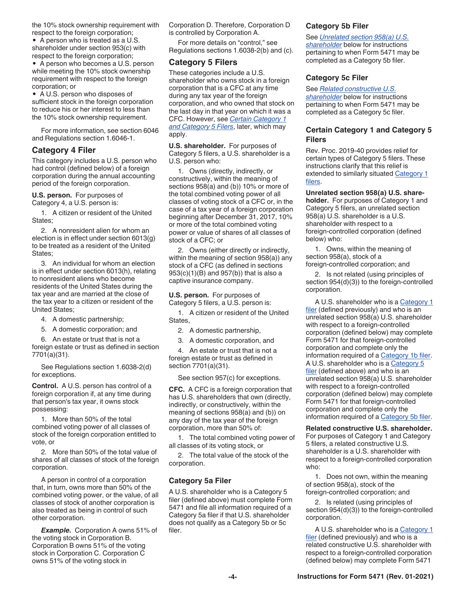<span id="page-3-0"></span>the 10% stock ownership requirement with respect to the foreign corporation;

• A person who is treated as a U.S. shareholder under section 953(c) with respect to the foreign corporation;

• A person who becomes a U.S. person while meeting the 10% stock ownership requirement with respect to the foreign corporation; or

• A U.S. person who disposes of sufficient stock in the foreign corporation to reduce his or her interest to less than the 10% stock ownership requirement.

For more information, see section 6046 and Regulations section 1.6046-1.

#### **Category 4 Filer**

This category includes a U.S. person who had control (defined below) of a foreign corporation during the annual accounting period of the foreign corporation.

**U.S. person.** For purposes of Category 4, a U.S. person is:

1. A citizen or resident of the United States;

2. A nonresident alien for whom an election is in effect under section 6013(g) to be treated as a resident of the United States;

3. An individual for whom an election is in effect under section 6013(h), relating to nonresident aliens who become residents of the United States during the tax year and are married at the close of the tax year to a citizen or resident of the United States;

- 4. A domestic partnership;
- 5. A domestic corporation; and

6. An estate or trust that is not a foreign estate or trust as defined in section 7701(a)(31).

See Regulations section 1.6038-2(d) for exceptions.

**Control.** A U.S. person has control of a foreign corporation if, at any time during that person's tax year, it owns stock possessing:

1. More than 50% of the total combined voting power of all classes of stock of the foreign corporation entitled to vote, or

2. More than 50% of the total value of shares of all classes of stock of the foreign corporation.

A person in control of a corporation that, in turn, owns more than 50% of the combined voting power, or the value, of all classes of stock of another corporation is also treated as being in control of such other corporation.

*Example.* Corporation A owns 51% of the voting stock in Corporation B. Corporation B owns 51% of the voting stock in Corporation C. Corporation C owns 51% of the voting stock in

Corporation D. Therefore, Corporation D is controlled by Corporation A.

For more details on "control," see Regulations sections 1.6038-2(b) and (c).

# **Category 5 Filers**

These categories include a U.S. shareholder who owns stock in a foreign corporation that is a CFC at any time during any tax year of the foreign corporation, and who owned that stock on the last day in that year on which it was a CFC. However, see *Certain Category 1 and Category 5 Filers*, later, which may apply.

**U.S. shareholder.** For purposes of Category 5 filers, a U.S. shareholder is a U.S. person who:

1. Owns (directly, indirectly, or constructively, within the meaning of sections 958(a) and (b)) 10% or more of the total combined voting power of all classes of voting stock of a CFC or, in the case of a tax year of a foreign corporation beginning after December 31, 2017, 10% or more of the total combined voting power or value of shares of all classes of stock of a CFC; or

2. Owns (either directly or indirectly, within the meaning of section 958(a)) any stock of a CFC (as defined in sections 953(c)(1)(B) and 957(b)) that is also a captive insurance company.

**U.S. person.** For purposes of Category 5 filers, a U.S. person is:

1. A citizen or resident of the United States,

2. A domestic partnership,

3. A domestic corporation, and

4. An estate or trust that is not a foreign estate or trust as defined in section 7701(a)(31).

See section 957(c) for exceptions.

**CFC.** A CFC is a foreign corporation that has U.S. shareholders that own (directly, indirectly, or constructively, within the meaning of sections 958(a) and (b)) on any day of the tax year of the foreign corporation, more than 50% of:

1. The total combined voting power of all classes of its voting stock, or

2. The total value of the stock of the corporation.

#### **Category 5a Filer**

A U.S. shareholder who is a Category 5 filer (defined above) must complete Form 5471 and file all information required of a Category 5a filer if that U.S. shareholder does not qualify as a Category 5b or 5c filer.

#### **Category 5b Filer**

See *Unrelated section 958(a) U.S.* 

*shareholder* below for instructions pertaining to when Form 5471 may be completed as a Category 5b filer.

#### **Category 5c Filer**

See *Related constructive U.S.* 

*shareholder* below for instructions pertaining to when Form 5471 may be completed as a Category 5c filer.

# **Certain Category 1 and Category 5 Filers**

Rev. Proc. 2019-40 provides relief for certain types of Category 5 filers. These instructions clarify that this relief is extended to similarly situated Category 1 [filers.](#page-2-0)

#### **Unrelated section 958(a) U.S. share-**

**holder.** For purposes of Category 1 and Category 5 filers, an unrelated section 958(a) U.S. shareholder is a U.S. shareholder with respect to a foreign-controlled corporation (defined below) who:

1. Owns, within the meaning of section 958(a), stock of a foreign-controlled corporation; and

2. Is not related (using principles of section 954(d)(3)) to the foreign-controlled corporation.

A U.S. shareholder who is a [Category 1](#page-2-0) [filer](#page-2-0) (defined previously) and who is an unrelated section 958(a) U.S. shareholder with respect to a foreign-controlled corporation (defined below) may complete Form 5471 for that foreign-controlled corporation and complete only the information required of a [Category 1b filer.](#page-2-0) A U.S. shareholder who is a Category 5 filer (defined above) and who is an unrelated section 958(a) U.S. shareholder with respect to a foreign-controlled corporation (defined below) may complete Form 5471 for that foreign-controlled corporation and complete only the information required of a Category 5b filer.

**Related constructive U.S. shareholder.**  For purposes of Category 1 and Category 5 filers, a related constructive U.S. shareholder is a U.S. shareholder with respect to a foreign-controlled corporation who:

1. Does not own, within the meaning of section 958(a), stock of the foreign-controlled corporation; and

2. Is related (using principles of section 954(d)(3)) to the foreign-controlled corporation.

A U.S. shareholder who is a [Category 1](#page-2-0) [filer](#page-2-0) (defined previously) and who is a related constructive U.S. shareholder with respect to a foreign-controlled corporation (defined below) may complete Form 5471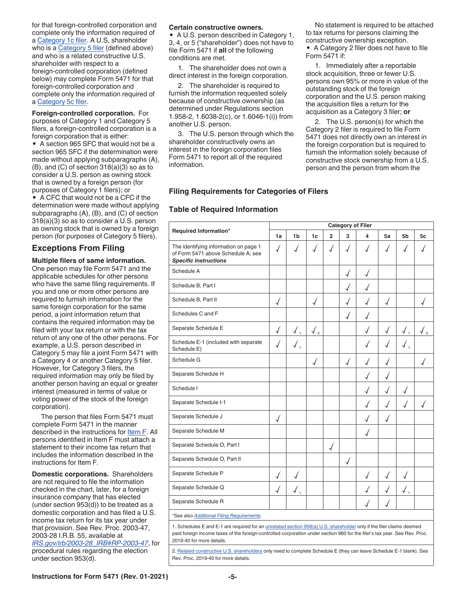<span id="page-4-0"></span>for that foreign-controlled corporation and complete only the information required of a [Category 1c filer.](#page-2-0) A U.S, shareholder who is a [Category 5 filer](#page-3-0) (defined above) and who is a related constructive U.S. shareholder with respect to a foreign-controlled corporation (defined below) may complete Form 5471 for that foreign-controlled corporation and complete only the information required of a [Category 5c filer.](#page-3-0)

**Foreign-controlled corporation.** For purposes of Category 1 and Category 5 filers, a foreign-controlled corporation is a foreign corporation that is either:

• A section 965 SFC that would not be a section 965 SFC if the determination were made without applying subparagraphs (A), (B), and (C) of section 318(a)(3) so as to consider a U.S. person as owning stock that is owned by a foreign person (for purposes of Category 1 filers); or

• A CFC that would not be a CFC if the determination were made without applying subparagraphs (A), (B), and (C) of section 318(a)(3) so as to consider a U.S. person as owning stock that is owned by a foreign person (for purposes of Category 5 filers).

### **Exceptions From Filing**

**Multiple filers of same information.**  One person may file Form 5471 and the applicable schedules for other persons who have the same filing requirements. If you and one or more other persons are required to furnish information for the same foreign corporation for the same period, a joint information return that contains the required information may be filed with your tax return or with the tax return of any one of the other persons. For example, a U.S. person described in Category 5 may file a joint Form 5471 with a Category 4 or another Category 5 filer. However, for Category 3 filers, the required information may only be filed by another person having an equal or greater interest (measured in terms of value or voting power of the stock of the foreign corporation).

The person that files Form 5471 must complete Form 5471 in the manner described in the instructions for [Item F](#page-7-0). All persons identified in Item F must attach a statement to their income tax return that includes the information described in the instructions for Item F.

**Domestic corporations.** Shareholders are not required to file the information checked in the chart, later, for a foreign insurance company that has elected (under section 953(d)) to be treated as a domestic corporation and has filed a U.S. income tax return for its tax year under that provision. See Rev. Proc. 2003-47, 2003-28 I.R.B. 55, available at *[IRS.gov/irb/2003-28\\_IRB#RP-2003-47](https://www.irs.gov/irb/2003-28_IRB#RP-2003-47)*, for procedural rules regarding the election

under section 953(d).

#### **Certain constructive owners.**

• A U.S. person described in Category 1, 3, 4, or 5 ("shareholder") does not have to file Form 5471 if **all** of the following conditions are met.

1. The shareholder does not own a direct interest in the foreign corporation.

2. The shareholder is required to furnish the information requested solely because of constructive ownership (as determined under Regulations section 1.958-2, 1.6038-2(c), or 1.6046-1(i)) from another U.S. person.

3. The U.S. person through which the shareholder constructively owns an interest in the foreign corporation files Form 5471 to report all of the required information.

No statement is required to be attached to tax returns for persons claiming the constructive ownership exception.

• A Category 2 filer does not have to file Form 5471 if:

1. Immediately after a reportable stock acquisition, three or fewer U.S. persons own 95% or more in value of the outstanding stock of the foreign corporation and the U.S. person making the acquisition files a return for the acquisition as a Category 3 filer; **or**

2. The U.S. person(s) for which the Category 2 filer is required to file Form 5471 does not directly own an interest in the foreign corporation but is required to furnish the information solely because of constructive stock ownership from a U.S. person and the person from whom the

### **Filing Requirements for Categories of Filers**

#### **Table of Required Information**

| Required Information*                                                                                       | <b>Category of Filer</b> |                             |                |                |   |   |    |              |    |
|-------------------------------------------------------------------------------------------------------------|--------------------------|-----------------------------|----------------|----------------|---|---|----|--------------|----|
|                                                                                                             |                          | 1 <sub>b</sub>              | 1 <sub>c</sub> | $\overline{2}$ | 3 | 4 | 5a | 5b           | 5c |
| The identifying information on page 1<br>of Form 5471 above Schedule A; see<br><b>Specific Instructions</b> | √                        |                             |                | √              | √ |   |    |              |    |
| Schedule A                                                                                                  |                          |                             |                |                | √ |   |    |              |    |
| Schedule B, Part I                                                                                          |                          |                             |                |                |   |   |    |              |    |
| Schedule B, Part II                                                                                         | $\overline{\mathcal{A}}$ |                             |                |                | √ |   |    |              |    |
| Schedules C and F                                                                                           |                          |                             |                |                |   |   |    |              |    |
| Separate Schedule E                                                                                         | $\overline{\mathcal{A}}$ |                             | $\sqrt{2}$     |                |   |   |    |              |    |
| Schedule E-1 (included with separate<br>Schedule E)                                                         |                          |                             |                |                |   |   |    |              |    |
| Schedule G                                                                                                  |                          |                             | √              |                | √ |   |    |              |    |
| Separate Schedule H                                                                                         |                          |                             |                |                |   |   |    |              |    |
| Schedule I                                                                                                  |                          |                             |                |                |   |   |    |              |    |
| Separate Schedule I-1                                                                                       |                          |                             |                |                |   |   |    |              |    |
| Separate Schedule J                                                                                         | $\overline{\mathcal{A}}$ |                             |                |                |   |   |    |              |    |
| Separate Schedule M                                                                                         |                          |                             |                |                |   |   |    |              |    |
| Separate Schedule O, Part I                                                                                 |                          |                             |                |                |   |   |    |              |    |
| Separate Schedule O, Part II                                                                                |                          |                             |                |                |   |   |    |              |    |
| Separate Schedule P                                                                                         | √                        |                             |                |                |   |   |    |              |    |
| Separate Schedule Q                                                                                         | $\overline{\mathcal{A}}$ | $\sqrt{}$<br>$\overline{1}$ |                |                |   |   |    | $\checkmark$ |    |
| Separate Schedule R                                                                                         |                          |                             |                |                |   |   |    |              |    |
| *See also Additional Filing Requirements.                                                                   |                          |                             |                |                |   |   |    |              |    |

1. Schedules E and E-1 are required for an *[unrelated section 958\(a\) U.S. shareholder](#page-3-0) only if the filer claims deemed* paid foreign income taxes of the foreign-controlled corporation under section 960 for the filer's tax year. See Rev. Proc. 2019-40 for more details.

2. [Related constructive U.S. shareholders](#page-3-0) only need to complete Schedule E (they can leave Schedule E-1 blank). See Rev. Proc. 2019-40 for more details.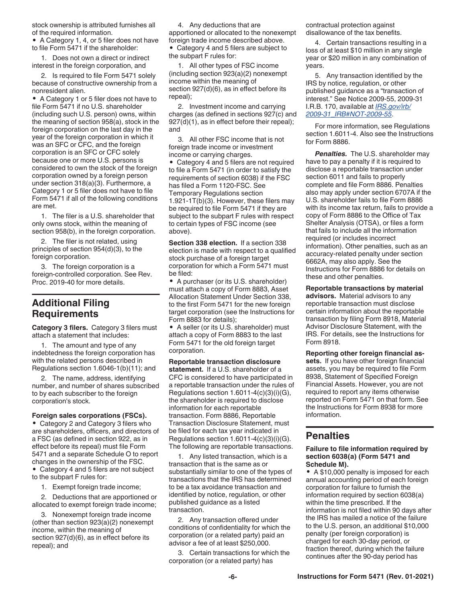<span id="page-5-0"></span>stock ownership is attributed furnishes all of the required information.

• A Category 1, 4, or 5 filer does not have to file Form 5471 if the shareholder:

1. Does not own a direct or indirect interest in the foreign corporation, and

2. Is required to file Form 5471 solely because of constructive ownership from a nonresident alien.

• A Category 1 or 5 filer does not have to file Form 5471 if no U.S. shareholder (including such U.S. person) owns, within the meaning of section 958(a), stock in the foreign corporation on the last day in the year of the foreign corporation in which it was an SFC or CFC, and the foreign corporation is an SFC or CFC solely because one or more U.S. persons is considered to own the stock of the foreign corporation owned by a foreign person under section 318(a)(3). Furthermore, a Category 1 or 5 filer does not have to file Form 5471 if all of the following conditions are met.

1. The filer is a U.S. shareholder that only owns stock, within the meaning of section 958(b), in the foreign corporation.

2. The filer is not related, using principles of section 954(d)(3), to the foreign corporation.

3. The foreign corporation is a foreign-controlled corporation. See Rev. Proc. 2019-40 for more details.

# **Additional Filing Requirements**

**Category 3 filers.** Category 3 filers must attach a statement that includes:

1. The amount and type of any indebtedness the foreign corporation has with the related persons described in Regulations section 1.6046-1(b)(11); and

2. The name, address, identifying number, and number of shares subscribed to by each subscriber to the foreign corporation's stock.

#### **Foreign sales corporations (FSCs).**

• Category 2 and Category 3 filers who are shareholders, officers, and directors of a FSC (as defined in section 922, as in effect before its repeal) must file Form 5471 and a separate Schedule O to report changes in the ownership of the FSC.

• Category 4 and 5 filers are not subject to the subpart F rules for:

1. Exempt foreign trade income;

2. Deductions that are apportioned or allocated to exempt foreign trade income;

3. Nonexempt foreign trade income (other than section 923(a)(2) nonexempt income, within the meaning of section 927(d)(6), as in effect before its repeal); and

4. Any deductions that are apportioned or allocated to the nonexempt foreign trade income described above. • Category 4 and 5 filers are subject to the subpart F rules for:

1. All other types of FSC income (including section 923(a)(2) nonexempt income within the meaning of section 927(d)(6), as in effect before its repeal);

2. Investment income and carrying charges (as defined in sections 927(c) and 927(d)(1), as in effect before their repeal); and

3. All other FSC income that is not foreign trade income or investment income or carrying charges.

• Category 4 and 5 filers are not required to file a Form 5471 (in order to satisfy the requirements of section 6038) if the FSC has filed a Form 1120-FSC. See Temporary Regulations section 1.921-1T(b)(3). However, these filers may be required to file Form 5471 if they are subject to the subpart F rules with respect to certain types of FSC income (see above).

**Section 338 election.** If a section 338 election is made with respect to a qualified stock purchase of a foreign target corporation for which a Form 5471 must be filed:

• A purchaser (or its U.S. shareholder) must attach a copy of Form 8883, Asset Allocation Statement Under Section 338, to the first Form 5471 for the new foreign target corporation (see the Instructions for Form 8883 for details);

• A seller (or its U.S. shareholder) must attach a copy of Form 8883 to the last Form 5471 for the old foreign target corporation.

**Reportable transaction disclosure** 

**statement.** If a U.S. shareholder of a CFC is considered to have participated in a reportable transaction under the rules of Regulations section  $1.6011 - 4(c)(3)(i)(G)$ , the shareholder is required to disclose information for each reportable transaction. Form 8886, Reportable Transaction Disclosure Statement, must be filed for each tax year indicated in Regulations section  $1.6011-4(c)(3)(i)(G)$ . The following are reportable transactions.

1. Any listed transaction, which is a transaction that is the same as or substantially similar to one of the types of transactions that the IRS has determined to be a tax avoidance transaction and identified by notice, regulation, or other published guidance as a listed transaction.

2. Any transaction offered under conditions of confidentiality for which the corporation (or a related party) paid an advisor a fee of at least \$250,000.

3. Certain transactions for which the corporation (or a related party) has

contractual protection against disallowance of the tax benefits.

4. Certain transactions resulting in a loss of at least \$10 million in any single year or \$20 million in any combination of years.

5. Any transaction identified by the IRS by notice, regulation, or other published guidance as a "transaction of interest." See Notice 2009-55, 2009-31 I.R.B. 170, available at *[IRS.gov/irb/](https://www.irs.gov/irb/2009-31_IRB#NOT-2009-55) [2009-31\\_IRB#NOT-2009-55](https://www.irs.gov/irb/2009-31_IRB#NOT-2009-55)*.

For more information, see Regulations section 1.6011-4. Also see the Instructions for Form 8886.

*Penalties.* The U.S. shareholder may have to pay a penalty if it is required to disclose a reportable transaction under section 6011 and fails to properly complete and file Form 8886. Penalties also may apply under section 6707A if the U.S. shareholder fails to file Form 8886 with its income tax return, fails to provide a copy of Form 8886 to the Office of Tax Shelter Analysis (OTSA), or files a form that fails to include all the information required (or includes incorrect information). Other penalties, such as an accuracy-related penalty under section 6662A, may also apply. See the Instructions for Form 8886 for details on these and other penalties.

**Reportable transactions by material advisors.** Material advisors to any reportable transaction must disclose certain information about the reportable transaction by filing Form 8918, Material Advisor Disclosure Statement, with the IRS. For details, see the Instructions for Form 8918.

**Reporting other foreign financial assets.** If you have other foreign financial assets, you may be required to file Form 8938, Statement of Specified Foreign Financial Assets. However, you are not required to report any items otherwise reported on Form 5471 on that form. See the Instructions for Form 8938 for more information.

# **Penalties**

#### **Failure to file information required by section 6038(a) (Form 5471 and Schedule M).**

• A \$10,000 penalty is imposed for each annual accounting period of each foreign corporation for failure to furnish the information required by section 6038(a) within the time prescribed. If the information is not filed within 90 days after the IRS has mailed a notice of the failure to the U.S. person, an additional \$10,000 penalty (per foreign corporation) is charged for each 30-day period, or fraction thereof, during which the failure continues after the 90-day period has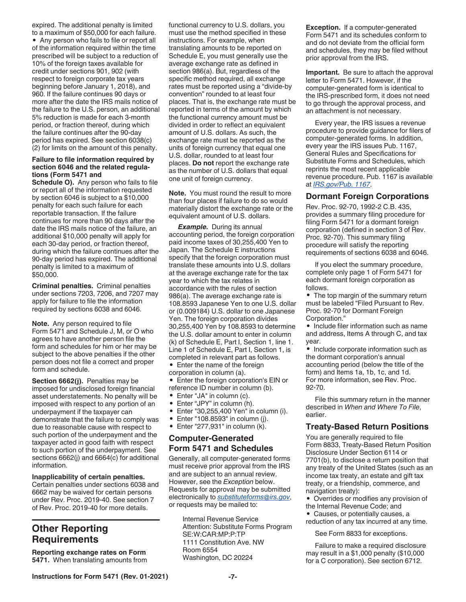<span id="page-6-0"></span>expired. The additional penalty is limited to a maximum of \$50,000 for each failure. • Any person who fails to file or report all of the information required within the time prescribed will be subject to a reduction of 10% of the foreign taxes available for credit under sections 901, 902 (with respect to foreign corporate tax years beginning before January 1, 2018), and 960. If the failure continues 90 days or more after the date the IRS mails notice of the failure to the U.S. person, an additional 5% reduction is made for each 3-month period, or fraction thereof, during which the failure continues after the 90-day period has expired. See section 6038(c) (2) for limits on the amount of this penalty.

#### **Failure to file information required by section 6046 and the related regulations (Form 5471 and**

**Schedule O).** Any person who fails to file or report all of the information requested by section 6046 is subject to a \$10,000 penalty for each such failure for each reportable transaction. If the failure continues for more than 90 days after the date the IRS mails notice of the failure, an additional \$10,000 penalty will apply for each 30-day period, or fraction thereof, during which the failure continues after the 90-day period has expired. The additional penalty is limited to a maximum of \$50,000.

**Criminal penalties.** Criminal penalties under sections 7203, 7206, and 7207 may apply for failure to file the information required by sections 6038 and 6046.

**Note.** Any person required to file Form 5471 and Schedule J, M, or O who agrees to have another person file the form and schedules for him or her may be subject to the above penalties if the other person does not file a correct and proper form and schedule.

**Section 6662(j).** Penalties may be imposed for undisclosed foreign financial asset understatements. No penalty will be imposed with respect to any portion of an underpayment if the taxpayer can demonstrate that the failure to comply was due to reasonable cause with respect to such portion of the underpayment and the taxpayer acted in good faith with respect to such portion of the underpayment. See sections 6662(j) and 6664(c) for additional information.

#### **Inapplicability of certain penalties.**

Certain penalties under sections 6038 and 6662 may be waived for certain persons under Rev. Proc. 2019-40. See section 7 of Rev. Proc. 2019-40 for more details.

# **Other Reporting Requirements**

**Reporting exchange rates on Form 5471.** When translating amounts from functional currency to U.S. dollars, you must use the method specified in these instructions. For example, when translating amounts to be reported on Schedule E, you must generally use the average exchange rate as defined in section 986(a). But, regardless of the specific method required, all exchange rates must be reported using a "divide-by convention" rounded to at least four places. That is, the exchange rate must be reported in terms of the amount by which the functional currency amount must be divided in order to reflect an equivalent amount of U.S. dollars. As such, the exchange rate must be reported as the units of foreign currency that equal one U.S. dollar, rounded to at least four places. **Do not** report the exchange rate as the number of U.S. dollars that equal one unit of foreign currency.

**Note.** You must round the result to more than four places if failure to do so would materially distort the exchange rate or the equivalent amount of U.S. dollars.

*Example.* During its annual accounting period, the foreign corporation paid income taxes of 30,255,400 Yen to Japan. The Schedule E instructions specify that the foreign corporation must translate these amounts into U.S. dollars at the average exchange rate for the tax year to which the tax relates in accordance with the rules of section 986(a). The average exchange rate is 108.8593 Japanese Yen to one U.S. dollar or (0.009184) U.S. dollar to one Japanese Yen. The foreign corporation divides 30,255,400 Yen by 108.8593 to determine the U.S. dollar amount to enter in column (k) of Schedule E, Part I, Section 1, line 1. Line 1 of Schedule E, Part I, Section 1, is completed in relevant part as follows.

• Enter the name of the foreign corporation in column (a).

• Enter the foreign corporation's EIN or reference ID number in column (b).

- Enter "JA" in column (c).
- Enter "JPY" in column (h).
- Enter "30,255,400 Yen" in column (i).
- Enter "108.8593" in column (j).
- Enter "277,931" in column (k).

### **Computer-Generated Form 5471 and Schedules**

Generally, all computer-generated forms must receive prior approval from the IRS and are subject to an annual review. However, see the *Exception* below. Requests for approval may be submitted electronically to *[substituteforms@irs.gov](mailto:substituteforms@irs.gov)*, or requests may be mailed to:

> Internal Revenue Service Attention: Substitute Forms Program SE:W:CAR:MP:P:TP 1111 Constitution Ave. NW Room 6554 Washington, DC 20224

**Exception.** If a computer-generated Form 5471 and its schedules conform to and do not deviate from the official form and schedules, they may be filed without prior approval from the IRS.

**Important.** Be sure to attach the approval letter to Form 5471. However, if the computer-generated form is identical to the IRS-prescribed form, it does not need to go through the approval process, and an attachment is not necessary.

Every year, the IRS issues a revenue procedure to provide guidance for filers of computer-generated forms. In addition, every year the IRS issues Pub. 1167, General Rules and Specifications for Substitute Forms and Schedules, which reprints the most recent applicable revenue procedure. Pub. 1167 is available at *[IRS.gov/Pub. 1167](https://www.irs.gov/Pub1167)*.

#### **Dormant Foreign Corporations**

Rev. Proc. 92-70, 1992-2 C.B. 435, provides a summary filing procedure for filing Form 5471 for a dormant foreign corporation (defined in section 3 of Rev. Proc. 92-70). This summary filing procedure will satisfy the reporting requirements of sections 6038 and 6046.

If you elect the summary procedure, complete only page 1 of Form 5471 for each dormant foreign corporation as follows.

• The top margin of the summary return must be labeled "Filed Pursuant to Rev. Proc. 92-70 for Dormant Foreign Corporation."

• Include filer information such as name and address, Items A through C, and tax year.

• Include corporate information such as the dormant corporation's annual accounting period (below the title of the form) and Items 1a, 1b, 1c, and 1d. For more information, see Rev. Proc. 92-70.

File this summary return in the manner described in *When and Where To File*, earlier.

#### **Treaty-Based Return Positions**

You are generally required to file Form 8833, Treaty-Based Return Position Disclosure Under Section 6114 or 7701(b), to disclose a return position that any treaty of the United States (such as an income tax treaty, an estate and gift tax treaty, or a friendship, commerce, and navigation treaty):

• Overrides or modifies any provision of the Internal Revenue Code; and

• Causes, or potentially causes, a reduction of any tax incurred at any time.

See Form 8833 for exceptions.

Failure to make a required disclosure may result in a \$1,000 penalty (\$10,000 for a C corporation). See section 6712.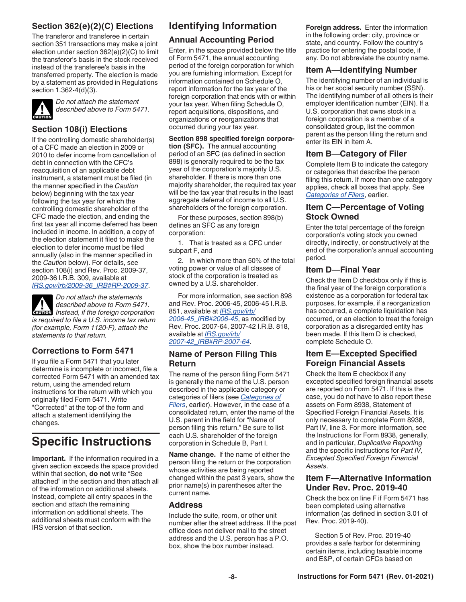# <span id="page-7-0"></span>**Section 362(e)(2)(C) Elections**

The transferor and transferee in certain section 351 transactions may make a joint election under section 362(e)(2)(C) to limit the transferor's basis in the stock received instead of the transferee's basis in the transferred property. The election is made by a statement as provided in Regulations section 1.362-4(d)(3).



*Do not attach the statement described above to Form 5471.*

# **Section 108(i) Elections**

If the controlling domestic shareholder(s) of a CFC made an election in 2009 or 2010 to defer income from cancellation of debt in connection with the CFC's reacquisition of an applicable debt instrument, a statement must be filed (in the manner specified in the *Caution*  below) beginning with the tax year following the tax year for which the controlling domestic shareholder of the CFC made the election, and ending the first tax year all income deferred has been included in income. In addition, a copy of the election statement it filed to make the election to defer income must be filed annually (also in the manner specified in the *Caution* below). For details, see section 108(i) and Rev. Proc. 2009-37, 2009-36 I.R.B. 309, available at *[IRS.gov/irb/2009-36\\_IRB#RP-2009-37](https://www.irs.gov/irb/2009-36_IRB#RP-2009-37)*.

*Do not attach the statements described above to Form 5471. Instead, if the foreign corporation is required to file a U.S. income tax return (for example, Form 1120-F), attach the statements to that return.* **CAUTION !**

# **Corrections to Form 5471**

If you file a Form 5471 that you later determine is incomplete or incorrect, file a corrected Form 5471 with an amended tax return, using the amended return instructions for the return with which you originally filed Form 5471. Write "Corrected" at the top of the form and attach a statement identifying the changes.

# **Specific Instructions**

**Important.** If the information required in a given section exceeds the space provided within that section, **do not** write "See attached" in the section and then attach all of the information on additional sheets. Instead, complete all entry spaces in the section and attach the remaining information on additional sheets. The additional sheets must conform with the IRS version of that section.

# **Identifying Information**

# **Annual Accounting Period**

Enter, in the space provided below the title of Form 5471, the annual accounting period of the foreign corporation for which you are furnishing information. Except for information contained on Schedule O, report information for the tax year of the foreign corporation that ends with or within your tax year. When filing Schedule O, report acquisitions, dispositions, and organizations or reorganizations that occurred during your tax year.

**Section 898 specified foreign corporation (SFC).** The annual accounting period of an SFC (as defined in section 898) is generally required to be the tax year of the corporation's majority U.S. shareholder. If there is more than one majority shareholder, the required tax year will be the tax year that results in the least aggregate deferral of income to all U.S. shareholders of the foreign corporation.

For these purposes, section 898(b) defines an SFC as any foreign corporation:

1. That is treated as a CFC under subpart F, and

2. In which more than 50% of the total voting power or value of all classes of stock of the corporation is treated as owned by a U.S. shareholder.

For more information, see section 898 and Rev. Proc. 2006-45, 2006-45 I.R.B. 851, available at *[IRS.gov/irb/](https://www.irs.gov/irb/2006-45_IRB#RP-2006-45) [2006-45\\_IRB#2006-45](https://www.irs.gov/irb/2006-45_IRB#RP-2006-45)*, as modified by Rev. Proc. 2007-64, 2007-42 I.R.B. 818, available at *[IRS.gov/irb/](https://www.irs.gov/irb/2007-42_IRB#RP-2007-64) [2007-42\\_IRB#RP-2007-64](https://www.irs.gov/irb/2007-42_IRB#RP-2007-64)*.

# **Name of Person Filing This Return**

The name of the person filing Form 5471 is generally the name of the U.S. person described in the applicable category or categories of filers (see *[Categories of](#page-2-0) [Filers](#page-2-0)*, earlier). However, in the case of a consolidated return, enter the name of the U.S. parent in the field for "Name of person filing this return." Be sure to list each U.S. shareholder of the foreign corporation in Schedule B, Part I.

**Name change.** If the name of either the person filing the return or the corporation whose activities are being reported changed within the past 3 years, show the prior name(s) in parentheses after the current name.

# **Address**

Include the suite, room, or other unit number after the street address. If the post office does not deliver mail to the street address and the U.S. person has a P.O. box, show the box number instead.

**Foreign address.** Enter the information in the following order: city, province or state, and country. Follow the country's practice for entering the postal code, if any. Do not abbreviate the country name.

# **Item A—Identifying Number**

The identifying number of an individual is his or her social security number (SSN). The identifying number of all others is their employer identification number (EIN). If a U.S. corporation that owns stock in a foreign corporation is a member of a consolidated group, list the common parent as the person filing the return and enter its EIN in Item A.

# **Item B—Category of Filer**

Complete Item B to indicate the category or categories that describe the person filing this return. If more than one category applies, check all boxes that apply. See *[Categories of Filers](#page-2-0)*, earlier.

# **Item C—Percentage of Voting Stock Owned**

Enter the total percentage of the foreign corporation's voting stock you owned directly, indirectly, or constructively at the end of the corporation's annual accounting period.

# **Item D—Final Year**

Check the Item D checkbox only if this is the final year of the foreign corporation's existence as a corporation for federal tax purposes, for example, if a reorganization has occurred, a complete liquidation has occurred, or an election to treat the foreign corporation as a disregarded entity has been made. If this Item D is checked, complete Schedule O.

# **Item E—Excepted Specified Foreign Financial Assets**

Check the Item E checkbox if any excepted specified foreign financial assets are reported on Form 5471. If this is the case, you do not have to also report these assets on Form 8938, Statement of Specified Foreign Financial Assets. It is only necessary to complete Form 8938, Part IV, line 3. For more information, see the Instructions for Form 8938, generally, and in particular, *Duplicative Reporting*  and the specific instructions for *Part IV, Excepted Specified Foreign Financial Assets*.

### **Item F—Alternative Information Under Rev. Proc. 2019-40**

Check the box on line F if Form 5471 has been completed using alternative information (as defined in section 3.01 of Rev. Proc. 2019-40).

Section 5 of Rev. Proc. 2019-40 provides a safe harbor for determining certain items, including taxable income and E&P, of certain CFCs based on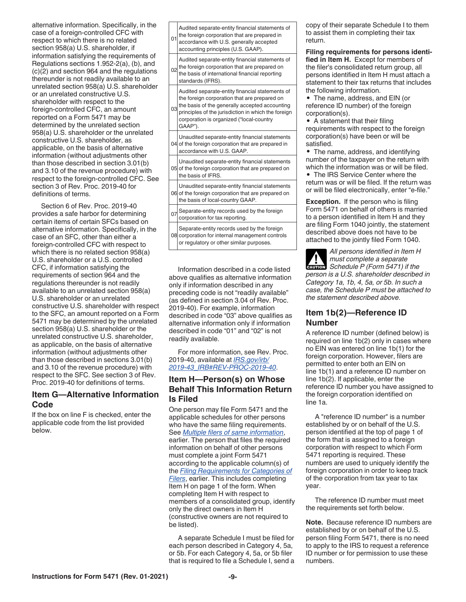<span id="page-8-0"></span>alternative information. Specifically, in the case of a foreign-controlled CFC with respect to which there is no related section 958(a) U.S. shareholder, if information satisfying the requirements of Regulations sections 1.952-2(a), (b), and (c)(2) and section 964 and the regulations thereunder is not readily available to an unrelated section 958(a) U.S. shareholder or an unrelated constructive U.S. shareholder with respect to the foreign-controlled CFC, an amount reported on a Form 5471 may be determined by the unrelated section 958(a) U.S. shareholder or the unrelated constructive U.S. shareholder, as applicable, on the basis of alternative information (without adjustments other than those described in section 3.01(b) and 3.10 of the revenue procedure) with respect to the foreign-controlled CFC. See section 3 of Rev. Proc. 2019-40 for definitions of terms.

Section 6 of Rev. Proc. 2019-40 provides a safe harbor for determining certain items of certain SFCs based on alternative information. Specifically, in the case of an SFC, other than either a foreign-controlled CFC with respect to which there is no related section 958(a) U.S. shareholder or a U.S. controlled CFC, if information satisfying the requirements of section 964 and the regulations thereunder is not readily available to an unrelated section 958(a) U.S. shareholder or an unrelated constructive U.S. shareholder with respect to the SFC, an amount reported on a Form 5471 may be determined by the unrelated section 958(a) U.S. shareholder or the unrelated constructive U.S. shareholder, as applicable, on the basis of alternative information (without adjustments other than those described in sections 3.01(b) and 3.10 of the revenue procedure) with respect to the SFC. See section 3 of Rev. Proc. 2019-40 for definitions of terms.

# **Item G—Alternative Information Code**

If the box on line F is checked, enter the applicable code from the list provided below.

| 01              | Audited separate-entity financial statements of<br>the foreign corporation that are prepared in<br>accordance with U.S. generally accepted<br>accounting principles (U.S. GAAP).                                                                                |
|-----------------|-----------------------------------------------------------------------------------------------------------------------------------------------------------------------------------------------------------------------------------------------------------------|
| 02              | Audited separate-entity financial statements of<br>the foreign corporation that are prepared on<br>the basis of international financial reporting<br>standards (IFRS).                                                                                          |
| 03 <sub>l</sub> | Audited separate-entity financial statements of<br>the foreign corporation that are prepared on<br>the basis of the generally accepted accounting<br>principles of the jurisdiction in which the foreign<br>corporation is organized ("local-country<br>GAAP"). |
|                 | Unaudited separate-entity financial statements<br>04 of the foreign corporation that are prepared in<br>accordance with U.S. GAAP.                                                                                                                              |
|                 | Unaudited separate-entity financial statements<br>05 of the foreign corporation that are prepared on<br>the basis of IFRS.                                                                                                                                      |
|                 | Unaudited separate-entity financial statements<br>06 of the foreign corporation that are prepared on<br>the basis of local-country GAAP.                                                                                                                        |
| 07              | Separate-entity records used by the foreign<br>corporation for tax reporting.                                                                                                                                                                                   |
|                 | Separate-entity records used by the foreign<br>08 corporation for internal management controls<br>or regulatory or other similar purposes.                                                                                                                      |

Information described in a code listed above qualifies as alternative information only if information described in any preceding code is not "readily available" (as defined in section 3.04 of Rev. Proc. 2019-40). For example, information described in code "03" above qualifies as alternative information only if information described in code "01" and "02" is not readily available.

For more information, see Rev. Proc. 2019-40, available at *[IRS.gov/irb/](https://www.irs.gov/irb/2019-43_IRB#Rev-Proc-2019-40) [2019-43\\_IRB#REV-PROC-2019-40](https://www.irs.gov/irb/2019-43_IRB#Rev-Proc-2019-40)*.

# **Item H—Person(s) on Whose Behalf This Information Return Is Filed**

One person may file Form 5471 and the applicable schedules for other persons who have the same filing requirements. See *[Multiple filers of same information](#page-4-0)*, earlier. The person that files the required information on behalf of other persons must complete a joint Form 5471 according to the applicable column(s) of the *[Filing Requirements for Categories of](#page-4-0)  [Filers](#page-4-0)*, earlier. This includes completing Item H on page 1 of the form. When completing Item H with respect to members of a consolidated group, identify only the direct owners in Item H (constructive owners are not required to be listed).

A separate Schedule I must be filed for each person described in Category 4, 5a, or 5b. For each Category 4, 5a, or 5b filer that is required to file a Schedule I, send a copy of their separate Schedule I to them to assist them in completing their tax return.

#### **Filing requirements for persons identified in Item H.** Except for members of the filer's consolidated return group, all persons identified in Item H must attach a statement to their tax returns that includes

the following information. • The name, address, and EIN (or reference ID number) of the foreign corporation(s).

• A statement that their filing requirements with respect to the foreign corporation(s) have been or will be satisfied.

• The name, address, and identifying number of the taxpayer on the return with which the information was or will be filed.

• The IRS Service Center where the return was or will be filed. If the return was or will be filed electronically, enter "e-file."

**Exception.** If the person who is filing Form 5471 on behalf of others is married to a person identified in Item H and they are filing Form 1040 jointly, the statement described above does not have to be attached to the jointly filed Form 1040.

*All persons identified in Item H must complete a separate*  **CAUTION**<br>
Schedule P (Form 5471) if the *person is a U.S. shareholder described in Category 1a, 1b, 4, 5a, or 5b. In such a case, the Schedule P must be attached to the statement described above.*

### **Item 1b(2)—Reference ID Number**

A reference ID number (defined below) is required on line 1b(2) only in cases where no EIN was entered on line 1b(1) for the foreign corporation. However, filers are permitted to enter both an EIN on line 1b(1) and a reference ID number on line 1b(2). If applicable, enter the reference ID number you have assigned to the foreign corporation identified on line 1a.

A "reference ID number" is a number established by or on behalf of the U.S. person identified at the top of page 1 of the form that is assigned to a foreign corporation with respect to which Form 5471 reporting is required. These numbers are used to uniquely identify the foreign corporation in order to keep track of the corporation from tax year to tax year.

The reference ID number must meet the requirements set forth below.

**Note.** Because reference ID numbers are established by or on behalf of the U.S. person filing Form 5471, there is no need to apply to the IRS to request a reference ID number or for permission to use these numbers.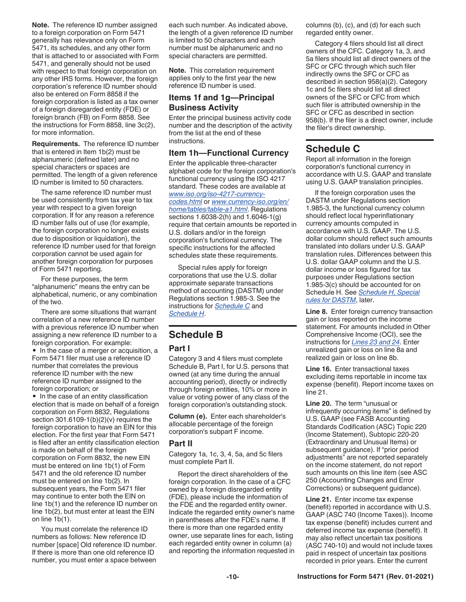<span id="page-9-0"></span>**Note.** The reference ID number assigned to a foreign corporation on Form 5471 generally has relevance only on Form 5471, its schedules, and any other form that is attached to or associated with Form 5471, and generally should not be used with respect to that foreign corporation on any other IRS forms. However, the foreign corporation's reference ID number should also be entered on Form 8858 if the foreign corporation is listed as a tax owner of a foreign disregarded entity (FDE) or foreign branch (FB) on Form 8858. See the instructions for Form 8858, line 3c(2), for more information.

**Requirements.** The reference ID number that is entered in Item 1b(2) must be alphanumeric (defined later) and no special characters or spaces are permitted. The length of a given reference ID number is limited to 50 characters.

The same reference ID number must be used consistently from tax year to tax year with respect to a given foreign corporation. If for any reason a reference ID number falls out of use (for example, the foreign corporation no longer exists due to disposition or liquidation), the reference ID number used for that foreign corporation cannot be used again for another foreign corporation for purposes of Form 5471 reporting.

For these purposes, the term "alphanumeric" means the entry can be alphabetical, numeric, or any combination of the two.

There are some situations that warrant correlation of a new reference ID number with a previous reference ID number when assigning a new reference ID number to a foreign corporation. For example: • In the case of a merger or acquisition, a Form 5471 filer must use a reference ID number that correlates the previous reference ID number with the new reference ID number assigned to the foreign corporation; or

• In the case of an entity classification election that is made on behalf of a foreign corporation on Form 8832, Regulations section  $301.6109 - 1(b)(2)(v)$  requires the foreign corporation to have an EIN for this election. For the first year that Form 5471 is filed after an entity classification election is made on behalf of the foreign corporation on Form 8832, the new EIN must be entered on line 1b(1) of Form 5471 and the old reference ID number must be entered on line 1b(2). In subsequent years, the Form 5471 filer may continue to enter both the EIN on line 1b(1) and the reference ID number on line 1b(2), but must enter at least the EIN on line 1b(1).

You must correlate the reference ID numbers as follows: New reference ID number [space] Old reference ID number. If there is more than one old reference ID number, you must enter a space between

each such number. As indicated above, the length of a given reference ID number is limited to 50 characters and each number must be alphanumeric and no special characters are permitted.

**Note.** This correlation requirement applies only to the first year the new reference ID number is used.

#### **Items 1f and 1g—Principal Business Activity**

Enter the principal business activity code number and the description of the activity from the list at the end of these instructions.

# **Item 1h—Functional Currency**

Enter the applicable three-character alphabet code for the foreign corporation's functional currency using the ISO 4217 standard. These codes are available at *[www.iso.org/iso-4217-currency](https://www.iso.org/iso-4217-currency-codes.html)[codes.html](https://www.iso.org/iso-4217-currency-codes.html)* or *[www.currency-iso.org/en/](https://www.currency-iso.org/en/home/tables/table-a1.html) [home/tables/table-a1.html](https://www.currency-iso.org/en/home/tables/table-a1.html)*. Regulations sections 1.6038-2(h) and 1.6046-1(g)

require that certain amounts be reported in U.S. dollars and/or in the foreign corporation's functional currency. The specific instructions for the affected schedules state these requirements.

Special rules apply for foreign corporations that use the U.S. dollar approximate separate transactions method of accounting (DASTM) under Regulations section 1.985-3. See the instructions for *Schedule C* and *[Schedule H](#page-28-0)*.

# **Schedule B**

# **Part I**

Category 3 and 4 filers must complete Schedule B, Part I, for U.S. persons that owned (at any time during the annual accounting period), directly or indirectly through foreign entities, 10% or more in value or voting power of any class of the foreign corporation's outstanding stock.

**Column (e).** Enter each shareholder's allocable percentage of the foreign corporation's subpart F income.

# **Part II**

Category 1a, 1c, 3, 4, 5a, and 5c filers must complete Part II.

Report the direct shareholders of the foreign corporation. In the case of a CFC owned by a foreign disregarded entity (FDE), please include the information of the FDE and the regarded entity owner. Indicate the regarded entity owner's name in parentheses after the FDE's name. If there is more than one regarded entity owner, use separate lines for each, listing each regarded entity owner in column (a) and reporting the information requested in columns (b), (c), and (d) for each such regarded entity owner.

Category 4 filers should list all direct owners of the CFC. Category 1a, 3, and 5a filers should list all direct owners of the SFC or CFC through which such filer indirectly owns the SFC or CFC as described in section 958(a)(2). Category 1c and 5c filers should list all direct owners of the SFC or CFC from which such filer is attributed ownership in the SFC or CFC as described in section 958(b). If the filer is a direct owner, include the filer's direct ownership.

# **Schedule C**

Report all information in the foreign corporation's functional currency in accordance with U.S. GAAP and translate using U.S. GAAP translation principles.

If the foreign corporation uses the DASTM under Regulations section 1.985-3, the functional currency column should reflect local hyperinflationary currency amounts computed in accordance with U.S. GAAP. The U.S. dollar column should reflect such amounts translated into dollars under U.S. GAAP translation rules. Differences between this U.S. dollar GAAP column and the U.S. dollar income or loss figured for tax purposes under Regulations section 1.985-3(c) should be accounted for on Schedule H. See *[Schedule H, Special](#page-28-0)  [rules for DASTM](#page-28-0)*, later.

**Line 8.** Enter foreign currency transaction gain or loss reported on the income statement. For amounts included in Other Comprehensive Income (OCI), see the instructions for *[Lines 23 and 24](#page-10-0)*. Enter unrealized gain or loss on line 8a and realized gain or loss on line 8b.

**Line 16.** Enter transactional taxes excluding items reportable in income tax expense (benefit). Report income taxes on line 21.

**Line 20.** The term "unusual or infrequently occurring items" is defined by U.S. GAAP (see FASB Accounting Standards Codification (ASC) Topic 220 (Income Statement), Subtopic 220-20 (Extraordinary and Unusual Items) or subsequent guidance). If "prior period adjustments" are not reported separately on the income statement, do not report such amounts on this line item (see ASC 250 (Accounting Changes and Error Corrections) or subsequent guidance).

**Line 21.** Enter income tax expense (benefit) reported in accordance with U.S. GAAP (ASC 740 (Income Taxes)). Income tax expense (benefit) includes current and deferred income tax expense (benefit). It may also reflect uncertain tax positions (ASC 740-10) and would not include taxes paid in respect of uncertain tax positions recorded in prior years. Enter the current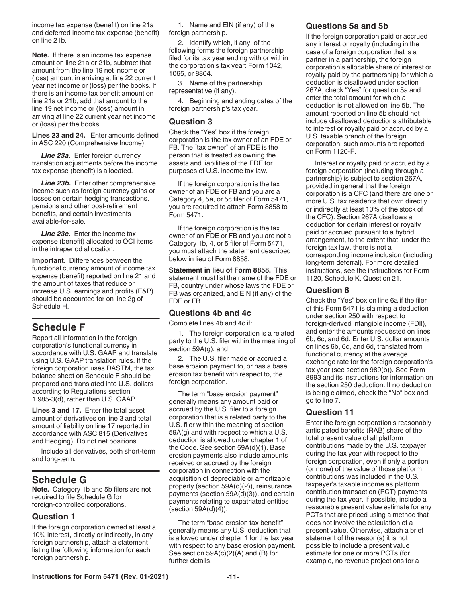<span id="page-10-0"></span>income tax expense (benefit) on line 21a and deferred income tax expense (benefit) on line 21b.

**Note.** If there is an income tax expense amount on line 21a or 21b, subtract that amount from the line 19 net income or (loss) amount in arriving at line 22 current year net income or (loss) per the books. If there is an income tax benefit amount on line 21a or 21b, add that amount to the line 19 net income or (loss) amount in arriving at line 22 current year net income or (loss) per the books.

**Lines 23 and 24.** Enter amounts defined in ASC 220 (Comprehensive Income).

**Line 23a.** Enter foreign currency translation adjustments before the income tax expense (benefit) is allocated.

**Line 23b.** Enter other comprehensive income such as foreign currency gains or losses on certain hedging transactions, pensions and other post-retirement benefits, and certain investments available-for-sale.

*Line 23c.* Enter the income tax expense (benefit) allocated to OCI items in the intraperiod allocation.

**Important.** Differences between the functional currency amount of income tax expense (benefit) reported on line 21 and the amount of taxes that reduce or increase U.S. earnings and profits (E&P) should be accounted for on line 2g of Schedule H.

# **Schedule F**

Report all information in the foreign corporation's functional currency in accordance with U.S. GAAP and translate using U.S. GAAP translation rules. If the foreign corporation uses DASTM, the tax balance sheet on Schedule F should be prepared and translated into U.S. dollars according to Regulations section 1.985-3(d), rather than U.S. GAAP.

**Lines 3 and 17.** Enter the total asset amount of derivatives on line 3 and total amount of liability on line 17 reported in accordance with ASC 815 (Derivatives and Hedging). Do not net positions.

Include all derivatives, both short-term and long-term.

# **Schedule G**

**Note.** Category 1b and 5b filers are not required to file Schedule G for foreign-controlled corporations.

# **Question 1**

If the foreign corporation owned at least a 10% interest, directly or indirectly, in any foreign partnership, attach a statement listing the following information for each foreign partnership.

1. Name and EIN (if any) of the foreign partnership.

2. Identify which, if any, of the following forms the foreign partnership filed for its tax year ending with or within the corporation's tax year: Form 1042, 1065, or 8804.

3. Name of the partnership representative (if any).

4. Beginning and ending dates of the foreign partnership's tax year.

### **Question 3**

Check the "Yes" box if the foreign corporation is the tax owner of an FDE or FB. The "tax owner" of an FDE is the person that is treated as owning the assets and liabilities of the FDE for purposes of U.S. income tax law.

If the foreign corporation is the tax owner of an FDE or FB and you are a Category 4, 5a, or 5c filer of Form 5471, you are required to attach Form 8858 to Form 5471.

If the foreign corporation is the tax owner of an FDE or FB and you are not a Category 1b, 4, or 5 filer of Form 5471, you must attach the statement described below in lieu of Form 8858.

**Statement in lieu of Form 8858.** This statement must list the name of the FDE or FB, country under whose laws the FDE or FB was organized, and EIN (if any) of the FDE or FB.

# **Questions 4b and 4c**

Complete lines 4b and 4c if:

1. The foreign corporation is a related party to the U.S. filer within the meaning of section 59A(g); and

2. The U.S. filer made or accrued a base erosion payment to, or has a base erosion tax benefit with respect to, the foreign corporation.

The term "base erosion payment" generally means any amount paid or accrued by the U.S. filer to a foreign corporation that is a related party to the U.S. filer within the meaning of section 59A(g) and with respect to which a U.S. deduction is allowed under chapter 1 of the Code. See section 59A(d)(1). Base erosion payments also include amounts received or accrued by the foreign corporation in connection with the acquisition of depreciable or amortizable property (section 59A(d)(2)), reinsurance payments (section 59A(d)(3)), and certain payments relating to expatriated entities (section 59A(d)(4)).

The term "base erosion tax benefit" generally means any U.S. deduction that is allowed under chapter 1 for the tax year with respect to any base erosion payment. See section  $59A(c)(2)(A)$  and  $(B)$  for further details.

# **Questions 5a and 5b**

If the foreign corporation paid or accrued any interest or royalty (including in the case of a foreign corporation that is a partner in a partnership, the foreign corporation's allocable share of interest or royalty paid by the partnership) for which a deduction is disallowed under section 267A, check "Yes" for question 5a and enter the total amount for which a deduction is not allowed on line 5b. The amount reported on line 5b should not include disallowed deductions attributable to interest or royalty paid or accrued by a U.S. taxable branch of the foreign corporation; such amounts are reported on Form 1120-F.

Interest or royalty paid or accrued by a foreign corporation (including through a partnership) is subject to section 267A, provided in general that the foreign corporation is a CFC (and there are one or more U.S. tax residents that own directly or indirectly at least 10% of the stock of the CFC). Section 267A disallows a deduction for certain interest or royalty paid or accrued pursuant to a hybrid arrangement, to the extent that, under the foreign tax law, there is not a corresponding income inclusion (including long-term deferral). For more detailed instructions, see the instructions for Form 1120, Schedule K, Question 21.

### **Question 6**

Check the "Yes" box on line 6a if the filer of this Form 5471 is claiming a deduction under section 250 with respect to foreign-derived intangible income (FDII), and enter the amounts requested on lines 6b, 6c, and 6d. Enter U.S. dollar amounts on lines 6b, 6c, and 6d, translated from functional currency at the average exchange rate for the foreign corporation's tax year (see section 989(b)). See Form 8993 and its instructions for information on the section 250 deduction. If no deduction is being claimed, check the "No" box and go to line 7.

# **Question 11**

Enter the foreign corporation's reasonably anticipated benefits (RAB) share of the total present value of all platform contributions made by the U.S. taxpayer during the tax year with respect to the foreign corporation, even if only a portion (or none) of the value of those platform contributions was included in the U.S. taxpayer's taxable income as platform contribution transaction (PCT) payments during the tax year. If possible, include a reasonable present value estimate for any PCTs that are priced using a method that does not involve the calculation of a present value. Otherwise, attach a brief statement of the reason(s) it is not possible to include a present value estimate for one or more PCTs (for example, no revenue projections for a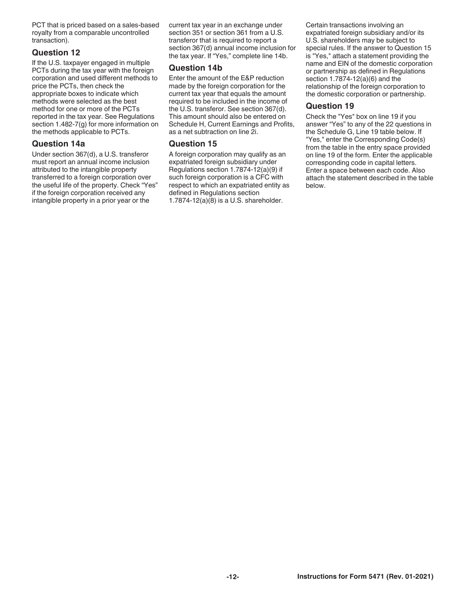PCT that is priced based on a sales-based royalty from a comparable uncontrolled transaction).

# **Question 12**

If the U.S. taxpayer engaged in multiple PCTs during the tax year with the foreign corporation and used different methods to price the PCTs, then check the appropriate boxes to indicate which methods were selected as the best method for one or more of the PCTs reported in the tax year. See Regulations section 1.482-7(g) for more information on the methods applicable to PCTs.

# **Question 14a**

Under section 367(d), a U.S. transferor must report an annual income inclusion attributed to the intangible property transferred to a foreign corporation over the useful life of the property. Check "Yes" if the foreign corporation received any intangible property in a prior year or the

current tax year in an exchange under section 351 or section 361 from a U.S. transferor that is required to report a section 367(d) annual income inclusion for the tax year. If "Yes," complete line 14b.

# **Question 14b**

Enter the amount of the E&P reduction made by the foreign corporation for the current tax year that equals the amount required to be included in the income of the U.S. transferor. See section 367(d). This amount should also be entered on Schedule H, Current Earnings and Profits, as a net subtraction on line 2i.

# **Question 15**

A foreign corporation may qualify as an expatriated foreign subsidiary under Regulations section 1.7874-12(a)(9) if such foreign corporation is a CFC with respect to which an expatriated entity as defined in Regulations section 1.7874-12(a)(8) is a U.S. shareholder.

Certain transactions involving an expatriated foreign subsidiary and/or its U.S. shareholders may be subject to special rules. If the answer to Question 15 is "Yes," attach a statement providing the name and EIN of the domestic corporation or partnership as defined in Regulations section 1.7874-12(a)(6) and the relationship of the foreign corporation to the domestic corporation or partnership.

# **Question 19**

Check the "Yes" box on line 19 if you answer "Yes" to any of the 22 questions in the Schedule G, Line 19 table below. If "Yes," enter the Corresponding Code(s) from the table in the entry space provided on line 19 of the form. Enter the applicable corresponding code in capital letters. Enter a space between each code. Also attach the statement described in the table below.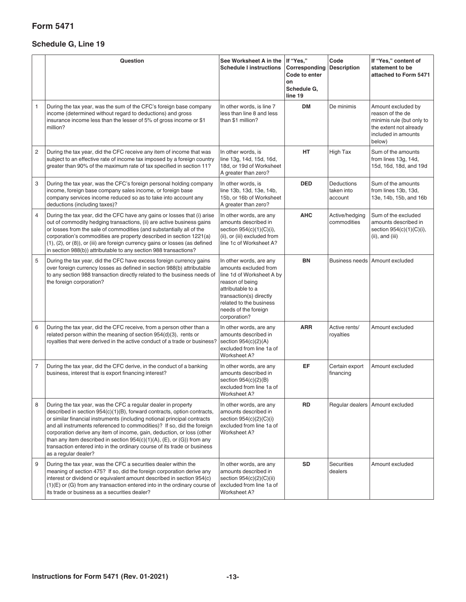# **Form 5471**

# **Schedule G, Line 19**

|   | Question                                                                                                                                                                                                                                                                                                                                                                                                                                                                                                                                                  | See Worksheet A in the If "Yes,"<br><b>Schedule I instructions</b>                                                                                                                                                  | Corresponding<br>Code to enter<br>on<br>Schedule G,<br>line 19 | Code<br><b>Description</b>          | If "Yes," content of<br>statement to be<br>attached to Form 5471                                                               |
|---|-----------------------------------------------------------------------------------------------------------------------------------------------------------------------------------------------------------------------------------------------------------------------------------------------------------------------------------------------------------------------------------------------------------------------------------------------------------------------------------------------------------------------------------------------------------|---------------------------------------------------------------------------------------------------------------------------------------------------------------------------------------------------------------------|----------------------------------------------------------------|-------------------------------------|--------------------------------------------------------------------------------------------------------------------------------|
| 1 | During the tax year, was the sum of the CFC's foreign base company<br>income (determined without regard to deductions) and gross<br>insurance income less than the lesser of 5% of gross income or \$1<br>million?                                                                                                                                                                                                                                                                                                                                        | In other words, is line 7<br>less than line 8 and less<br>than \$1 million?                                                                                                                                         | <b>DM</b>                                                      | De minimis                          | Amount excluded by<br>reason of the de<br>minimis rule (but only to<br>the extent not already<br>included in amounts<br>below) |
| 2 | During the tax year, did the CFC receive any item of income that was<br>subject to an effective rate of income tax imposed by a foreign country<br>greater than 90% of the maximum rate of tax specified in section 11?                                                                                                                                                                                                                                                                                                                                   | In other words, is<br>line 13g, 14d, 15d, 16d,<br>18d, or 19d of Worksheet<br>A greater than zero?                                                                                                                  | HT                                                             | High Tax                            | Sum of the amounts<br>from lines 13g, 14d,<br>15d, 16d, 18d, and 19d                                                           |
| 3 | During the tax year, was the CFC's foreign personal holding company<br>income, foreign base company sales income, or foreign base<br>company services income reduced so as to take into account any<br>deductions (including taxes)?                                                                                                                                                                                                                                                                                                                      | In other words, is<br>line 13b, 13d, 13e, 14b,<br>15b, or 16b of Worksheet<br>A greater than zero?                                                                                                                  | <b>DED</b>                                                     | Deductions<br>taken into<br>account | Sum of the amounts<br>from lines 13b, 13d,<br>13e, 14b, 15b, and 16b                                                           |
| 4 | During the tax year, did the CFC have any gains or losses that (i) arise<br>out of commodity hedging transactions, (ii) are active business gains<br>or losses from the sale of commodities (and substantially all of the<br>corporation's commodities are property described in section 1221(a)<br>(1), (2), or (8)), or (iii) are foreign currency gains or losses (as defined<br>in section 988(b)) attributable to any section 988 transactions?                                                                                                      | In other words, are any<br>amounts described in<br>section 954(c)(1)(C)(i),<br>(ii), or (iii) excluded from<br>line 1c of Worksheet A?                                                                              | <b>AHC</b>                                                     | Active/hedging<br>commodities       | Sum of the excluded<br>amounts described in<br>section 954(c)(1)(C)(i),<br>$(ii)$ , and $(iii)$                                |
| 5 | During the tax year, did the CFC have excess foreign currency gains<br>over foreign currency losses as defined in section 988(b) attributable<br>to any section 988 transaction directly related to the business needs of<br>the foreign corporation?                                                                                                                                                                                                                                                                                                     | In other words, are any<br>amounts excluded from<br>line 1d of Worksheet A by<br>reason of being<br>attributable to a<br>transaction(s) directly<br>related to the business<br>needs of the foreign<br>corporation? | BN                                                             |                                     | Business needs Amount excluded                                                                                                 |
| 6 | During the tax year, did the CFC receive, from a person other than a<br>related person within the meaning of section $954(d)(3)$ , rents or<br>royalties that were derived in the active conduct of a trade or business?                                                                                                                                                                                                                                                                                                                                  | In other words, are any<br>amounts described in<br>section $954(c)(2)(A)$<br>excluded from line 1a of<br>Worksheet A?                                                                                               | <b>ARR</b>                                                     | Active rents/<br>royalties          | Amount excluded                                                                                                                |
| 7 | During the tax year, did the CFC derive, in the conduct of a banking<br>business, interest that is export financing interest?                                                                                                                                                                                                                                                                                                                                                                                                                             | In other words, are any<br>amounts described in<br>section $954(c)(2)(B)$<br>excluded from line 1a of<br>Worksheet A?                                                                                               | EF                                                             | Certain export<br>financing         | Amount excluded                                                                                                                |
| 8 | During the tax year, was the CFC a regular dealer in property<br>described in section 954(c)(1)(B), forward contracts, option contracts,<br>or similar financial instruments (including notional principal contracts<br>and all instruments referenced to commodities)? If so, did the foreign<br>corporation derive any item of income, gain, deduction, or loss (other<br>than any item described in section $954(c)(1)(A)$ , (E), or (G)) from any<br>transaction entered into in the ordinary course of its trade or business<br>as a regular dealer? | In other words, are any<br>amounts described in<br>section 954(c)(2)(C)(i)<br>excluded from line 1a of<br>Worksheet A?                                                                                              | RD                                                             |                                     | Regular dealers   Amount excluded                                                                                              |
| 9 | During the tax year, was the CFC a securities dealer within the<br>meaning of section 475? If so, did the foreign corporation derive any<br>interest or dividend or equivalent amount described in section 954(c)<br>(1)(E) or (G) from any transaction entered into in the ordinary course of<br>its trade or business as a securities dealer?                                                                                                                                                                                                           | In other words, are any<br>amounts described in<br>section 954(c)(2)(C)(ii)<br>excluded from line 1a of<br>Worksheet A?                                                                                             | <b>SD</b>                                                      | <b>Securities</b><br>dealers        | Amount excluded                                                                                                                |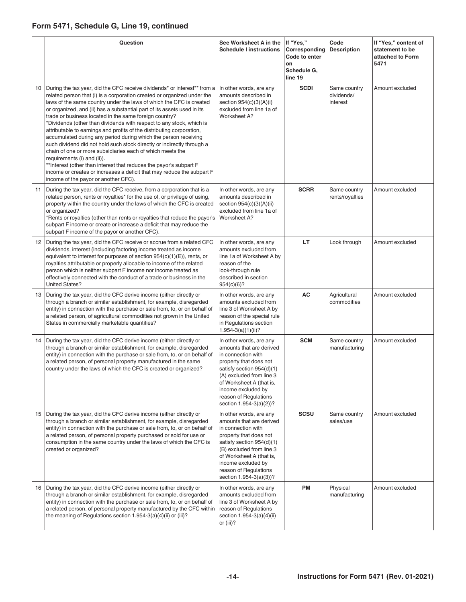# **Form 5471, Schedule G, Line 19, continued**

|    | Question                                                                                                                                                                                                                                                                                                                                                                                                                                                                                                                                                                                                                                                                                                                                                                                                                                                                                                                                           | See Worksheet A in the<br><b>Schedule I instructions</b>                                                                                                                                                                                                           | If "Yes,"<br>Corresponding<br>Code to enter<br>on<br>Schedule G,<br>line 19 | Code<br><b>Description</b>             | If "Yes," content of<br>statement to be<br>attached to Form<br>5471 |
|----|----------------------------------------------------------------------------------------------------------------------------------------------------------------------------------------------------------------------------------------------------------------------------------------------------------------------------------------------------------------------------------------------------------------------------------------------------------------------------------------------------------------------------------------------------------------------------------------------------------------------------------------------------------------------------------------------------------------------------------------------------------------------------------------------------------------------------------------------------------------------------------------------------------------------------------------------------|--------------------------------------------------------------------------------------------------------------------------------------------------------------------------------------------------------------------------------------------------------------------|-----------------------------------------------------------------------------|----------------------------------------|---------------------------------------------------------------------|
| 10 | During the tax year, did the CFC receive dividends* or interest** from a<br>related person that (i) is a corporation created or organized under the<br>laws of the same country under the laws of which the CFC is created<br>or organized, and (ii) has a substantial part of its assets used in its<br>trade or business located in the same foreign country?<br>*Dividends (other than dividends with respect to any stock, which is<br>attributable to earnings and profits of the distributing corporation,<br>accumulated during any period during which the person receiving<br>such dividend did not hold such stock directly or indirectly through a<br>chain of one or more subsidiaries each of which meets the<br>requirements (i) and (ii)).<br>** Interest (other than interest that reduces the payor's subpart F<br>income or creates or increases a deficit that may reduce the subpart F<br>income of the payor or another CFC). | In other words, are any<br>amounts described in<br>section $954(c)(3)(A)(i)$<br>excluded from line 1a of<br>Worksheet A?                                                                                                                                           | <b>SCDI</b>                                                                 | Same country<br>dividends/<br>interest | Amount excluded                                                     |
| 11 | During the tax year, did the CFC receive, from a corporation that is a<br>related person, rents or royalties* for the use of, or privilege of using,<br>property within the country under the laws of which the CFC is created<br>or organized?<br>*Rents or royalties (other than rents or royalties that reduce the payor's<br>subpart F income or create or increase a deficit that may reduce the<br>subpart F income of the payor or another CFC).                                                                                                                                                                                                                                                                                                                                                                                                                                                                                            | In other words, are any<br>amounts described in<br>section 954(c)(3)(A)(ii)<br>excluded from line 1a of<br>Worksheet A?                                                                                                                                            | <b>SCRR</b>                                                                 | Same country<br>rents/royalties        | Amount excluded                                                     |
| 12 | During the tax year, did the CFC receive or accrue from a related CFC<br>dividends, interest (including factoring income treated as income<br>equivalent to interest for purposes of section $954(c)(1)(E)$ , rents, or<br>royalties attributable or properly allocable to income of the related<br>person which is neither subpart F income nor income treated as<br>effectively connected with the conduct of a trade or business in the<br><b>United States?</b>                                                                                                                                                                                                                                                                                                                                                                                                                                                                                | In other words, are any<br>amounts excluded from<br>line 1a of Worksheet A by<br>reason of the<br>look-through rule<br>described in section<br>954(c)(6)?                                                                                                          | LT.                                                                         | Look through                           | Amount excluded                                                     |
| 13 | During the tax year, did the CFC derive income (either directly or<br>through a branch or similar establishment, for example, disregarded<br>entity) in connection with the purchase or sale from, to, or on behalf of<br>a related person, of agricultural commodities not grown in the United<br>States in commercially marketable quantities?                                                                                                                                                                                                                                                                                                                                                                                                                                                                                                                                                                                                   | In other words, are any<br>amounts excluded from<br>line 3 of Worksheet A by<br>reason of the special rule<br>in Regulations section<br>$1.954 - 3(a)(1)(ii)?$                                                                                                     | AC                                                                          | Agricultural<br>commodities            | Amount excluded                                                     |
| 14 | During the tax year, did the CFC derive income (either directly or<br>through a branch or similar establishment, for example, disregarded<br>entity) in connection with the purchase or sale from, to, or on behalf of<br>a related person, of personal property manufactured in the same<br>country under the laws of which the CFC is created or organized?                                                                                                                                                                                                                                                                                                                                                                                                                                                                                                                                                                                      | In other words, are any<br>amounts that are derived<br>in connection with<br>property that does not<br>satisfy section 954(d)(1)<br>(A) excluded from line 3<br>of Worksheet A (that is,<br>income excluded by<br>reason of Regulations<br>section 1.954-3(a)(2))? | <b>SCM</b>                                                                  | Same country<br>manufacturing          | Amount excluded                                                     |
| 15 | During the tax year, did the CFC derive income (either directly or<br>through a branch or similar establishment, for example, disregarded<br>entity) in connection with the purchase or sale from, to, or on behalf of<br>a related person, of personal property purchased or sold for use or<br>consumption in the same country under the laws of which the CFC is<br>created or organized?                                                                                                                                                                                                                                                                                                                                                                                                                                                                                                                                                       | In other words, are any<br>amounts that are derived<br>in connection with<br>property that does not<br>satisfy section 954(d)(1)<br>(B) excluded from line 3<br>of Worksheet A (that is,<br>income excluded by<br>reason of Regulations<br>section 1.954-3(a)(3))? | <b>SCSU</b>                                                                 | Same country<br>sales/use              | Amount excluded                                                     |
| 16 | During the tax year, did the CFC derive income (either directly or<br>through a branch or similar establishment, for example, disregarded<br>entity) in connection with the purchase or sale from, to, or on behalf of<br>a related person, of personal property manufactured by the CFC within<br>the meaning of Regulations section 1.954-3(a)(4)(ii) or (iii)?                                                                                                                                                                                                                                                                                                                                                                                                                                                                                                                                                                                  | In other words, are any<br>amounts excluded from<br>line 3 of Worksheet A by<br>reason of Regulations<br>section 1.954-3(a)(4)(ii)<br>or (iii)?                                                                                                                    | PM                                                                          | Physical<br>manufacturing              | Amount excluded                                                     |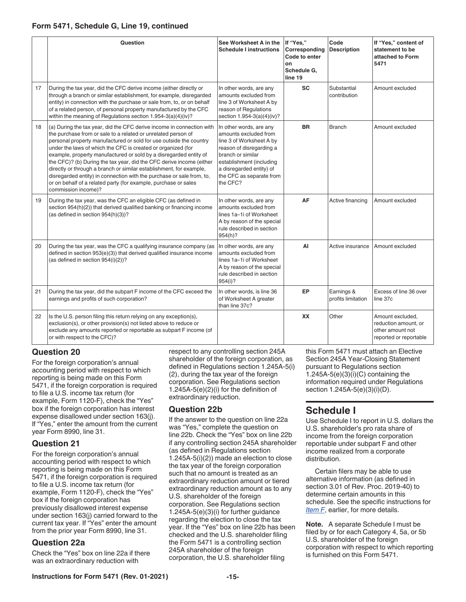# <span id="page-14-0"></span>**Form 5471, Schedule G, Line 19, continued**

|    | Question                                                                                                                                                                                                                                                                                                                                                                                                                                                                                                                                                                                                                                                            | See Worksheet A in the<br><b>Schedule I instructions</b>                                                                                                                                                                      | If "Yes,"<br>Corresponding<br>Code to enter<br>on<br>Schedule G.<br>line 19 | Code<br><b>Description</b>       | If "Yes," content of<br>statement to be<br>attached to Form<br>5471                    |
|----|---------------------------------------------------------------------------------------------------------------------------------------------------------------------------------------------------------------------------------------------------------------------------------------------------------------------------------------------------------------------------------------------------------------------------------------------------------------------------------------------------------------------------------------------------------------------------------------------------------------------------------------------------------------------|-------------------------------------------------------------------------------------------------------------------------------------------------------------------------------------------------------------------------------|-----------------------------------------------------------------------------|----------------------------------|----------------------------------------------------------------------------------------|
| 17 | During the tax year, did the CFC derive income (either directly or<br>through a branch or similar establishment, for example, disregarded<br>entity) in connection with the purchase or sale from, to, or on behalf<br>of a related person, of personal property manufactured by the CFC<br>within the meaning of Regulations section 1.954-3(a)(4)(iv)?                                                                                                                                                                                                                                                                                                            | In other words, are any<br>amounts excluded from<br>line 3 of Worksheet A by<br>reason of Regulations<br>section 1.954-3(a)(4)(iv)?                                                                                           | <b>SC</b>                                                                   | Substantial<br>contribution      | Amount excluded                                                                        |
| 18 | (a) During the tax year, did the CFC derive income in connection with<br>the purchase from or sale to a related or unrelated person of<br>personal property manufactured or sold for use outside the country<br>under the laws of which the CFC is created or organized (for<br>example, property manufactured or sold by a disregarded entity of<br>the CFC)? (b) During the tax year, did the CFC derive income (either<br>directly or through a branch or similar establishment, for example,<br>disregarded entity) in connection with the purchase or sale from, to,<br>or on behalf of a related party (for example, purchase or sales<br>commission income)? | In other words, are any<br>amounts excluded from<br>line 3 of Worksheet A by<br>reason of disregarding a<br>branch or similar<br>establishment (including<br>a disregarded entity) of<br>the CFC as separate from<br>the CFC? | <b>BR</b>                                                                   | <b>Branch</b>                    | Amount excluded                                                                        |
| 19 | During the tax year, was the CFC an eligible CFC (as defined in<br>section 954(h)(2)) that derived qualified banking or financing income<br>(as defined in section 954(h)(3))?                                                                                                                                                                                                                                                                                                                                                                                                                                                                                      | In other words, are any<br>amounts excluded from<br>lines 1a-1i of Worksheet<br>A by reason of the special<br>rule described in section<br>954(h)?                                                                            | AF                                                                          | Active financing                 | Amount excluded                                                                        |
| 20 | During the tax year, was the CFC a qualifying insurance company (as<br>defined in section 953(e)(3)) that derived qualified insurance income<br>(as defined in section 954(i)(2))?                                                                                                                                                                                                                                                                                                                                                                                                                                                                                  | In other words, are any<br>amounts excluded from<br>lines 1a-1i of Worksheet<br>A by reason of the special<br>rule described in section<br>954(i)?                                                                            | AI                                                                          | Active insurance                 | Amount excluded                                                                        |
| 21 | During the tax year, did the subpart F income of the CFC exceed the<br>earnings and profits of such corporation?                                                                                                                                                                                                                                                                                                                                                                                                                                                                                                                                                    | In other words, is line 36<br>of Worksheet A greater<br>than line 37c?                                                                                                                                                        | EP                                                                          | Earnings &<br>profits limitation | Excess of line 36 over<br>line 37c                                                     |
| 22 | Is the U.S. person filing this return relying on any exception(s),<br>exclusion(s), or other provision(s) not listed above to reduce or<br>exclude any amounts reported or reportable as subpart F income (of<br>or with respect to the CFC)?                                                                                                                                                                                                                                                                                                                                                                                                                       |                                                                                                                                                                                                                               | <b>XX</b>                                                                   | Other                            | Amount excluded,<br>reduction amount, or<br>other amount not<br>reported or reportable |

# **Question 20**

For the foreign corporation's annual accounting period with respect to which reporting is being made on this Form 5471, if the foreign corporation is required to file a U.S. income tax return (for example, Form 1120-F), check the "Yes" box if the foreign corporation has interest expense disallowed under section 163(j). If "Yes," enter the amount from the current year Form 8990, line 31.

# **Question 21**

For the foreign corporation's annual accounting period with respect to which reporting is being made on this Form 5471, if the foreign corporation is required to file a U.S. income tax return (for example, Form 1120-F), check the "Yes" box if the foreign corporation has previously disallowed interest expense under section 163(j) carried forward to the current tax year. If "Yes" enter the amount from the prior year Form 8990, line 31.

# **Question 22a**

Check the "Yes" box on line 22a if there was an extraordinary reduction with

respect to any controlling section 245A shareholder of the foreign corporation, as defined in Regulations section 1.245A-5(i) (2), during the tax year of the foreign corporation. See Regulations section 1.245A-5(e)(2)(i) for the definition of extraordinary reduction.

# **Question 22b**

If the answer to the question on line 22a was "Yes," complete the question on line 22b. Check the "Yes" box on line 22b if any controlling section 245A shareholder (as defined in Regulations section 1.245A-5(i)(2)) made an election to close the tax year of the foreign corporation such that no amount is treated as an extraordinary reduction amount or tiered extraordinary reduction amount as to any U.S. shareholder of the foreign corporation. See Regulations section 1.245A-5(e)(3)(i) for further guidance regarding the election to close the tax year. If the "Yes" box on line 22b has been checked and the U.S. shareholder filing the Form 5471 is a controlling section 245A shareholder of the foreign corporation, the U.S. shareholder filing

this Form 5471 must attach an Elective Section 245A Year-Closing Statement pursuant to Regulations section 1.245A-5 $(e)(3)(i)(C)$  containing the information required under Regulations section 1.245A-5(e)(3)(i)(D).

# **Schedule I**

Use Schedule I to report in U.S. dollars the U.S. shareholder's pro rata share of income from the foreign corporation reportable under subpart F and other income realized from a corporate distribution.

Certain filers may be able to use alternative information (as defined in section 3.01 of Rev. Proc. 2019-40) to determine certain amounts in this schedule. See the specific instructions for *[Item F](#page-7-0)*, earlier, for more details.

**Note.** A separate Schedule I must be filed by or for each Category 4, 5a, or 5b U.S. shareholder of the foreign corporation with respect to which reporting is furnished on this Form 5471.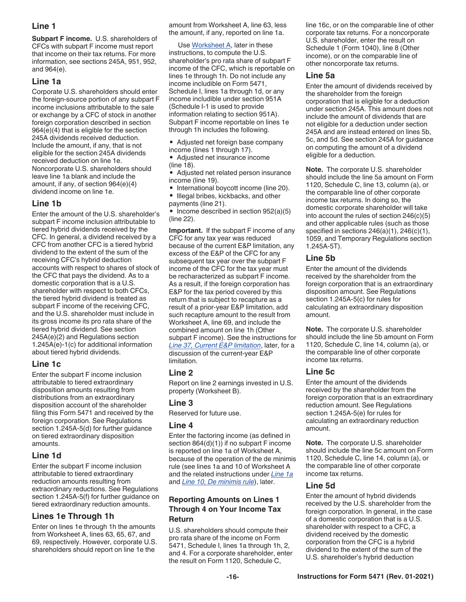# <span id="page-15-0"></span>**Line 1**

**Subpart F income.** U.S. shareholders of CFCs with subpart F income must report that income on their tax returns. For more information, see sections 245A, 951, 952, and 964(e).

# **Line 1a**

Corporate U.S. shareholders should enter the foreign-source portion of any subpart F income inclusions attributable to the sale or exchange by a CFC of stock in another foreign corporation described in section 964(e)(4) that is eligible for the section 245A dividends received deduction. Include the amount, if any, that is not eligible for the section 245A dividends received deduction on line 1e. Noncorporate U.S. shareholders should leave line 1a blank and include the amount, if any, of section 964(e)(4) dividend income on line 1e.

# **Line 1b**

Enter the amount of the U.S. shareholder's subpart F income inclusion attributable to tiered hybrid dividends received by the CFC. In general, a dividend received by a CFC from another CFC is a tiered hybrid dividend to the extent of the sum of the receiving CFC's hybrid deduction accounts with respect to shares of stock of the CFC that pays the dividend. As to a domestic corporation that is a U.S. shareholder with respect to both CFCs, the tiered hybrid dividend is treated as subpart F income of the receiving CFC, and the U.S. shareholder must include in its gross income its pro rata share of the tiered hybrid dividend. See section 245A(e)(2) and Regulations section 1.245A(e)-1(c) for additional information about tiered hybrid dividends.

# **Line 1c**

Enter the subpart F income inclusion attributable to tiered extraordinary disposition amounts resulting from distributions from an extraordinary disposition account of the shareholder filing this Form 5471 and received by the foreign corporation. See Regulations section 1.245A-5(d) for further guidance on tiered extraordinary disposition amounts.

# **Line 1d**

Enter the subpart F income inclusion attributable to tiered extraordinary reduction amounts resulting from extraordinary reductions. See Regulations section 1.245A-5(f) for further guidance on tiered extraordinary reduction amounts.

# **Lines 1e Through 1h**

Enter on lines 1e through 1h the amounts from Worksheet A, lines 63, 65, 67, and 69, respectively. However, corporate U.S. shareholders should report on line 1e the

amount from Worksheet A, line 63, less the amount, if any, reported on line 1a.

Use [Worksheet A](#page-17-0), later in these instructions, to compute the U.S. shareholder's pro rata share of subpart F income of the CFC, which is reportable on lines 1e through 1h. Do not include any income includible on Form 5471, Schedule I, lines 1a through 1d, or any income includible under section 951A (Schedule I-1 is used to provide information relating to section 951A). Subpart F income reportable on lines 1e through 1h includes the following.

- Adjusted net foreign base company
- income (lines 1 through 17). • Adjusted net insurance income (line 18).
- Adjusted net related person insurance income (line 19).
- International boycott income (line 20).
- Illegal bribes, kickbacks, and other payments (line 21).

• Income described in section 952(a)(5) (line 22).

**Important.** If the subpart F income of any CFC for any tax year was reduced because of the current E&P limitation, any excess of the E&P of the CFC for any subsequent tax year over the subpart F income of the CFC for the tax year must be recharacterized as subpart F income. As a result, if the foreign corporation has E&P for the tax period covered by this return that is subject to recapture as a result of a prior-year E&P limitation, add such recapture amount to the result from Worksheet A, line 69, and include the combined amount on line 1h (Other subpart F income). See the instructions for *[Line 37, Current E&P limitation](#page-21-0)*, later, for a discussion of the current-year E&P limitation.

# **Line 2**

Report on line 2 earnings invested in U.S. property (Worksheet B).

# **Line 3**

Reserved for future use.

# **Line 4**

Enter the factoring income (as defined in section 864(d)(1)) if no subpart F income is reported on line 1a of Worksheet A, because of the operation of the de minimis rule (see lines 1a and 10 of Worksheet A and the related instructions under *[Line 1a](#page-20-0)*  and *[Line 10, De minimis rule](#page-20-0)*), later.

# **Reporting Amounts on Lines 1 Through 4 on Your Income Tax Return**

U.S. shareholders should compute their pro rata share of the income on Form 5471, Schedule I, lines 1a through 1h, 2, and 4. For a corporate shareholder, enter the result on Form 1120, Schedule C,

line 16c, or on the comparable line of other corporate tax returns. For a noncorporate U.S. shareholder, enter the result on Schedule 1 (Form 1040), line 8 (Other income), or on the comparable line of other noncorporate tax returns.

### **Line 5a**

Enter the amount of dividends received by the shareholder from the foreign corporation that is eligible for a deduction under section 245A. This amount does not include the amount of dividends that are not eligible for a deduction under section 245A and are instead entered on lines 5b, 5c, and 5d. See section 245A for guidance on computing the amount of a dividend eligible for a deduction.

**Note.** The corporate U.S. shareholder should include the line 5a amount on Form 1120, Schedule C, line 13, column (a), or the comparable line of other corporate income tax returns. In doing so, the domestic corporate shareholder will take into account the rules of section 246(c)(5) and other applicable rules (such as those specified in sections 246(a)(1), 246(c)(1), 1059, and Temporary Regulations section 1.245A-5T).

# **Line 5b**

Enter the amount of the dividends received by the shareholder from the foreign corporation that is an extraordinary disposition amount. See Regulations section 1.245A-5(c) for rules for calculating an extraordinary disposition amount.

**Note.** The corporate U.S. shareholder should include the line 5b amount on Form 1120, Schedule C, line 14, column (a), or the comparable line of other corporate income tax returns.

# **Line 5c**

Enter the amount of the dividends received by the shareholder from the foreign corporation that is an extraordinary reduction amount. See Regulations section 1.245A-5(e) for rules for calculating an extraordinary reduction amount.

**Note.** The corporate U.S. shareholder should include the line 5c amount on Form 1120, Schedule C, line 14, column (a), or the comparable line of other corporate income tax returns.

# **Line 5d**

Enter the amount of hybrid dividends received by the U.S. shareholder from the foreign corporation. In general, in the case of a domestic corporation that is a U.S. shareholder with respect to a CFC, a dividend received by the domestic corporation from the CFC is a hybrid dividend to the extent of the sum of the U.S. shareholder's hybrid deduction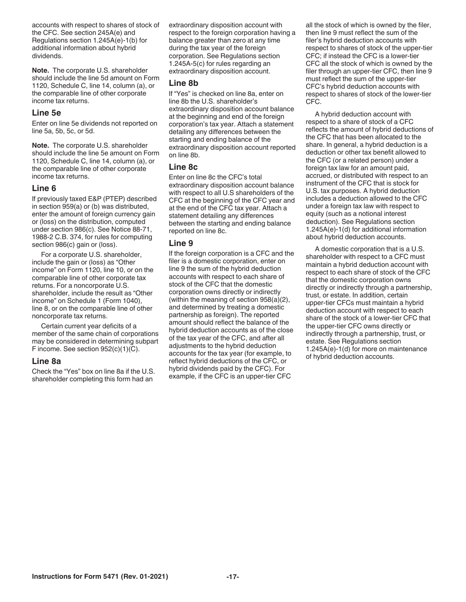<span id="page-16-0"></span>accounts with respect to shares of stock of the CFC. See section 245A(e) and Regulations section 1.245A(e)-1(b) for additional information about hybrid dividends.

**Note.** The corporate U.S. shareholder should include the line 5d amount on Form 1120, Schedule C, line 14, column (a), or the comparable line of other corporate income tax returns.

# **Line 5e**

Enter on line 5e dividends not reported on line 5a, 5b, 5c, or 5d.

**Note.** The corporate U.S. shareholder should include the line 5e amount on Form 1120, Schedule C, line 14, column (a), or the comparable line of other corporate income tax returns.

#### **Line 6**

If previously taxed E&P (PTEP) described in section 959(a) or (b) was distributed, enter the amount of foreign currency gain or (loss) on the distribution, computed under section 986(c). See Notice 88-71, 1988-2 C.B. 374, for rules for computing section 986(c) gain or (loss).

For a corporate U.S. shareholder, include the gain or (loss) as "Other income" on Form 1120, line 10, or on the comparable line of other corporate tax returns. For a noncorporate U.S. shareholder, include the result as "Other income" on Schedule 1 (Form 1040), line 8, or on the comparable line of other noncorporate tax returns.

Certain current year deficits of a member of the same chain of corporations may be considered in determining subpart F income. See section 952(c)(1)(C).

#### **Line 8a**

Check the "Yes" box on line 8a if the U.S. shareholder completing this form had an

extraordinary disposition account with respect to the foreign corporation having a balance greater than zero at any time during the tax year of the foreign corporation. See Regulations section 1.245A-5(c) for rules regarding an extraordinary disposition account.

#### **Line 8b**

If "Yes" is checked on line 8a, enter on line 8b the U.S. shareholder's extraordinary disposition account balance at the beginning and end of the foreign corporation's tax year. Attach a statement detailing any differences between the starting and ending balance of the extraordinary disposition account reported on line 8b.

# **Line 8c**

Enter on line 8c the CFC's total extraordinary disposition account balance with respect to all U.S shareholders of the CFC at the beginning of the CFC year and at the end of the CFC tax year. Attach a statement detailing any differences between the starting and ending balance reported on line 8c.

### **Line 9**

If the foreign corporation is a CFC and the filer is a domestic corporation, enter on line 9 the sum of the hybrid deduction accounts with respect to each share of stock of the CFC that the domestic corporation owns directly or indirectly (within the meaning of section 958(a)(2), and determined by treating a domestic partnership as foreign). The reported amount should reflect the balance of the hybrid deduction accounts as of the close of the tax year of the CFC, and after all adjustments to the hybrid deduction accounts for the tax year (for example, to reflect hybrid deductions of the CFC, or hybrid dividends paid by the CFC). For example, if the CFC is an upper-tier CFC

all the stock of which is owned by the filer, then line 9 must reflect the sum of the filer's hybrid deduction accounts with respect to shares of stock of the upper-tier CFC; if instead the CFC is a lower-tier CFC all the stock of which is owned by the filer through an upper-tier CFC, then line 9 must reflect the sum of the upper-tier CFC's hybrid deduction accounts with respect to shares of stock of the lower-tier CFC.

A hybrid deduction account with respect to a share of stock of a CFC reflects the amount of hybrid deductions of the CFC that has been allocated to the share. In general, a hybrid deduction is a deduction or other tax benefit allowed to the CFC (or a related person) under a foreign tax law for an amount paid, accrued, or distributed with respect to an instrument of the CFC that is stock for U.S. tax purposes. A hybrid deduction includes a deduction allowed to the CFC under a foreign tax law with respect to equity (such as a notional interest deduction). See Regulations section 1.245A(e)-1(d) for additional information about hybrid deduction accounts.

A domestic corporation that is a U.S. shareholder with respect to a CFC must maintain a hybrid deduction account with respect to each share of stock of the CFC that the domestic corporation owns directly or indirectly through a partnership, trust, or estate. In addition, certain upper-tier CFCs must maintain a hybrid deduction account with respect to each share of the stock of a lower-tier CFC that the upper-tier CFC owns directly or indirectly through a partnership, trust, or estate. See Regulations section 1.245A(e)-1(d) for more on maintenance of hybrid deduction accounts.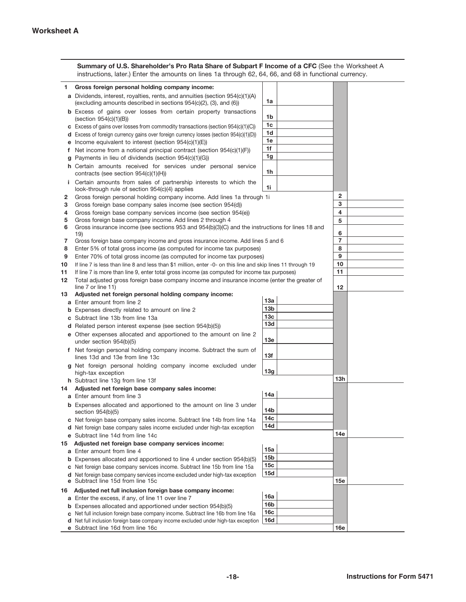<span id="page-17-0"></span>

|    | Summary of U.S. Shareholder's Pro Rata Share of Subpart F Income of a CFC (See the Worksheet A<br>instructions, later.) Enter the amounts on lines 1a through 62, 64, 66, and 68 in functional currency. |                                        |                         |
|----|----------------------------------------------------------------------------------------------------------------------------------------------------------------------------------------------------------|----------------------------------------|-------------------------|
| 1. | Gross foreign personal holding company income:                                                                                                                                                           |                                        |                         |
|    | a Dividends, interest, royalties, rents, and annuities (section 954(c)(1)(A)<br>(excluding amounts described in sections 954(c)(2), (3), and (6))                                                        | 1a                                     |                         |
|    | <b>b</b> Excess of gains over losses from certain property transactions<br>$(\text{section } 954(c)(1)(B))$ .                                                                                            | 1b                                     |                         |
|    | $\textbf{c}$ Excess of gains over losses from commodity transactions (section 954(c)(1)(C))                                                                                                              | 1c                                     |                         |
|    | d Excess of foreign currency gains over foreign currency losses (section 954(c)(1)(D))                                                                                                                   | 1d                                     |                         |
|    | <b>e</b> Income equivalent to interest (section $954(c)(1)(E)$ ).                                                                                                                                        | 1e                                     |                         |
| f. | Net income from a notional principal contract (section 954(c)(1)(F)).                                                                                                                                    | 1f                                     |                         |
|    | <b>g</b> Payments in lieu of dividends (section $954(c)(1)(G)$ ) $\ldots$ $\ldots$                                                                                                                       | 1g                                     |                         |
|    | h Certain amounts received for services under personal service<br>contracts (see section $954(c)(1)(H)$ ) $\ldots$ $\ldots$ $\ldots$                                                                     | 1h                                     |                         |
|    | Certain amounts from sales of partnership interests to which the<br>look-through rule of section $954(c)(4)$ applies                                                                                     | 1i                                     |                         |
| 2  | Gross foreign personal holding company income. Add lines 1a through 1i.                                                                                                                                  |                                        | $\mathbf{2}$            |
| 3  | Gross foreign base company sales income (see section 954(d))                                                                                                                                             |                                        | 3                       |
| 4  | Gross foreign base company services income (see section 954(e) exercise to the contract of the Gross of Gross                                                                                            |                                        | $\overline{\mathbf{4}}$ |
| 5  | Gross foreign base company income. Add lines 2 through 4                                                                                                                                                 | and the company of the company of      | 5                       |
| 6  | Gross insurance income (see sections 953 and 954(b)(3)(C) and the instructions for lines 18 and<br>19)<br><u>.</u><br>the contract of the contract of the con-                                           |                                        | 6                       |
| 7  | Gross foreign base company income and gross insurance income. Add lines 5 and 6                                                                                                                          |                                        | $\overline{7}$          |
| 8  | Enter 5% of total gross income (as computed for income tax purposes).                                                                                                                                    |                                        | 8                       |
| 9  | Enter 70% of total gross income (as computed for income tax purposes)                                                                                                                                    | and a state of the state               | 9                       |
| 10 | If line 7 is less than line 8 and less than \$1 million, enter -0- on this line and skip lines 11 through 19                                                                                             |                                        | 10                      |
| 11 | If line 7 is more than line 9, enter total gross income (as computed for income tax purposes).                                                                                                           |                                        | 11                      |
| 12 | Total adjusted gross foreign base company income and insurance income (enter the greater of                                                                                                              |                                        |                         |
| 13 | $line 7$ or line 11) $\ldots$ $\ldots$ $\ldots$ $\ldots$ $\ldots$ $\ldots$ $\ldots$ $\ldots$ $\ldots$ $\ldots$ $\ldots$ $\ldots$<br>Adjusted net foreign personal holding company income:                |                                        | 12                      |
|    | a Enter amount from line 2                                                                                                                                                                               | 13а                                    |                         |
|    | <b>b</b> Expenses directly related to amount on line 2                                                                                                                                                   | 13 <sub>b</sub>                        |                         |
|    | c Subtract line 13b from line 13a                                                                                                                                                                        | 13с                                    |                         |
|    | d Related person interest expense (see section 954(b)(5))                                                                                                                                                | 13d                                    |                         |
|    | e Other expenses allocated and apportioned to the amount on line 2                                                                                                                                       |                                        |                         |
|    | under section 954(b)(5)<br>the contract of the contract of the contract of the                                                                                                                           | 13e                                    |                         |
|    | f Net foreign personal holding company income. Subtract the sum of<br>lines 13d and 13e from line 13c $\ldots$ $\ldots$ $\ldots$ $\ldots$ $\ldots$                                                       | 13f                                    |                         |
|    | g Net foreign personal holding company income excluded under<br>high-tax exception                                                                                                                       | 13g                                    |                         |
|    | h Subtract line 13g from line 13f                                                                                                                                                                        |                                        | 13h                     |
| 14 | Adjusted net foreign base company sales income:                                                                                                                                                          | 14a                                    |                         |
|    | a Enter amount from line 3                                                                                                                                                                               |                                        |                         |
|    | <b>b</b> Expenses allocated and apportioned to the amount on line 3 under<br>section $954(b)(5)$                                                                                                         | 14b                                    |                         |
|    | c Net foreign base company sales income. Subtract line 14b from line 14a                                                                                                                                 | 14 <sub>c</sub>                        |                         |
|    | d Net foreign base company sales income excluded under high-tax exception.                                                                                                                               | 14d                                    |                         |
|    | e Subtract line 14d from line 14c                                                                                                                                                                        |                                        | 14e                     |
| 15 | Adjusted net foreign base company services income:                                                                                                                                                       |                                        |                         |
|    | a Enter amount from line 4                                                                                                                                                                               | 15a                                    |                         |
|    | <b>b</b> Expenses allocated and apportioned to line 4 under section 954(b)(5)                                                                                                                            | 15b                                    |                         |
|    | c Net foreign base company services income. Subtract line 15b from line 15a.                                                                                                                             | 15c                                    |                         |
| е  | <b>d</b> Net foreign base company services income excluded under high-tax exception<br>Subtract line 15d from line 15c<br>and the second control of the second                                           | 15d                                    | 15e                     |
| 16 | Adjusted net full inclusion foreign base company income:                                                                                                                                                 |                                        |                         |
|    | <b>a</b> Enter the excess, if any, of line 11 over line $7 \cdot \cdot \cdot \cdot$                                                                                                                      | 16a                                    |                         |
|    | <b>b</b> Expenses allocated and apportioned under section 954(b)(5)                                                                                                                                      | 16b                                    |                         |
|    | c Net full inclusion foreign base company income. Subtract line 16b from line 16a                                                                                                                        | 16с<br>16d                             |                         |
|    | d Net full inclusion foreign base company income excluded under high-tax exception                                                                                                                       | $\mathbf{z} = \mathbf{z} + \mathbf{z}$ | 16e                     |
|    |                                                                                                                                                                                                          |                                        |                         |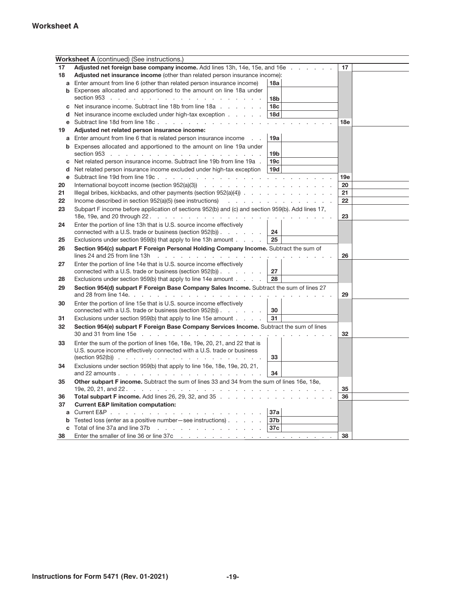# **Worksheet A**

|    | <b>Worksheet A</b> (continued) (See instructions.)                                                                      |                                       |                 |
|----|-------------------------------------------------------------------------------------------------------------------------|---------------------------------------|-----------------|
| 17 | Adjusted net foreign base company income. Add lines 13h, 14e, 15e, and 16e                                              |                                       | 17              |
| 18 | Adjusted net insurance income (other than related person insurance income):                                             |                                       |                 |
|    | a Enter amount from line 6 (other than related person insurance income)                                                 | 18a                                   |                 |
|    | <b>b</b> Expenses allocated and apportioned to the amount on line 18a under                                             |                                       |                 |
|    |                                                                                                                         | 18 <sub>b</sub>                       |                 |
|    | <b>c</b> Net insurance income. Subtract line 18b from line $18a$ , $\ldots$ , $\ldots$                                  | 18 <sub>c</sub>                       |                 |
| d  | Net insurance income excluded under high-tax exception                                                                  | 18d                                   |                 |
|    |                                                                                                                         | $\mathcal{L}=\mathcal{L}=\mathcal{L}$ | 18 <sub>e</sub> |
| 19 | Adjusted net related person insurance income:                                                                           |                                       |                 |
|    | <b>a</b> Enter amount from line 6 that is related person insurance income                                               | 19a                                   |                 |
|    | <b>b</b> Expenses allocated and apportioned to the amount on line 19a under                                             |                                       |                 |
|    | section 953 $\ldots$ $\ldots$ $\ldots$ $\ldots$ $\ldots$ $\ldots$ $\ldots$ $\ldots$ $\ldots$ $\ldots$                   | 19 <sub>b</sub>                       |                 |
| с  | Net related person insurance income. Subtract line 19b from line 19a.                                                   | 19 <sub>c</sub>                       |                 |
| d  | Net related person insurance income excluded under high-tax exception                                                   | 19d                                   |                 |
| е  |                                                                                                                         |                                       | 19e             |
| 20 |                                                                                                                         |                                       | 20              |
| 21 |                                                                                                                         |                                       | 21              |
| 22 |                                                                                                                         |                                       | 22              |
| 23 | Subpart F income before application of sections 952(b) and (c) and section 959(b). Add lines 17,                        |                                       |                 |
|    |                                                                                                                         |                                       | 23              |
| 24 | Enter the portion of line 13h that is U.S. source income effectively                                                    |                                       |                 |
|    | connected with a U.S. trade or business (section 952(b))                                                                | 24                                    |                 |
| 25 | Exclusions under section 959(b) that apply to line 13h amount                                                           | 25                                    |                 |
| 26 | Section 954(c) subpart F Foreign Personal Holding Company Income. Subtract the sum of                                   |                                       |                 |
|    | lines 24 and 25 from line 13h $\ldots$ $\ldots$ $\ldots$ $\ldots$ $\ldots$ $\ldots$ $\ldots$ $\ldots$ $\ldots$ $\ldots$ |                                       | 26              |
| 27 | Enter the portion of line 14e that is U.S. source income effectively                                                    |                                       |                 |
|    | connected with a U.S. trade or business (section $952(b)$ )                                                             | 27                                    |                 |
| 28 | Exclusions under section 959(b) that apply to line 14e amount $\ldots$                                                  | 28                                    |                 |
| 29 | Section 954(d) subpart F Foreign Base Company Sales Income. Subtract the sum of lines 27                                |                                       |                 |
|    |                                                                                                                         |                                       | 29              |
| 30 | Enter the portion of line 15e that is U.S. source income effectively                                                    |                                       |                 |
|    | connected with a U.S. trade or business (section $952(b)$ )                                                             | 30                                    |                 |
| 31 | Exclusions under section 959(b) that apply to line 15e amount                                                           | 31                                    |                 |
| 32 | Section 954(e) subpart F Foreign Base Company Services Income. Subtract the sum of lines                                |                                       |                 |
|    |                                                                                                                         |                                       | 32              |
| 33 | Enter the sum of the portion of lines 16e, 18e, 19e, 20, 21, and 22 that is                                             |                                       |                 |
|    | U.S. source income effectively connected with a U.S. trade or business                                                  |                                       |                 |
|    | $(\text{section } 952(b))$                                                                                              | 33                                    |                 |
| 34 | Exclusions under section 959(b) that apply to line 16e, 18e, 19e, 20, 21,                                               |                                       |                 |
|    | and 22 amounts $\cdots$ $\cdots$ $\cdots$ $\cdots$ $\cdots$ $\cdots$ $\cdots$                                           | 34                                    |                 |
| 35 | Other subpart F income. Subtract the sum of lines 33 and 34 from the sum of lines 16e. 18e.                             |                                       | 35              |
| 36 | Total subpart Fincome. Add lines 26, 29, 32, and 35                                                                     |                                       | 36              |
| 37 | <b>Current E&amp;P limitation computation:</b>                                                                          |                                       |                 |
| a  |                                                                                                                         | 37a                                   |                 |
| b  | Tested loss (enter as a positive number-see instructions)                                                               | 37b                                   |                 |
|    | c Total of line 37a and line 37b $\ldots$ $\ldots$ $\ldots$ $\ldots$ $\ldots$ $\ldots$                                  | 37c                                   |                 |
| 38 | Enter the smaller of line 36 or line 37c                                                                                |                                       | 38              |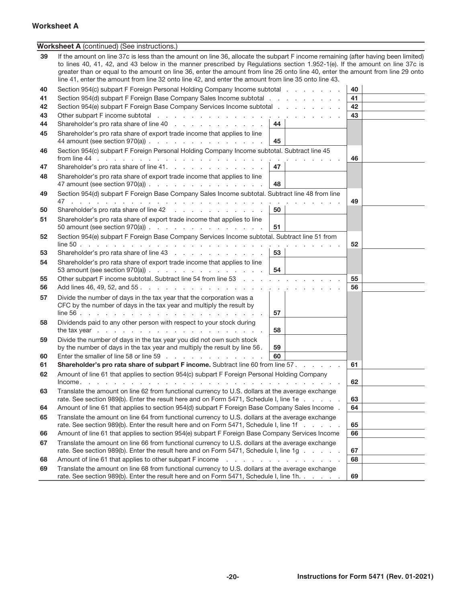# **-20- Instructions for Form 5471 (Rev. 01-2021)**

# **Worksheet A**

|    | <b>Worksheet A</b> (continued) (See instructions.)                                                                                                                                                                                                                                                                                                                                                                                                                                                        |    |    |
|----|-----------------------------------------------------------------------------------------------------------------------------------------------------------------------------------------------------------------------------------------------------------------------------------------------------------------------------------------------------------------------------------------------------------------------------------------------------------------------------------------------------------|----|----|
| 39 | If the amount on line 37c is less than the amount on line 36, allocate the subpart F income remaining (after having been limited)<br>to lines 40, 41, 42, and 43 below in the manner prescribed by Regulations section 1.952-1(e). If the amount on line 37c is<br>greater than or equal to the amount on line 36, enter the amount from line 26 onto line 40, enter the amount from line 29 onto<br>line 41, enter the amount from line 32 onto line 42, and enter the amount from line 35 onto line 43. |    |    |
| 40 | Section 954(c) subpart F Foreign Personal Holding Company Income subtotal                                                                                                                                                                                                                                                                                                                                                                                                                                 |    | 40 |
| 41 | Section 954(d) subpart F Foreign Base Company Sales Income subtotal                                                                                                                                                                                                                                                                                                                                                                                                                                       |    | 41 |
| 42 | Section 954(e) subpart F Foreign Base Company Services Income subtotal                                                                                                                                                                                                                                                                                                                                                                                                                                    |    | 42 |
| 43 |                                                                                                                                                                                                                                                                                                                                                                                                                                                                                                           |    | 43 |
| 44 | Shareholder's pro rata share of line 40                                                                                                                                                                                                                                                                                                                                                                                                                                                                   | 44 |    |
| 45 | Shareholder's pro rata share of export trade income that applies to line<br>44 amount (see section $970(a)$ )                                                                                                                                                                                                                                                                                                                                                                                             | 45 |    |
| 46 | Section 954(c) subpart F Foreign Personal Holding Company Income subtotal. Subtract line 45                                                                                                                                                                                                                                                                                                                                                                                                               |    | 46 |
| 47 | Shareholder's pro rata share of line 41.                                                                                                                                                                                                                                                                                                                                                                                                                                                                  | 47 |    |
| 48 | Shareholder's pro rata share of export trade income that applies to line<br>47 amount (see section 970(a)) $\ldots$ $\ldots$ $\ldots$ $\ldots$ $\ldots$ $\ldots$                                                                                                                                                                                                                                                                                                                                          | 48 |    |
| 49 | Section 954(d) subpart F Foreign Base Company Sales Income subtotal. Subtract line 48 from line                                                                                                                                                                                                                                                                                                                                                                                                           |    |    |
|    |                                                                                                                                                                                                                                                                                                                                                                                                                                                                                                           |    | 49 |
| 50 | Shareholder's pro rata share of line 42                                                                                                                                                                                                                                                                                                                                                                                                                                                                   | 50 |    |
| 51 | Shareholder's pro rata share of export trade income that applies to line<br>50 amount (see section $970(a)$ )                                                                                                                                                                                                                                                                                                                                                                                             | 51 |    |
| 52 | Section 954(e) subpart F Foreign Base Company Services Income subtotal. Subtract line 51 from                                                                                                                                                                                                                                                                                                                                                                                                             |    | 52 |
| 53 | Shareholder's pro rata share of line 43                                                                                                                                                                                                                                                                                                                                                                                                                                                                   | 53 |    |
| 54 | Shareholder's pro rata share of export trade income that applies to line<br>53 amount (see section 970(a)) $\ldots$ $\ldots$ $\ldots$ $\ldots$ $\ldots$ $\ldots$ $\mid$ 54                                                                                                                                                                                                                                                                                                                                |    |    |
| 55 | Other subpart F income subtotal. Subtract line 54 from line 53                                                                                                                                                                                                                                                                                                                                                                                                                                            |    | 55 |
| 56 |                                                                                                                                                                                                                                                                                                                                                                                                                                                                                                           |    | 56 |
| 57 | Divide the number of days in the tax year that the corporation was a                                                                                                                                                                                                                                                                                                                                                                                                                                      |    |    |
|    | CFC by the number of days in the tax year and multiply the result by                                                                                                                                                                                                                                                                                                                                                                                                                                      |    |    |
|    |                                                                                                                                                                                                                                                                                                                                                                                                                                                                                                           | 57 |    |
| 58 | Dividends paid to any other person with respect to your stock during                                                                                                                                                                                                                                                                                                                                                                                                                                      | 58 |    |
| 59 | Divide the number of days in the tax year you did not own such stock                                                                                                                                                                                                                                                                                                                                                                                                                                      |    |    |
|    | by the number of days in the tax year and multiply the result by line 56.                                                                                                                                                                                                                                                                                                                                                                                                                                 | 59 |    |
| 60 | Enter the smaller of line 58 or line 59                                                                                                                                                                                                                                                                                                                                                                                                                                                                   | 60 |    |
| 61 | Shareholder's pro rata share of subpart F income. Subtract line 60 from line 57.                                                                                                                                                                                                                                                                                                                                                                                                                          |    | 61 |
| 62 | Amount of line 61 that applies to section 954(c) subpart F Foreign Personal Holding Company                                                                                                                                                                                                                                                                                                                                                                                                               |    | 62 |
| 63 | Translate the amount on line 62 from functional currency to U.S. dollars at the average exchange<br>rate. See section 989(b). Enter the result here and on Form 5471, Schedule I, line 1e                                                                                                                                                                                                                                                                                                                 |    | 63 |
| 64 | Amount of line 61 that applies to section 954(d) subpart F Foreign Base Company Sales Income .                                                                                                                                                                                                                                                                                                                                                                                                            |    | 64 |
| 65 | Translate the amount on line 64 from functional currency to U.S. dollars at the average exchange<br>rate. See section 989(b). Enter the result here and on Form 5471, Schedule I, line 1f                                                                                                                                                                                                                                                                                                                 |    | 65 |
| 66 | Amount of line 61 that applies to section 954(e) subpart F Foreign Base Company Services Income                                                                                                                                                                                                                                                                                                                                                                                                           |    | 66 |
| 67 | Translate the amount on line 66 from functional currency to U.S. dollars at the average exchange                                                                                                                                                                                                                                                                                                                                                                                                          |    |    |
|    | rate. See section 989(b). Enter the result here and on Form 5471, Schedule I, line 1g                                                                                                                                                                                                                                                                                                                                                                                                                     |    | 67 |
| 68 | Amount of line 61 that applies to other subpart Fincome                                                                                                                                                                                                                                                                                                                                                                                                                                                   |    | 68 |
| 69 | Translate the amount on line 68 from functional currency to U.S. dollars at the average exchange<br>rate. See section 989(b). Enter the result here and on Form 5471, Schedule I, line 1h.                                                                                                                                                                                                                                                                                                                |    | 69 |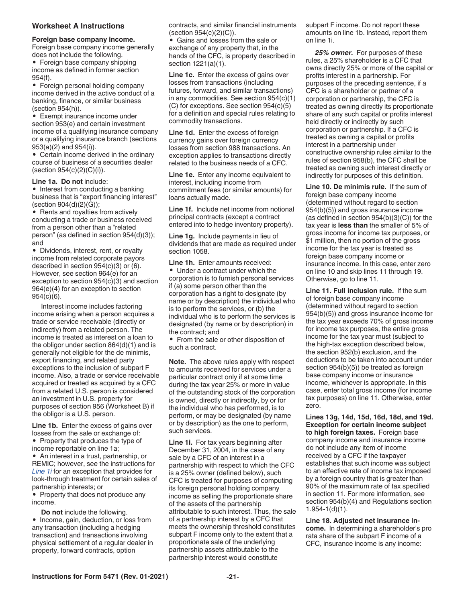#### <span id="page-20-0"></span>**Worksheet A Instructions**

#### **Foreign base company income.**

Foreign base company income generally does not include the following.

• Foreign base company shipping income as defined in former section 954(f).

• Foreign personal holding company income derived in the active conduct of a banking, finance, or similar business (section 954(h)).

• Exempt insurance income under section 953(e) and certain investment income of a qualifying insurance company or a qualifying insurance branch (sections 953(a)(2) and 954(i)).

• Certain income derived in the ordinary course of business of a securities dealer (section 954(c)(2)(C)(i)).

#### **Line 1a. Do not** include:

• Interest from conducting a banking business that is "export financing interest" (section 904(d)(2)(G));

• Rents and royalties from actively conducting a trade or business received from a person other than a "related person" (as defined in section 954(d)(3)); and

• Dividends, interest, rent, or royalty income from related corporate payors described in section 954(c)(3) or (6). However, see section 964(e) for an exception to section 954(c)(3) and section 964(e)(4) for an exception to section 954(c)(6).

Interest income includes factoring income arising when a person acquires a trade or service receivable (directly or indirectly) from a related person. The income is treated as interest on a loan to the obligor under section 864(d)(1) and is generally not eligible for the de minimis, export financing, and related party exceptions to the inclusion of subpart F income. Also, a trade or service receivable acquired or treated as acquired by a CFC from a related U.S. person is considered an investment in U.S. property for purposes of section 956 (Worksheet B) if the obligor is a U.S. person.

**Line 1b.** Enter the excess of gains over losses from the sale or exchange of: • Property that produces the type of

income reportable on line 1a; • An interest in a trust, partnership, or

REMIC; however, see the instructions for *Line 1i* for an exception that provides for look-through treatment for certain sales of partnership interests; or

• Property that does not produce any income.

**Do not** include the following.

• Income, gain, deduction, or loss from any transaction (including a hedging transaction) and transactions involving physical settlement of a regular dealer in property, forward contracts, option

contracts, and similar financial instruments (section 954(c)(2)(C)).

• Gains and losses from the sale or exchange of any property that, in the hands of the CFC, is property described in section 1221(a)(1).

**Line 1c.** Enter the excess of gains over losses from transactions (including futures, forward, and similar transactions) in any commodities. See section 954(c)(1) (C) for exceptions. See section 954(c)(5) for a definition and special rules relating to commodity transactions.

**Line 1d.** Enter the excess of foreign currency gains over foreign currency losses from section 988 transactions. An exception applies to transactions directly related to the business needs of a CFC.

**Line 1e.** Enter any income equivalent to interest, including income from commitment fees (or similar amounts) for loans actually made.

**Line 1f.** Include net income from notional principal contracts (except a contract entered into to hedge inventory property).

**Line 1g.** Include payments in lieu of dividends that are made as required under section 1058.

**Line 1h.** Enter amounts received: • Under a contract under which the corporation is to furnish personal services if (a) some person other than the corporation has a right to designate (by name or by description) the individual who is to perform the services, or (b) the individual who is to perform the services is designated (by name or by description) in the contract; and

• From the sale or other disposition of such a contract.

**Note.** The above rules apply with respect to amounts received for services under a particular contract only if at some time during the tax year 25% or more in value of the outstanding stock of the corporation is owned, directly or indirectly, by or for the individual who has performed, is to perform, or may be designated (by name or by description) as the one to perform, such services.

**Line 1i.** For tax years beginning after December 31, 2004, in the case of any sale by a CFC of an interest in a partnership with respect to which the CFC is a 25% owner (defined below), such CFC is treated for purposes of computing its foreign personal holding company income as selling the proportionate share of the assets of the partnership attributable to such interest. Thus, the sale of a partnership interest by a CFC that meets the ownership threshold constitutes subpart F income only to the extent that a proportionate sale of the underlying partnership assets attributable to the partnership interest would constitute

subpart F income. Do not report these amounts on line 1b. Instead, report them on line 1i.

*25% owner.* For purposes of these rules, a 25% shareholder is a CFC that owns directly 25% or more of the capital or profits interest in a partnership. For purposes of the preceding sentence, if a CFC is a shareholder or partner of a corporation or partnership, the CFC is treated as owning directly its proportionate share of any such capital or profits interest held directly or indirectly by such corporation or partnership. If a CFC is treated as owning a capital or profits interest in a partnership under constructive ownership rules similar to the rules of section 958(b), the CFC shall be treated as owning such interest directly or indirectly for purposes of this definition.

**Line 10. De minimis rule.** If the sum of foreign base company income (determined without regard to section 954(b)(5)) and gross insurance income (as defined in section  $954(b)(3)(C)$ ) for the tax year is **less than** the smaller of 5% of gross income for income tax purposes, or \$1 million, then no portion of the gross income for the tax year is treated as foreign base company income or insurance income. In this case, enter zero on line 10 and skip lines 11 through 19. Otherwise, go to line 11.

**Line 11. Full inclusion rule.** If the sum of foreign base company income (determined without regard to section 954(b)(5)) and gross insurance income for the tax year exceeds 70% of gross income for income tax purposes, the entire gross income for the tax year must (subject to the high-tax exception described below, the section 952(b) exclusion, and the deductions to be taken into account under section 954(b)(5)) be treated as foreign base company income or insurance income, whichever is appropriate. In this case, enter total gross income (for income tax purposes) on line 11. Otherwise, enter zero.

**Lines 13g, 14d, 15d, 16d, 18d, and 19d. Exception for certain income subject to high foreign taxes.** Foreign base company income and insurance income do not include any item of income received by a CFC if the taxpayer establishes that such income was subject to an effective rate of income tax imposed by a foreign country that is greater than 90% of the maximum rate of tax specified in section 11. For more information, see section 954(b)(4) and Regulations section 1.954-1(d)(1).

**Line 18. Adjusted net insurance income.** In determining a shareholder's pro rata share of the subpart F income of a CFC, insurance income is any income: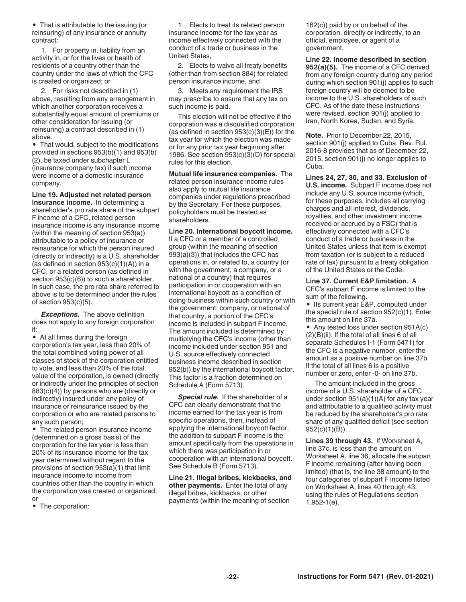<span id="page-21-0"></span>• That is attributable to the issuing (or reinsuring) of any insurance or annuity contract:

1. For property in, liability from an activity in, or for the lives or health of residents of a country other than the country under the laws of which the CFC is created or organized; or

2. For risks not described in (1) above, resulting from any arrangement in which another corporation receives a substantially equal amount of premiums or other consideration for issuing (or reinsuring) a contract described in (1) above.

• That would, subject to the modifications provided in sections 953(b)(1) and 953(b) (2), be taxed under subchapter L (insurance company tax) if such income were income of a domestic insurance company.

**Line 19. Adjusted net related person insurance income.** In determining a shareholder's pro rata share of the subpart F income of a CFC, related person insurance income is any insurance income (within the meaning of section 953(a)) attributable to a policy of insurance or reinsurance for which the person insured (directly or indirectly) is a U.S. shareholder (as defined in section  $953(c)(1)(A)$ ) in a CFC, or a related person (as defined in section  $953(c)(6)$ ) to such a shareholder. In such case, the pro rata share referred to above is to be determined under the rules of section 953(c)(5).

*Exceptions.* The above definition does not apply to any foreign corporation if:

• At all times during the foreign corporation's tax year, less than 20% of the total combined voting power of all classes of stock of the corporation entitled to vote, and less than 20% of the total value of the corporation, is owned (directly or indirectly under the principles of section 883(c)(4)) by persons who are (directly or indirectly) insured under any policy of insurance or reinsurance issued by the corporation or who are related persons to any such person;

• The related person insurance income (determined on a gross basis) of the corporation for the tax year is less than 20% of its insurance income for the tax year determined without regard to the provisions of section 953(a)(1) that limit insurance income to income from countries other than the country in which the corporation was created or organized; or

• The corporation:

1. Elects to treat its related person insurance income for the tax year as income effectively connected with the conduct of a trade or business in the United States,

2. Elects to waive all treaty benefits (other than from section 884) for related person insurance income, and

3. Meets any requirement the IRS may prescribe to ensure that any tax on such income is paid.

This election will not be effective if the corporation was a disqualified corporation (as defined in section  $953(c)(3)(E)$ ) for the tax year for which the election was made or for any prior tax year beginning after 1986. See section 953(c)(3)(D) for special rules for this election.

**Mutual life insurance companies.** The related person insurance income rules also apply to mutual life insurance companies under regulations prescribed by the Secretary. For these purposes, policyholders must be treated as shareholders.

**Line 20. International boycott income.** 

If a CFC or a member of a controlled group (within the meaning of section 993(a)(3)) that includes the CFC has operations in, or related to, a country (or with the government, a company, or a national of a country) that requires participation in or cooperation with an international boycott as a condition of doing business within such country or with the government, company, or national of that country, a portion of the CFC's income is included in subpart F income. The amount included is determined by multiplying the CFC's income (other than income included under section 951 and U.S. source effectively connected business income described in section 952(b)) by the international boycott factor. This factor is a fraction determined on Schedule A (Form 5713).

*Special rule.* If the shareholder of a CFC can clearly demonstrate that the income earned for the tax year is from specific operations, then, instead of applying the international boycott factor, the addition to subpart F income is the amount specifically from the operations in which there was participation in or cooperation with an international boycott. See Schedule B (Form 5713).

**Line 21. Illegal bribes, kickbacks, and other payments.** Enter the total of any illegal bribes, kickbacks, or other payments (within the meaning of section

162(c)) paid by or on behalf of the corporation, directly or indirectly, to an official, employee, or agent of a government.

**Line 22. Income described in section 952(a)(5).** The income of a CFC derived from any foreign country during any period during which section 901(j) applies to such foreign country will be deemed to be income to the U.S. shareholders of such CFC. As of the date these instructions were revised, section 901(j) applied to Iran, North Korea, Sudan, and Syria.

**Note.** Prior to December 22, 2015, section 901(j) applied to Cuba. Rev. Rul. 2016-8 provides that as of December 22, 2015, section 901(j) no longer applies to Cuba.

**Lines 24, 27, 30, and 33. Exclusion of U.S. income.** Subpart F income does not include any U.S. source income (which, for these purposes, includes all carrying charges and all interest, dividends, royalties, and other investment income received or accrued by a FSC) that is effectively connected with a CFC's conduct of a trade or business in the United States unless that item is exempt from taxation (or is subject to a reduced rate of tax) pursuant to a treaty obligation of the United States or the Code.

**Line 37. Current E&P limitation.** A

CFC's subpart F income is limited to the sum of the following.

• Its current year E&P, computed under the special rule of section 952(c)(1). Enter this amount on line 37a.

• Any tested loss under section 951A(c) (2)(B)(ii). If the total of all lines 6 of all separate Schedules I-1 (Form 5471) for the CFC is a negative number, enter the amount as a positive number on line 37b. If the total of all lines 6 is a positive number or zero, enter -0- on line 37b.

The amount included in the gross income of a U.S. shareholder of a CFC under section 951(a)(1)(A) for any tax year and attributable to a qualified activity must be reduced by the shareholder's pro rata share of any qualified deficit (see section 952(c)(1)(B)).

**Lines 39 through 43.** If Worksheet A, line 37c, is less than the amount on Worksheet A, line 36, allocate the subpart F income remaining (after having been limited) (that is, the line 38 amount) to the four categories of subpart F income listed on Worksheet A, lines 40 through 43, using the rules of Regulations section 1.952-1(e).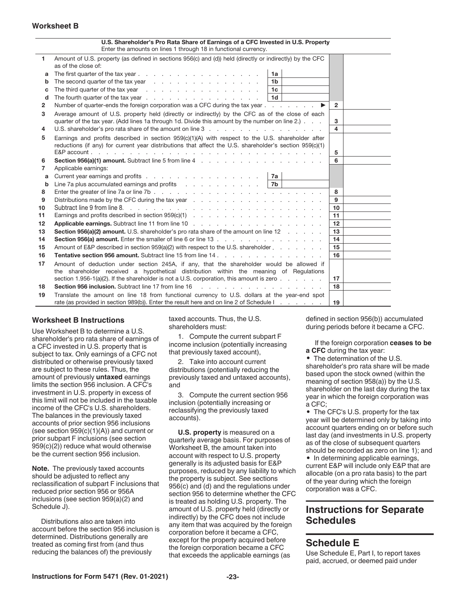#### <span id="page-22-0"></span>**Worksheet B**

|    | U.S. Shareholder's Pro Rata Share of Earnings of a CFC Invested in U.S. Property<br>Enter the amounts on lines 1 through 18 in functional currency.                                                            |                         |  |  |
|----|----------------------------------------------------------------------------------------------------------------------------------------------------------------------------------------------------------------|-------------------------|--|--|
| 1  | Amount of U.S. property (as defined in sections 956(c) and (d)) held (directly or indirectly) by the CFC                                                                                                       |                         |  |  |
|    | as of the close of:                                                                                                                                                                                            |                         |  |  |
| a  | 1a                                                                                                                                                                                                             |                         |  |  |
| b  | 1 <sub>b</sub>                                                                                                                                                                                                 |                         |  |  |
| C  | The third quarter of the tax year entitled as a set of the third quarter of the tax year.<br>1c                                                                                                                |                         |  |  |
| d  | 1 <sub>d</sub><br>The fourth quarter of the tax year                                                                                                                                                           |                         |  |  |
| 2  | Number of quarter-ends the foreign corporation was a CFC during the tax year<br>$\blacktriangleright$                                                                                                          | $\overline{2}$          |  |  |
| 3  | Average amount of U.S. property held (directly or indirectly) by the CFC as of the close of each<br>quarter of the tax year. (Add lines 1a through 1d. Divide this amount by the number on line 2.).           | 3                       |  |  |
| 4  |                                                                                                                                                                                                                | $\overline{\mathbf{4}}$ |  |  |
| 5  | Earnings and profits described in section $959(c)(1)(A)$ with respect to the U.S. shareholder after<br>reductions (if any) for current year distributions that affect the U.S. shareholder's section 959(c)(1) | 5                       |  |  |
| 6  |                                                                                                                                                                                                                | 6                       |  |  |
| 7  | Applicable earnings:                                                                                                                                                                                           |                         |  |  |
| a  | Current year earnings and profits<br>7a                                                                                                                                                                        |                         |  |  |
| b  |                                                                                                                                                                                                                |                         |  |  |
| 8  | Enter the greater of line 7a or line 7b.                                                                                                                                                                       | 8                       |  |  |
| 9  |                                                                                                                                                                                                                | 9                       |  |  |
| 10 |                                                                                                                                                                                                                | 10 <sup>1</sup>         |  |  |
| 11 | Earnings and profits described in section $959(c)(1)$ .                                                                                                                                                        | 11                      |  |  |
| 12 |                                                                                                                                                                                                                | 12                      |  |  |
| 13 | Section 956(a)(2) amount. U.S. shareholder's pro rata share of the amount on line 12                                                                                                                           | 13                      |  |  |
| 14 | Section 956(a) amount. Enter the smaller of line 6 or line 13                                                                                                                                                  | 14                      |  |  |
| 15 | Amount of E&P described in section 959(a)(2) with respect to the U.S. shareholder                                                                                                                              | 15                      |  |  |
| 16 |                                                                                                                                                                                                                | 16                      |  |  |
| 17 | Amount of deduction under section 245A, if any, that the shareholder would be allowed if                                                                                                                       |                         |  |  |
|    | the shareholder received a hypothetical distribution within the meaning of Regulations                                                                                                                         |                         |  |  |
|    | section 1.956-1(a)(2). If the shareholder is not a U.S. corporation, this amount is zero $\ldots$ $\ldots$                                                                                                     | 17                      |  |  |
| 18 | Section 956 inclusion. Subtract line 17 from line 16<br>the contract of the contract of the contract of the contract of the contract of the contract of the contract of                                        | 18                      |  |  |
| 19 | Translate the amount on line 18 from functional currency to U.S. dollars at the year-end spot<br>rate (as provided in section 989(b)). Enter the result here and on line 2 of Schedule I.                      | 19                      |  |  |

#### **Worksheet B Instructions**

Use Worksheet B to determine a U.S. shareholder's pro rata share of earnings of a CFC invested in U.S. property that is subject to tax. Only earnings of a CFC not distributed or otherwise previously taxed are subject to these rules. Thus, the amount of previously **untaxed** earnings limits the section 956 inclusion. A CFC's investment in U.S. property in excess of this limit will not be included in the taxable income of the CFC's U.S. shareholders. The balances in the previously taxed accounts of prior section 956 inclusions (see section  $959(c)(1)(A)$ ) and current or prior subpart F inclusions (see section 959(c)(2)) reduce what would otherwise be the current section 956 inclusion.

**Note.** The previously taxed accounts should be adjusted to reflect any reclassification of subpart F inclusions that reduced prior section 956 or 956A inclusions (see section 959(a)(2) and Schedule J).

Distributions also are taken into account before the section 956 inclusion is determined. Distributions generally are treated as coming first from (and thus reducing the balances of) the previously

taxed accounts. Thus, the U.S. shareholders must:

1. Compute the current subpart F income inclusion (potentially increasing that previously taxed account),

2. Take into account current distributions (potentially reducing the previously taxed and untaxed accounts), and

3. Compute the current section 956 inclusion (potentially increasing or reclassifying the previously taxed accounts).

**U.S. property** is measured on a quarterly average basis. For purposes of Worksheet B, the amount taken into account with respect to U.S. property generally is its adjusted basis for E&P purposes, reduced by any liability to which the property is subject. See sections 956(c) and (d) and the regulations under section 956 to determine whether the CFC is treated as holding U.S. property. The amount of U.S. property held (directly or indirectly) by the CFC does not include any item that was acquired by the foreign corporation before it became a CFC, except for the property acquired before the foreign corporation became a CFC that exceeds the applicable earnings (as

defined in section 956(b)) accumulated during periods before it became a CFC.

If the foreign corporation **ceases to be a CFC** during the tax year:

• The determination of the U.S. shareholder's pro rata share will be made based upon the stock owned (within the meaning of section 958(a)) by the U.S. shareholder on the last day during the tax year in which the foreign corporation was a CFC;

• The CFC's U.S. property for the tax year will be determined only by taking into account quarters ending on or before such last day (and investments in U.S. property as of the close of subsequent quarters should be recorded as zero on line 1); and

• In determining applicable earnings, current E&P will include only E&P that are allocable (on a pro rata basis) to the part of the year during which the foreign corporation was a CFC.

# **Instructions for Separate Schedules**

# **Schedule E**

Use Schedule E, Part I, to report taxes paid, accrued, or deemed paid under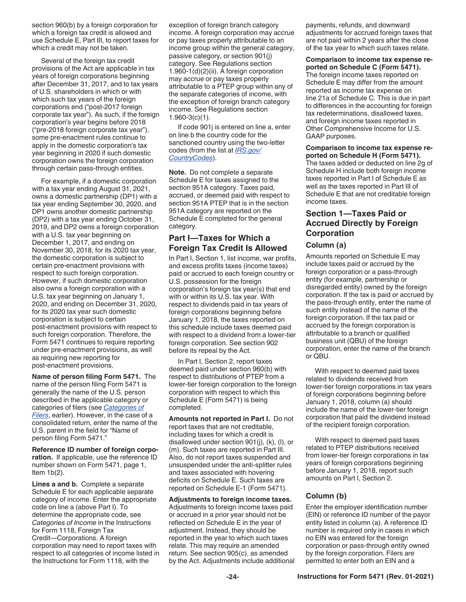<span id="page-23-0"></span>section 960(b) by a foreign corporation for which a foreign tax credit is allowed and use Schedule E, Part III, to report taxes for which a credit may not be taken.

Several of the foreign tax credit provisions of the Act are applicable in tax years of foreign corporations beginning after December 31, 2017, and to tax years of U.S. shareholders in which or with which such tax years of the foreign corporations end ("post-2017 foreign corporate tax year"). As such, if the foreign corporation's year begins before 2018 ("pre-2018 foreign corporate tax year"), some pre-enactment rules continue to apply in the domestic corporation's tax year beginning in 2020 if such domestic corporation owns the foreign corporation through certain pass-through entities.

For example, if a domestic corporation with a tax year ending August 31, 2021, owns a domestic partnership (DP1) with a tax year ending September 30, 2020, and DP1 owns another domestic partnership (DP2) with a tax year ending October 31, 2019, and DP2 owns a foreign corporation with a U.S. tax year beginning on December 1, 2017, and ending on November 30, 2018, for its 2020 tax year, the domestic corporation is subject to certain pre-enactment provisions with respect to such foreign corporation. However, if such domestic corporation also owns a foreign corporation with a U.S. tax year beginning on January 1, 2020, and ending on December 31, 2020, for its 2020 tax year such domestic corporation is subject to certain post-enactment provisions with respect to such foreign corporation. Therefore, the Form 5471 continues to require reporting under pre-enactment provisions, as well as requiring new reporting for post-enactment provisions.

**Name of person filing Form 5471.** The name of the person filing Form 5471 is generally the name of the U.S. person described in the applicable category or categories of filers (see *[Categories of](#page-2-0) [Filers](#page-2-0)*, earlier). However, in the case of a consolidated return, enter the name of the U.S. parent in the field for "Name of person filing Form 5471."

**Reference ID number of foreign corporation.** If applicable, use the reference ID number shown on Form 5471, page 1, Item  $1b(2)$ .

**Lines a and b.** Complete a separate Schedule E for each applicable separate category of income. Enter the appropriate code on line a (above Part I). To determine the appropriate code, see *Categories of Income* in the Instructions for Form 1118, Foreign Tax Credit—Corporations. A foreign corporation may need to report taxes with respect to all categories of income listed in the Instructions for Form 1118, with the

exception of foreign branch category income. A foreign corporation may accrue or pay taxes properly attributable to an income group within the general category, passive category, or section 901(j) category. See Regulations section 1.960-1(d)(2)(ii). A foreign corporation may accrue or pay taxes properly attributable to a PTEP group within any of the separate categories of income, with the exception of foreign branch category income. See Regulations section 1.960-3(c)(1).

If code 901j is entered on line a, enter on line b the country code for the sanctioned country using the two-letter codes (from the list at *[IRS.gov/](https://www.irs.gov/e-file-providers/foreign-country-code-listing-for-modernized-e-file) [CountryCodes](https://www.irs.gov/e-file-providers/foreign-country-code-listing-for-modernized-e-file)*).

**Note.** Do not complete a separate Schedule E for taxes assigned to the section 951A category. Taxes paid, accrued, or deemed paid with respect to section 951A PTEP that is in the section 951A category are reported on the Schedule E completed for the general category.

# **Part I—Taxes for Which a Foreign Tax Credit Is Allowed**

In Part I, Section 1, list income, war profits, and excess profits taxes (income taxes) paid or accrued to each foreign country or U.S. possession for the foreign corporation's foreign tax year(s) that end with or within its U.S. tax year. With respect to dividends paid in tax years of foreign corporations beginning before January 1, 2018, the taxes reported on this schedule include taxes deemed paid with respect to a dividend from a lower-tier foreign corporation. See section 902 before its repeal by the Act.

In Part I, Section 2, report taxes deemed paid under section 960(b) with respect to distributions of PTEP from a lower-tier foreign corporation to the foreign corporation with respect to which this Schedule E (Form 5471) is being completed.

**Amounts not reported in Part I.** Do not report taxes that are not creditable, including taxes for which a credit is disallowed under section 901(j), (k), (l), or (m). Such taxes are reported in Part III. Also, do not report taxes suspended and unsuspended under the anti-splitter rules and taxes associated with hovering deficits on Schedule E. Such taxes are reported on Schedule E-1 (Form 5471).

**Adjustments to foreign income taxes.**  Adjustments to foreign income taxes paid or accrued in a prior year should not be reflected on Schedule E in the year of adjustment. Instead, they should be reported in the year to which such taxes relate. This may require an amended return. See section 905(c), as amended by the Act. Adjustments include additional payments, refunds, and downward adjustments for accrued foreign taxes that are not paid within 2 years after the close of the tax year to which such taxes relate.

**Comparison to income tax expense reported on Schedule C (Form 5471).** 

The foreign income taxes reported on Schedule E may differ from the amount reported as income tax expense on line 21a of Schedule C. This is due in part to differences in the accounting for foreign tax redeterminations, disallowed taxes, and foreign income taxes reported in Other Comprehensive Income for U.S. GAAP purposes.

**Comparison to income tax expense reported on Schedule H (Form 5471).**  The taxes added or deducted on line 2g of Schedule H include both foreign income taxes reported in Part I of Schedule E as well as the taxes reported in Part III of Schedule E that are not creditable foreign income taxes.

# **Section 1—Taxes Paid or Accrued Directly by Foreign Corporation**

### **Column (a)**

Amounts reported on Schedule E may include taxes paid or accrued by the foreign corporation or a pass-through entity (for example, partnership or disregarded entity) owned by the foreign corporation. If the tax is paid or accrued by the pass-through entity, enter the name of such entity instead of the name of the foreign corporation. If the tax paid or accrued by the foreign corporation is attributable to a branch or qualified business unit (QBU) of the foreign corporation, enter the name of the branch or QBU.

With respect to deemed paid taxes related to dividends received from lower-tier foreign corporations in tax years of foreign corporations beginning before January 1, 2018, column (a) should include the name of the lower-tier foreign corporation that paid the dividend instead of the recipient foreign corporation.

With respect to deemed paid taxes related to PTEP distributions received from lower-tier foreign corporations in tax years of foreign corporations beginning before January 1, 2018, report such amounts on Part I, Section 2.

# **Column (b)**

Enter the employer identification number (EIN) or reference ID number of the payor entity listed in column (a). A reference ID number is required only in cases in which no EIN was entered for the foreign corporation or pass-through entity owned by the foreign corporation. Filers are permitted to enter both an EIN and a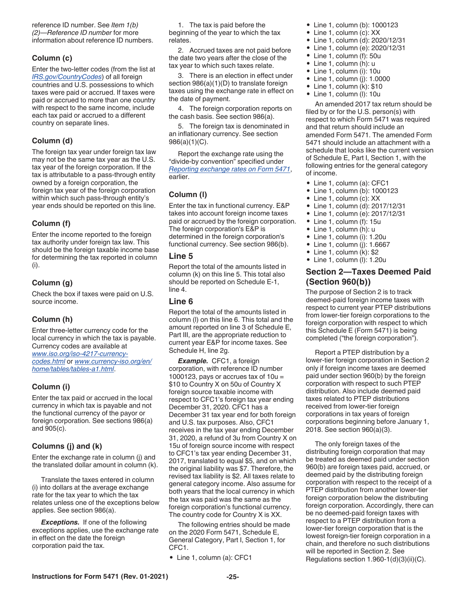<span id="page-24-0"></span>reference ID number. See *Item 1(b) (2)—Reference ID number* for more information about reference ID numbers.

# **Column (c)**

Enter the two-letter codes (from the list at *[IRS.gov/CountryCodes](https://www.irs.gov/e-file-providers/foreign-country-code-listing-for-modernized-e-file)*) of all foreign countries and U.S. possessions to which taxes were paid or accrued. If taxes were paid or accrued to more than one country with respect to the same income, include each tax paid or accrued to a different country on separate lines.

### **Column (d)**

The foreign tax year under foreign tax law may not be the same tax year as the U.S. tax year of the foreign corporation. If the tax is attributable to a pass-through entity owned by a foreign corporation, the foreign tax year of the foreign corporation within which such pass-through entity's year ends should be reported on this line.

### **Column (f)**

Enter the income reported to the foreign tax authority under foreign tax law. This should be the foreign taxable income base for determining the tax reported in column (i).

# **Column (g)**

Check the box if taxes were paid on U.S. source income.

# **Column (h)**

Enter three-letter currency code for the local currency in which the tax is payable. Currency codes are available at *[www.iso.org/iso-4217-currency](https://www.iso.org/iso-4217-currency-codes.html)[codes.html](https://www.iso.org/iso-4217-currency-codes.html)* or *[www.currency-iso.org/en/](https://www.currency-iso.org/en/home/tables/table-a1.html) [home/tables/tables-a1.html](https://www.currency-iso.org/en/home/tables/table-a1.html)*.

#### **Column (i)**

Enter the tax paid or accrued in the local currency in which tax is payable and not the functional currency of the payor or foreign corporation. See sections 986(a) and 905(c).

#### **Columns (j) and (k)**

Enter the exchange rate in column (j) and the translated dollar amount in column (k).

Translate the taxes entered in column (i) into dollars at the average exchange rate for the tax year to which the tax relates unless one of the exceptions below applies. See section 986(a).

**Exceptions.** If one of the following exceptions applies, use the exchange rate in effect on the date the foreign corporation paid the tax.

1. The tax is paid before the beginning of the year to which the tax relates.

2. Accrued taxes are not paid before the date two years after the close of the tax year to which such taxes relate.

3. There is an election in effect under section 986(a)(1)(D) to translate foreign taxes using the exchange rate in effect on the date of payment.

4. The foreign corporation reports on the cash basis. See section 986(a).

5. The foreign tax is denominated in an inflationary currency. See section 986(a)(1)(C).

Report the exchange rate using the "divide-by convention" specified under *[Reporting exchange rates on Form 5471](#page-6-0)*, earlier.

# **Column (l)**

Enter the tax in functional currency. E&P takes into account foreign income taxes paid or accrued by the foreign corporation. The foreign corporation's E&P is determined in the foreign corporation's functional currency. See section 986(b).

#### **Line 5**

Report the total of the amounts listed in column (k) on this line 5. This total also should be reported on Schedule E-1, line 4.

#### **Line 6**

Report the total of the amounts listed in column (l) on this line 6. This total and the amount reported on line 3 of Schedule E, Part III, are the appropriate reduction to current year E&P for income taxes. See Schedule H, line 2g.

*Example.* CFC1, a foreign corporation, with reference ID number 1000123, pays or accrues tax of  $10u =$ \$10 to Country X on 50u of Country X foreign source taxable income with respect to CFC1's foreign tax year ending December 31, 2020. CFC1 has a December 31 tax year end for both foreign and U.S. tax purposes. Also, CFC1 receives in the tax year ending December 31, 2020, a refund of 3u from Country X on 15u of foreign source income with respect to CFC1's tax year ending December 31, 2017, translated to equal \$5, and on which the original liability was \$7. Therefore, the revised tax liability is \$2. All taxes relate to general category income. Also assume for both years that the local currency in which the tax was paid was the same as the foreign corporation's functional currency. The country code for Country X is XX.

The following entries should be made on the 2020 Form 5471, Schedule E, General Category, Part I, Section 1, for CFC1.

• Line 1, column (a): CFC1

- Line 1, column (b): 1000123
- Line 1, column (c): XX
- Line 1, column (d): 2020/12/31
- Line 1, column (e): 2020/12/31
- Line 1, column (f): 50u
- Line 1, column (h): u • Line 1, column (i): 10u
- Line 1, column (j): 1.0000
- $\bullet$  Line 1, column (k): \$10
- Line 1, column (l): 10u

An amended 2017 tax return should be filed by or for the U.S. person(s) with respect to which Form 5471 was required and that return should include an amended Form 5471. The amended Form 5471 should include an attachment with a schedule that looks like the current version of Schedule E, Part I, Section 1, with the following entries for the general category of income.

- Line 1, column (a): CFC1
- Line 1, column (b): 1000123
- Line 1, column (c): XX
- Line 1, column (d): 2017/12/31
- Line 1, column (e): 2017/12/31
- Line 1, column (f): 15u
- Line 1, column (h): u
- Line 1, column (i): 1.20u
- Line 1, column (j): 1.6667
- Line 1, column  $(k)$ : \$2
- Line 1, column (l): 1.20u

# **Section 2—Taxes Deemed Paid (Section 960(b))**

The purpose of Section 2 is to track deemed-paid foreign income taxes with respect to current year PTEP distributions from lower-tier foreign corporations to the foreign corporation with respect to which this Schedule E (Form 5471) is being completed ("the foreign corporation").

Report a PTEP distribution by a lower-tier foreign corporation in Section 2 only if foreign income taxes are deemed paid under section 960(b) by the foreign corporation with respect to such PTEP distribution. Also include deemed paid taxes related to PTEP distributions received from lower-tier foreign corporations in tax years of foreign corporations beginning before January 1, 2018. See section 960(a)(3).

The only foreign taxes of the distributing foreign corporation that may be treated as deemed paid under section 960(b) are foreign taxes paid, accrued, or deemed paid by the distributing foreign corporation with respect to the receipt of a PTEP distribution from another lower-tier foreign corporation below the distributing foreign corporation. Accordingly, there can be no deemed-paid foreign taxes with respect to a PTEP distribution from a lower-tier foreign corporation that is the lowest foreign-tier foreign corporation in a chain, and therefore no such distributions will be reported in Section 2. See Regulations section 1.960-1(d)(3)(ii)(C).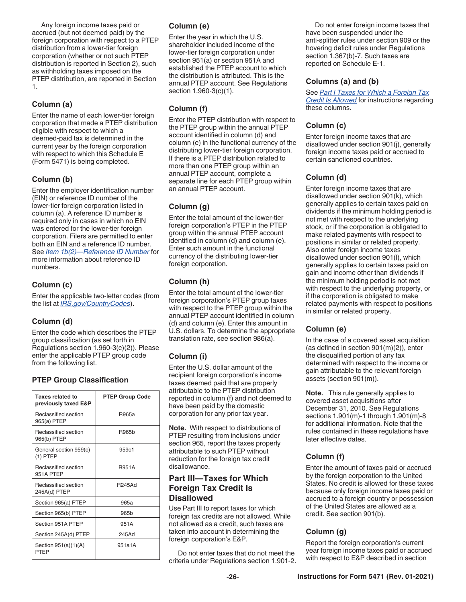<span id="page-25-0"></span>Any foreign income taxes paid or accrued (but not deemed paid) by the foreign corporation with respect to a PTEP distribution from a lower-tier foreign corporation (whether or not such PTEP distribution is reported in Section 2), such as withholding taxes imposed on the PTEP distribution, are reported in Section 1.

# **Column (a)**

Enter the name of each lower-tier foreign corporation that made a PTEP distribution eligible with respect to which a deemed-paid tax is determined in the current year by the foreign corporation with respect to which this Schedule E (Form 5471) is being completed.

# **Column (b)**

Enter the employer identification number (EIN) or reference ID number of the lower-tier foreign corporation listed in column (a). A reference ID number is required only in cases in which no EIN was entered for the lower-tier foreign corporation. Filers are permitted to enter both an EIN and a reference ID number. See *[Item 1b\(2\)—Reference ID Number](#page-8-0)* for more information about reference ID numbers.

# **Column (c)**

Enter the applicable two-letter codes (from the list at *[IRS.gov/CountryCodes](https://www.irs.gov/e-file-providers/foreign-country-code-listing-for-modernized-e-file)*).

# **Column (d)**

Enter the code which describes the PTEP group classification (as set forth in Regulations section 1.960-3(c)(2)). Please enter the applicable PTEP group code from the following list.

# **PTEP Group Classification**

| Taxes related to<br>previously taxed E&P | <b>PTEP Group Code</b> |
|------------------------------------------|------------------------|
| Reclassified section<br>965(a) PTEP      | R965a                  |
| Reclassified section<br>965(b) PTEP      | R965 <sub>b</sub>      |
| General section 959(c)<br>$(1)$ PTEP     | 959c1                  |
| Reclassified section<br>951A PTEP        | <b>R951A</b>           |
| Reclassified section<br>245A(d) PTEP     | <b>R245Ad</b>          |
| Section 965(a) PTEP                      | 965a                   |
| Section 965(b) PTEP                      | 965b                   |
| Section 951A PTEP                        | 951A                   |
| Section 245A(d) PTEP                     | 245Ad                  |
| Section $951(a)(1)(A)$<br>PTFP           | 951a1A                 |

# **Column (e)**

Enter the year in which the U.S. shareholder included income of the lower-tier foreign corporation under section 951(a) or section 951A and established the PTEP account to which the distribution is attributed. This is the annual PTEP account. See Regulations section 1.960-3(c)(1).

# **Column (f)**

Enter the PTEP distribution with respect to the PTEP group within the annual PTEP account identified in column (d) and column (e) in the functional currency of the distributing lower-tier foreign corporation. If there is a PTEP distribution related to more than one PTEP group within an annual PTEP account, complete a separate line for each PTEP group within an annual PTEP account.

# **Column (g)**

Enter the total amount of the lower-tier foreign corporation's PTEP in the PTEP group within the annual PTEP account identified in column (d) and column (e). Enter such amount in the functional currency of the distributing lower-tier foreign corporation.

# **Column (h)**

Enter the total amount of the lower-tier foreign corporation's PTEP group taxes with respect to the PTEP group within the annual PTEP account identified in column (d) and column (e). Enter this amount in U.S. dollars. To determine the appropriate translation rate, see section 986(a).

# **Column (i)**

Enter the U.S. dollar amount of the recipient foreign corporation's income taxes deemed paid that are properly attributable to the PTEP distribution reported in column (f) and not deemed to have been paid by the domestic corporation for any prior tax year.

**Note.** With respect to distributions of PTEP resulting from inclusions under section 965, report the taxes properly attributable to such PTEP without reduction for the foreign tax credit disallowance.

# **Part III—Taxes for Which Foreign Tax Credit Is Disallowed**

Use Part III to report taxes for which foreign tax credits are not allowed. While not allowed as a credit, such taxes are taken into account in determining the foreign corporation's E&P.

Do not enter taxes that do not meet the criteria under Regulations section 1.901-2.

Do not enter foreign income taxes that have been suspended under the anti-splitter rules under section 909 or the hovering deficit rules under Regulations section 1.367(b)-7. Such taxes are reported on Schedule E-1.

# **Columns (a) and (b)**

See *[Part I Taxes for Which a Foreign Tax](#page-23-0) [Credit Is Allowed](#page-23-0)* for instructions regarding these columns.

# **Column (c)**

Enter foreign income taxes that are disallowed under section 901(j), generally foreign income taxes paid or accrued to certain sanctioned countries.

# **Column (d)**

Enter foreign income taxes that are disallowed under section 901(k), which generally applies to certain taxes paid on dividends if the minimum holding period is not met with respect to the underlying stock, or if the corporation is obligated to make related payments with respect to positions in similar or related property. Also enter foreign income taxes disallowed under section 901(l), which generally applies to certain taxes paid on gain and income other than dividends if the minimum holding period is not met with respect to the underlying property, or if the corporation is obligated to make related payments with respect to positions in similar or related property.

# **Column (e)**

In the case of a covered asset acquisition (as defined in section 901(m)(2)), enter the disqualified portion of any tax determined with respect to the income or gain attributable to the relevant foreign assets (section 901(m)).

**Note.** This rule generally applies to covered asset acquisitions after December 31, 2010. See Regulations sections 1.901(m)-1 through 1.901(m)-8 for additional information. Note that the rules contained in these regulations have later effective dates.

# **Column (f)**

Enter the amount of taxes paid or accrued by the foreign corporation to the United States. No credit is allowed for these taxes because only foreign income taxes paid or accrued to a foreign country or possession of the United States are allowed as a credit. See section 901(b).

# **Column (g)**

Report the foreign corporation's current year foreign income taxes paid or accrued with respect to E&P described in section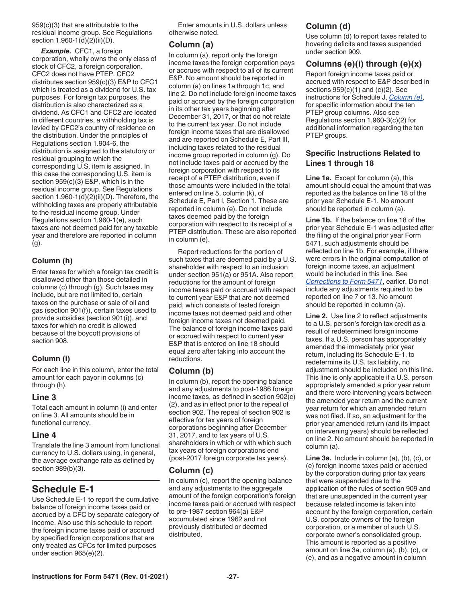<span id="page-26-0"></span>959(c)(3) that are attributable to the residual income group. See Regulations section 1.960-1(d)(2)(ii)(D).

*Example.* CFC1, a foreign corporation, wholly owns the only class of stock of CFC2, a foreign corporation. CFC2 does not have PTEP. CFC2 distributes section 959(c)(3) E&P to CFC1 which is treated as a dividend for U.S. tax purposes. For foreign tax purposes, the distribution is also characterized as a dividend. As CFC1 and CFC2 are located in different countries, a withholding tax is levied by CFC2's country of residence on the distribution. Under the principles of Regulations section 1.904-6, the distribution is assigned to the statutory or residual grouping to which the corresponding U.S. item is assigned. In this case the corresponding U.S. item is section 959(c)(3) E&P, which is in the residual income group. See Regulations section 1.960-1(d)(2)(ii)(D). Therefore, the withholding taxes are properly attributable to the residual income group. Under Regulations section 1.960-1(e), such taxes are not deemed paid for any taxable year and therefore are reported in column (g).

# **Column (h)**

Enter taxes for which a foreign tax credit is disallowed other than those detailed in columns (c) through (g). Such taxes may include, but are not limited to, certain taxes on the purchase or sale of oil and gas (section 901(f)), certain taxes used to provide subsidies (section 901(i)), and taxes for which no credit is allowed because of the boycott provisions of section 908.

# **Column (i)**

For each line in this column, enter the total amount for each payor in columns (c) through (h).

#### **Line 3**

Total each amount in column (i) and enter on line 3. All amounts should be in functional currency.

#### **Line 4**

Translate the line 3 amount from functional currency to U.S. dollars using, in general, the average exchange rate as defined by section 989(b)(3).

# **Schedule E-1**

Use Schedule E-1 to report the cumulative balance of foreign income taxes paid or accrued by a CFC by separate category of income. Also use this schedule to report the foreign income taxes paid or accrued by specified foreign corporations that are only treated as CFCs for limited purposes under section 965(e)(2).

Enter amounts in U.S. dollars unless otherwise noted.

# **Column (a)**

In column (a), report only the foreign income taxes the foreign corporation pays or accrues with respect to all of its current E&P. No amount should be reported in column (a) on lines 1a through 1c, and line 2. Do not include foreign income taxes paid or accrued by the foreign corporation in its other tax years beginning after December 31, 2017, or that do not relate to the current tax year. Do not include foreign income taxes that are disallowed and are reported on Schedule E, Part III, including taxes related to the residual income group reported in column (g). Do not include taxes paid or accrued by the foreign corporation with respect to its receipt of a PTEP distribution, even if those amounts were included in the total entered on line 5, column (k), of Schedule E, Part I, Section 1. These are reported in column (e). Do not include taxes deemed paid by the foreign corporation with respect to its receipt of a PTEP distribution. These are also reported in column (e).

Report reductions for the portion of such taxes that are deemed paid by a U.S. shareholder with respect to an inclusion under section 951(a) or 951A. Also report reductions for the amount of foreign income taxes paid or accrued with respect to current year E&P that are not deemed paid, which consists of tested foreign income taxes not deemed paid and other foreign income taxes not deemed paid. The balance of foreign income taxes paid or accrued with respect to current year E&P that is entered on line 18 should equal zero after taking into account the reductions.

# **Column (b)**

In column (b), report the opening balance and any adjustments to post-1986 foreign income taxes, as defined in section 902(c) (2), and as in effect prior to the repeal of section 902. The repeal of section 902 is effective for tax years of foreign corporations beginning after December 31, 2017, and to tax years of U.S. shareholders in which or with which such tax years of foreign corporations end (post-2017 foreign corporate tax years).

# **Column (c)**

In column (c), report the opening balance and any adjustments to the aggregate amount of the foreign corporation's foreign income taxes paid or accrued with respect to pre-1987 section 964(a) E&P accumulated since 1962 and not previously distributed or deemed distributed.

# **Column (d)**

Use column (d) to report taxes related to hovering deficits and taxes suspended under section 909.

# **Columns (e)(i) through (e)(x)**

Report foreign income taxes paid or accrued with respect to E&P described in sections  $959(c)(1)$  and  $(c)(2)$ . See instructions for Schedule J, *[Column \(e\)](#page-30-0)*, for specific information about the ten PTEP group columns. Also see Regulations section 1.960-3(c)(2) for additional information regarding the ten PTEP groups.

### **Specific Instructions Related to Lines 1 through 18**

**Line 1a.** Except for column (a), this amount should equal the amount that was reported as the balance on line 18 of the prior year Schedule E-1. No amount should be reported in column (a).

**Line 1b.** If the balance on line 18 of the prior year Schedule E-1 was adjusted after the filing of the original prior year Form 5471, such adjustments should be reflected on line 1b. For example, if there were errors in the original computation of foreign income taxes, an adjustment would be included in this line. See *[Corrections to Form 5471](#page-7-0)*, earlier. Do not include any adjustments required to be reported on line 7 or 13. No amount should be reported in column (a).

**Line 2.** Use line 2 to reflect adjustments to a U.S. person's foreign tax credit as a result of redetermined foreign income taxes. If a U.S. person has appropriately amended the immediately prior year return, including its Schedule E-1, to redetermine its U.S. tax liability, no adjustment should be included on this line. This line is only applicable if a U.S. person appropriately amended a prior year return and there were intervening years between the amended year return and the current year return for which an amended return was not filed. If so, an adjustment for the prior year amended return (and its impact on intervening years) should be reflected on line 2. No amount should be reported in column (a).

**Line 3a.** Include in column (a), (b), (c), or (e) foreign income taxes paid or accrued by the corporation during prior tax years that were suspended due to the application of the rules of section 909 and that are unsuspended in the current year because related income is taken into account by the foreign corporation, certain U.S. corporate owners of the foreign corporation, or a member of such U.S. corporate owner's consolidated group. This amount is reported as a positive amount on line 3a, column (a), (b), (c), or (e), and as a negative amount in column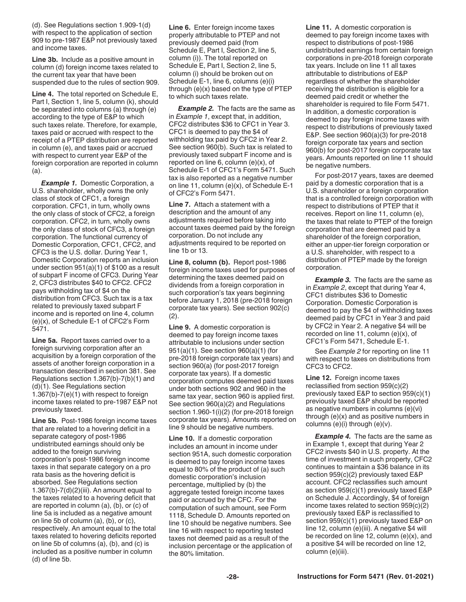<span id="page-27-0"></span>(d). See Regulations section 1.909-1(d) with respect to the application of section 909 to pre-1987 E&P not previously taxed and income taxes.

**Line 3b.** Include as a positive amount in column (d) foreign income taxes related to the current tax year that have been suspended due to the rules of section 909.

**Line 4.** The total reported on Schedule E, Part I, Section 1, line 5, column (k), should be separated into columns (a) through (e) according to the type of E&P to which such taxes relate. Therefore, for example, taxes paid or accrued with respect to the receipt of a PTEP distribution are reported in column (e), and taxes paid or accrued with respect to current year E&P of the foreign corporation are reported in column (a).

*Example 1. Domestic Corporation, a* U.S. shareholder, wholly owns the only class of stock of CFC1, a foreign corporation. CFC1, in turn, wholly owns the only class of stock of CFC2, a foreign corporation. CFC2, in turn, wholly owns the only class of stock of CFC3, a foreign corporation. The functional currency of Domestic Corporation, CFC1, CFC2, and CFC3 is the U.S. dollar. During Year 1, Domestic Corporation reports an inclusion under section 951(a)(1) of \$100 as a result of subpart F income of CFC3. During Year 2, CFC3 distributes \$40 to CFC2. CFC2 pays withholding tax of \$4 on the distribution from CFC3. Such tax is a tax related to previously taxed subpart F income and is reported on line 4, column (e)(x), of Schedule E-1 of CFC2's Form 5471.

**Line 5a.** Report taxes carried over to a foreign surviving corporation after an acquisition by a foreign corporation of the assets of another foreign corporation in a transaction described in section 381. See Regulations section 1.367(b)-7(b)(1) and (d)(1). See Regulations section 1.367(b)-7(e)(1) with respect to foreign income taxes related to pre-1987 E&P not previously taxed.

**Line 5b.** Post-1986 foreign income taxes that are related to a hovering deficit in a separate category of post-1986 undistributed earnings should only be added to the foreign surviving corporation's post-1986 foreign income taxes in that separate category on a pro rata basis as the hovering deficit is absorbed. See Regulations section  $1.367(b)$ -7(d) $(2)(iii)$ . An amount equal to the taxes related to a hovering deficit that are reported in column (a), (b), or (c) of line 5a is included as a negative amount on line 5b of column (a), (b), or (c), respectively. An amount equal to the total taxes related to hovering deficits reported on line 5b of columns (a), (b), and (c) is included as a positive number in column (d) of line 5b.

**Line 6.** Enter foreign income taxes properly attributable to PTEP and not previously deemed paid (from Schedule E, Part I, Section 2, line 5, column (i)). The total reported on Schedule E, Part I, Section 2, line 5, column (i) should be broken out on Schedule E-1, line 6, columns (e)(i) through (e)(x) based on the type of PTEP to which such taxes relate.

**Example 2.** The facts are the same as in *Example 1*, except that, in addition, CFC2 distributes \$36 to CFC1 in Year 3. CFC1 is deemed to pay the \$4 of withholding tax paid by CFC2 in Year 2. See section 960(b). Such tax is related to previously taxed subpart F income and is reported on line 6, column  $(e)(x)$ , of Schedule E-1 of CFC1's Form 5471. Such tax is also reported as a negative number on line 11, column (e)(x), of Schedule E-1 of CFC2's Form 5471.

**Line 7.** Attach a statement with a description and the amount of any adjustments required before taking into account taxes deemed paid by the foreign corporation. Do not include any adjustments required to be reported on line 1b or 13.

**Line 8, column (b).** Report post-1986 foreign income taxes used for purposes of determining the taxes deemed paid on dividends from a foreign corporation in such corporation's tax years beginning before January 1, 2018 (pre-2018 foreign corporate tax years). See section 902(c) (2).

**Line 9.** A domestic corporation is deemed to pay foreign income taxes attributable to inclusions under section 951(a)(1). See section 960(a)(1) (for pre-2018 foreign corporate tax years) and section 960(a) (for post-2017 foreign corporate tax years). If a domestic corporation computes deemed paid taxes under both sections 902 and 960 in the same tax year, section 960 is applied first. See section 960(a)(2) and Regulations section 1.960-1(i)(2) (for pre-2018 foreign corporate tax years). Amounts reported on line 9 should be negative numbers.

**Line 10.** If a domestic corporation includes an amount in income under section 951A, such domestic corporation is deemed to pay foreign income taxes equal to 80% of the product of (a) such domestic corporation's inclusion percentage, multiplied by (b) the aggregate tested foreign income taxes paid or accrued by the CFC. For the computation of such amount, see Form 1118, Schedule D. Amounts reported on line 10 should be negative numbers. See line 16 with respect to reporting tested taxes not deemed paid as a result of the inclusion percentage or the application of the 80% limitation.

**Line 11.** A domestic corporation is deemed to pay foreign income taxes with respect to distributions of post-1986 undistributed earnings from certain foreign corporations in pre-2018 foreign corporate tax years. Include on line 11 all taxes attributable to distributions of E&P regardless of whether the shareholder receiving the distribution is eligible for a deemed paid credit or whether the shareholder is required to file Form 5471. In addition, a domestic corporation is deemed to pay foreign income taxes with respect to distributions of previously taxed E&P. See section 960(a)(3) for pre-2018 foreign corporate tax years and section 960(b) for post-2017 foreign corporate tax years. Amounts reported on line 11 should be negative numbers.

For post-2017 years, taxes are deemed paid by a domestic corporation that is a U.S. shareholder or a foreign corporation that is a controlled foreign corporation with respect to distributions of PTEP that it receives. Report on line 11, column (e), the taxes that relate to PTEP of the foreign corporation that are deemed paid by a shareholder of the foreign corporation, either an upper-tier foreign corporation or a U.S. shareholder, with respect to a distribution of PTEP made by the foreign corporation.

**Example 3.** The facts are the same as in *Example 2*, except that during Year 4, CFC1 distributes \$36 to Domestic Corporation. Domestic Corporation is deemed to pay the \$4 of withholding taxes deemed paid by CFC1 in Year 3 and paid by CFC2 in Year 2. A negative \$4 will be recorded on line 11, column (e)(x), of CFC1's Form 5471, Schedule E-1.

See *Example 2* for reporting on line 11 with respect to taxes on distributions from CFC3 to CFC2.

**Line 12.** Foreign income taxes reclassified from section 959(c)(2) previously taxed E&P to section 959(c)(1) previously taxed E&P should be reported as negative numbers in columns (e)(vi) through (e)(x) and as positive numbers in columns (e)(i) through (e)(v).

**Example 4.** The facts are the same as in Example 1, except that during Year 2 CFC2 invests \$40 in U.S. property. At the time of investment in such property, CFC2 continues to maintain a \$36 balance in its section 959(c)(2) previously taxed E&P account. CFC2 reclassifies such amount as section 959(c)(1) previously taxed E&P on Schedule J. Accordingly, \$4 of foreign income taxes related to section 959(c)(2) previously taxed E&P is reclassified to section 959(c)(1) previously taxed E&P on line 12, column (e)(iii). A negative \$4 will be recorded on line 12, column (e)(x), and a positive \$4 will be recorded on line 12, column (e)(iii).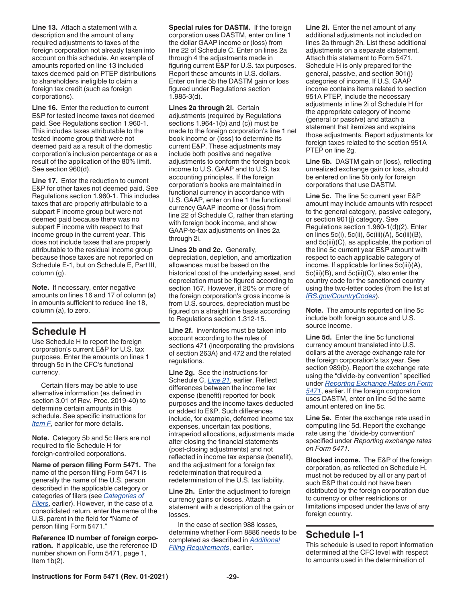<span id="page-28-0"></span>**Line 13.** Attach a statement with a description and the amount of any required adjustments to taxes of the foreign corporation not already taken into account on this schedule. An example of amounts reported on line 13 included taxes deemed paid on PTEP distributions to shareholders ineligible to claim a foreign tax credit (such as foreign corporations).

**Line 16.** Enter the reduction to current E&P for tested income taxes not deemed paid. See Regulations section 1.960-1. This includes taxes attributable to the tested income group that were not deemed paid as a result of the domestic corporation's inclusion percentage or as a result of the application of the 80% limit. See section 960(d).

**Line 17.** Enter the reduction to current E&P for other taxes not deemed paid. See Regulations section 1.960-1. This includes taxes that are properly attributable to a subpart F income group but were not deemed paid because there was no subpart F income with respect to that income group in the current year. This does not include taxes that are properly attributable to the residual income group because those taxes are not reported on Schedule E-1, but on Schedule E, Part III, column (g).

**Note.** If necessary, enter negative amounts on lines 16 and 17 of column (a) in amounts sufficient to reduce line 18, column (a), to zero.

# **Schedule H**

Use Schedule H to report the foreign corporation's current E&P for U.S. tax purposes. Enter the amounts on lines 1 through 5c in the CFC's functional currency.

Certain filers may be able to use alternative information (as defined in section 3.01 of Rev. Proc. 2019-40) to determine certain amounts in this schedule. See specific instructions for *[Item F](#page-7-0)*, earlier for more details.

**Note.** Category 5b and 5c filers are not required to file Schedule H for foreign-controlled corporations.

**Name of person filing Form 5471.** The name of the person filing Form 5471 is generally the name of the U.S. person described in the applicable category or categories of filers (see *[Categories of](#page-2-0) [Filers](#page-2-0)*, earlier). However, in the case of a consolidated return, enter the name of the U.S. parent in the field for "Name of person filing Form 5471."

**Reference ID number of foreign corporation.** If applicable, use the reference ID number shown on Form 5471, page 1, Item  $1b(2)$ .

**Special rules for DASTM.** If the foreign corporation uses DASTM, enter on line 1 the dollar GAAP income or (loss) from line 22 of Schedule C. Enter on lines 2a through 4 the adjustments made in figuring current E&P for U.S. tax purposes. Report these amounts in U.S. dollars. Enter on line 5b the DASTM gain or loss figured under Regulations section 1.985-3(d).

**Lines 2a through 2i.** Certain adjustments (required by Regulations sections 1.964-1(b) and (c)) must be made to the foreign corporation's line 1 net book income or (loss) to determine its current E&P. These adjustments may include both positive and negative adjustments to conform the foreign book income to U.S. GAAP and to U.S. tax accounting principles. If the foreign corporation's books are maintained in functional currency in accordance with U.S. GAAP, enter on line 1 the functional currency GAAP income or (loss) from line 22 of Schedule C, rather than starting with foreign book income, and show GAAP-to-tax adjustments on lines 2a through 2i.

**Lines 2b and 2c.** Generally, depreciation, depletion, and amortization allowances must be based on the historical cost of the underlying asset, and depreciation must be figured according to section 167. However, if 20% or more of the foreign corporation's gross income is from U.S. sources, depreciation must be figured on a straight line basis according to Regulations section 1.312-15.

**Line 2f.** Inventories must be taken into account according to the rules of sections 471 (incorporating the provisions of section 263A) and 472 and the related regulations.

**Line 2g.** See the instructions for Schedule C, *[Line 21](#page-9-0)*, earlier. Reflect differences between the income tax expense (benefit) reported for book purposes and the income taxes deducted or added to E&P. Such differences include, for example, deferred income tax expenses, uncertain tax positions, intraperiod allocations, adjustments made after closing the financial statements (post-closing adjustments) and not reflected in income tax expense (benefit), and the adjustment for a foreign tax redetermination that required a redetermination of the U.S. tax liability.

**Line 2h.** Enter the adjustment to foreign currency gains or losses. Attach a statement with a description of the gain or losses.

In the case of section 988 losses, determine whether Form 8886 needs to be completed as described in *[Additional](#page-5-0)  [Filing Requirements](#page-5-0)*, earlier.

**Line 2i.** Enter the net amount of any additional adjustments not included on lines 2a through 2h. List these additional adjustments on a separate statement. Attach this statement to Form 5471. Schedule H is only prepared for the general, passive, and section 901(j) categories of income. If U.S. GAAP income contains items related to section 951A PTEP, include the necessary adjustments in line 2i of Schedule H for the appropriate category of income (general or passive) and attach a statement that itemizes and explains those adjustments. Report adjustments for foreign taxes related to the section 951A PTEP on line 2g.

**Line 5b.** DASTM gain or (loss), reflecting unrealized exchange gain or loss, should be entered on line 5b only for foreign corporations that use DASTM.

**Line 5c.** The line 5c current year E&P amount may include amounts with respect to the general category, passive category, or section 901(j) category. See Regulations section 1.960-1(d)(2). Enter on lines 5c(i), 5c(ii), 5c(iii)(A), 5c(iii)(B), and 5c(iii)(C), as applicable, the portion of the line 5c current year E&P amount with respect to each applicable category of income. If applicable for lines 5c(iii)(A), 5c(iii)(B), and 5c(iii)(C), also enter the country code for the sanctioned country using the two-letter codes (from the list at *[IRS.gov/CountryCodes](https://www.irs.gov/e-file-providers/foreign-country-code-listing-for-modernized-e-file)*).

**Note.** The amounts reported on line 5c include both foreign source and U.S. source income.

**Line 5d.** Enter the line 5c functional currency amount translated into U.S. dollars at the average exchange rate for the foreign corporation's tax year. See section 989(b). Report the exchange rate using the "divide-by convention" specified under *[Reporting Exchange Rates on Form](#page-6-0)  [5471](#page-6-0)*, earlier. If the foreign corporation uses DASTM, enter on line 5d the same amount entered on line 5c.

**Line 5e.** Enter the exchange rate used in computing line 5d. Report the exchange rate using the "divide-by convention" specified under *Reporting exchange rates on Form 5471.*

**Blocked income.** The E&P of the foreign corporation, as reflected on Schedule H, must not be reduced by all or any part of such E&P that could not have been distributed by the foreign corporation due to currency or other restrictions or limitations imposed under the laws of any foreign country.

# **Schedule I-1**

This schedule is used to report information determined at the CFC level with respect to amounts used in the determination of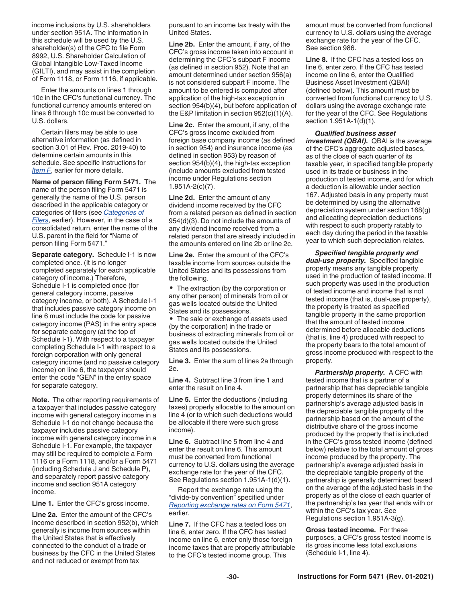<span id="page-29-0"></span>income inclusions by U.S. shareholders under section 951A. The information in this schedule will be used by the U.S. shareholder(s) of the CFC to file Form 8992, U.S. Shareholder Calculation of Global Intangible Low-Taxed Income (GILTI), and may assist in the completion of Form 1118, or Form 1116, if applicable.

Enter the amounts on lines 1 through 10c in the CFC's functional currency. The functional currency amounts entered on lines 6 through 10c must be converted to U.S. dollars.

Certain filers may be able to use alternative information (as defined in section 3.01 of Rev. Proc. 2019-40) to determine certain amounts in this schedule. See specific instructions for *[Item F](#page-7-0)*, earlier for more details.

**Name of person filing Form 5471.** The name of the person filing Form 5471 is generally the name of the U.S. person described in the applicable category or categories of filers (see *[Categories of](#page-2-0) [Filers](#page-2-0)*, earlier). However, in the case of a consolidated return, enter the name of the U.S. parent in the field for "Name of person filing Form 5471."

**Separate category.** Schedule I-1 is now completed once. (It is no longer completed separately for each applicable category of income.) Therefore, Schedule I-1 is completed once (for general category income, passive category income, or both). A Schedule I-1 that includes passive category income on line 6 must include the code for passive category income (PAS) in the entry space for separate category (at the top of Schedule I-1). With respect to a taxpayer completing Schedule I-1 with respect to a foreign corporation with only general category income (and no passive category income) on line 6, the taxpayer should enter the code "GEN" in the entry space for separate category.

**Note.** The other reporting requirements of a taxpayer that includes passive category income with general category income in a Schedule I-1 do not change because the taxpayer includes passive category income with general category income in a Schedule I-1. For example, the taxpayer may still be required to complete a Form 1116 or a Form 1118, and/or a Form 5471 (including Schedule J and Schedule P), and separately report passive category income and section 951A category income.

**Line 1.** Enter the CFC's gross income.

**Line 2a.** Enter the amount of the CFC's income described in section 952(b), which generally is income from sources within the United States that is effectively connected to the conduct of a trade or business by the CFC in the United States and not reduced or exempt from tax

pursuant to an income tax treaty with the United States.

**Line 2b.** Enter the amount, if any, of the CFC's gross income taken into account in determining the CFC's subpart F income (as defined in section 952). Note that an amount determined under section 956(a) is not considered subpart F income. The amount to be entered is computed after application of the high-tax exception in section 954(b)(4), but before application of the E&P limitation in section 952(c)(1)(A).

**Line 2c.** Enter the amount, if any, of the CFC's gross income excluded from foreign base company income (as defined in section 954) and insurance income (as defined in section 953) by reason of section 954(b)(4), the high-tax exception (include amounts excluded from tested income under Regulations section 1.951A-2(c)(7).

**Line 2d.** Enter the amount of any dividend income received by the CFC from a related person as defined in section 954(d)(3). Do not include the amounts of any dividend income received from a related person that are already included in the amounts entered on line 2b or line 2c.

**Line 2e.** Enter the amount of the CFC's taxable income from sources outside the United States and its possessions from the following.

• The extraction (by the corporation or any other person) of minerals from oil or gas wells located outside the United States and its possessions.

• The sale or exchange of assets used (by the corporation) in the trade or business of extracting minerals from oil or gas wells located outside the United States and its possessions.

**Line 3.** Enter the sum of lines 2a through 2e.

**Line 4.** Subtract line 3 from line 1 and enter the result on line 4.

**Line 5.** Enter the deductions (including taxes) properly allocable to the amount on line 4 (or to which such deductions would be allocable if there were such gross income).

**Line 6.** Subtract line 5 from line 4 and enter the result on line 6. This amount must be converted from functional currency to U.S. dollars using the average exchange rate for the year of the CFC. See Regulations section 1.951A-1(d)(1).

Report the exchange rate using the "divide-by convention" specified under *[Reporting exchange rates on Form 5471](#page-6-0)*, earlier.

**Line 7.** If the CFC has a tested loss on line 6, enter zero. If the CFC has tested income on line 6, enter only those foreign income taxes that are properly attributable to the CFC's tested income group. This

amount must be converted from functional currency to U.S. dollars using the average exchange rate for the year of the CFC. See section 986.

**Line 8.** If the CFC has a tested loss on line 6, enter zero. If the CFC has tested income on line 6, enter the Qualified Business Asset Investment (QBAI) (defined below). This amount must be converted from functional currency to U.S. dollars using the average exchange rate for the year of the CFC. See Regulations section 1.951A-1(d)(1).

*Qualified business asset investment (QBAI).* QBAI is the average of the CFC's aggregate adjusted bases, as of the close of each quarter of its taxable year, in specified tangible property used in its trade or business in the production of tested income, and for which a deduction is allowable under section 167. Adjusted basis in any property must be determined by using the alternative depreciation system under section 168(g) and allocating depreciation deductions with respect to such property ratably to each day during the period in the taxable year to which such depreciation relates.

*Specified tangible property and dual-use property.* Specified tangible property means any tangible property used in the production of tested income. If such property was used in the production of tested income and income that is not tested income (that is, dual-use property), the property is treated as specified tangible property in the same proportion that the amount of tested income determined before allocable deductions (that is, line 4) produced with respect to the property bears to the total amount of gross income produced with respect to the property.

*Partnership property.* A CFC with tested income that is a partner of a partnership that has depreciable tangible property determines its share of the partnership's average adjusted basis in the depreciable tangible property of the partnership based on the amount of the distributive share of the gross income produced by the property that is included in the CFC's gross tested income (defined below) relative to the total amount of gross income produced by the property. The partnership's average adjusted basis in the depreciable tangible property of the partnership is generally determined based on the average of the adjusted basis in the property as of the close of each quarter of the partnership's tax year that ends with or within the CFC's tax year. See Regulations section 1.951A-3(g).

**Gross tested income.** For these purposes, a CFC's gross tested income is its gross income less total exclusions (Schedule I-1, line 4).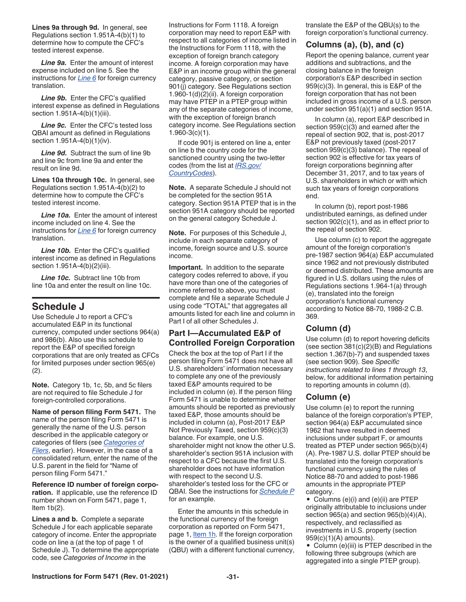<span id="page-30-0"></span>**Lines 9a through 9d.** In general, see Regulations section 1.951A-4(b)(1) to determine how to compute the CFC's tested interest expense.

*Line 9a.* Enter the amount of interest expense included on line 5. See the instructions for *[Line 6](#page-29-0)* for foreign currency translation.

**Line 9b.** Enter the CFC's qualified interest expense as defined in Regulations section 1.951A-4(b)(1)(iii).

*Line 9c.* Enter the CFC's tested loss QBAI amount as defined in Regulations section 1.951A-4(b)(1)(iv).

*Line 9d.* Subtract the sum of line 9b and line 9c from line 9a and enter the result on line 9d.

**Lines 10a through 10c.** In general, see Regulations section 1.951A-4(b)(2) to determine how to compute the CFC's tested interest income.

*Line 10a.* Enter the amount of interest income included on line 4. See the instructions for *[Line 6](#page-29-0)* for foreign currency translation.

Line 10b. Enter the CFC's qualified interest income as defined in Regulations section 1.951A-4(b)(2)(iii).

*Line 10c.* Subtract line 10b from line 10a and enter the result on line 10c.

# **Schedule J**

Use Schedule J to report a CFC's accumulated E&P in its functional currency, computed under sections 964(a) and 986(b). Also use this schedule to report the E&P of specified foreign corporations that are only treated as CFCs for limited purposes under section 965(e) (2).

**Note.** Category 1b, 1c, 5b, and 5c filers are not required to file Schedule J for foreign-controlled corporations.

**Name of person filing Form 5471.** The name of the person filing Form 5471 is generally the name of the U.S. person described in the applicable category or categories of filers (see *[Categories of](#page-2-0) [Filers](#page-2-0)*, earlier). However, in the case of a consolidated return, enter the name of the U.S. parent in the field for "Name of person filing Form 5471."

**Reference ID number of foreign corporation.** If applicable, use the reference ID number shown on Form 5471, page 1, Item  $1b(2)$ .

**Lines a and b.** Complete a separate Schedule J for each applicable separate category of income. Enter the appropriate code on line a (at the top of page 1 of Schedule J). To determine the appropriate code, see *Categories of Income* in the

Instructions for Form 1118. A foreign corporation may need to report E&P with respect to all categories of income listed in the Instructions for Form 1118, with the exception of foreign branch category income. A foreign corporation may have E&P in an income group within the general category, passive category, or section 901(j) category. See Regulations section 1.960-1(d)(2)(ii). A foreign corporation may have PTEP in a PTEP group within any of the separate categories of income, with the exception of foreign branch category income. See Regulations section 1.960-3(c)(1).

If code 901j is entered on line a, enter on line b the country code for the sanctioned country using the two-letter codes (from the list at *[IRS.gov/](https://www.irs.gov/e-file-providers/foreign-country-code-listing-for-modernized-e-file) [CountryCodes](https://www.irs.gov/e-file-providers/foreign-country-code-listing-for-modernized-e-file)*).

**Note.** A separate Schedule J should not be completed for the section 951A category. Section 951A PTEP that is in the section 951A category should be reported on the general category Schedule J.

**Note.** For purposes of this Schedule J, include in each separate category of income, foreign source and U.S. source income.

**Important.** In addition to the separate category codes referred to above, if you have more than one of the categories of income referred to above, you must complete and file a separate Schedule J using code "TOTAL" that aggregates all amounts listed for each line and column in Part I of all other Schedules J.

# **Part I—Accumulated E&P of Controlled Foreign Corporation**

Check the box at the top of Part I if the person filing Form 5471 does not have all U.S. shareholders' information necessary to complete any one of the previously taxed E&P amounts required to be included in column (e). If the person filing Form 5471 is unable to determine whether amounts should be reported as previously taxed E&P, those amounts should be included in column (a), Post-2017 E&P Not Previously Taxed, section 959(c)(3) balance. For example, one U.S. shareholder might not know the other U.S. shareholder's section 951A inclusion with respect to a CFC because the first U.S. shareholder does not have information with respect to the second U.S. shareholder's tested loss for the CFC or QBAI. See the instructions for *[Schedule P](#page-33-0)*  for an example.

Enter the amounts in this schedule in the functional currency of the foreign corporation as reported on Form 5471, page 1, **[Item 1h](#page-9-0)**. If the foreign corporation is the owner of a qualified business unit(s) (QBU) with a different functional currency, translate the E&P of the QBU(s) to the foreign corporation's functional currency.

# **Columns (a), (b), and (c)**

Report the opening balance, current year additions and subtractions, and the closing balance in the foreign corporation's E&P described in section 959(c)(3). In general, this is E&P of the foreign corporation that has not been included in gross income of a U.S. person under section 951(a)(1) and section 951A.

In column (a), report E&P described in section 959(c)(3) and earned after the repeal of section 902, that is, post-2017 E&P not previously taxed (post-2017 section 959(c)(3) balance). The repeal of section 902 is effective for tax years of foreign corporations beginning after December 31, 2017, and to tax years of U.S. shareholders in which or with which such tax years of foreign corporations end.

In column (b), report post-1986 undistributed earnings, as defined under section 902(c)(1), and as in effect prior to the repeal of section 902.

Use column (c) to report the aggregate amount of the foreign corporation's pre-1987 section 964(a) E&P accumulated since 1962 and not previously distributed or deemed distributed. These amounts are figured in U.S. dollars using the rules of Regulations sections 1.964-1(a) through (e), translated into the foreign corporation's functional currency according to Notice 88-70, 1988-2 C.B. 369.

# **Column (d)**

Use column (d) to report hovering deficits (see section 381(c)(2)(B) and Regulations section 1.367(b)-7) and suspended taxes (see section 909). See *Specific instructions related to lines 1 through 13*, below, for additional information pertaining to reporting amounts in column (d).

# **Column (e)**

Use column (e) to report the running balance of the foreign corporation's PTEP, section 964(a) E&P accumulated since 1962 that have resulted in deemed inclusions under subpart F, or amounts treated as PTEP under section 965(b)(4) (A). Pre-1987 U.S. dollar PTEP should be translated into the foreign corporation's functional currency using the rules of Notice 88-70 and added to post-1986 amounts in the appropriate PTEP category.

• Columns (e)(i) and (e)(ii) are PTEP originally attributable to inclusions under section 965(a) and section 965(b)(4)(A), respectively, and reclassified as investments in U.S. property (section 959(c)(1)(A) amounts).

• Column (e)(iii) is PTEP described in the following three subgroups (which are aggregated into a single PTEP group).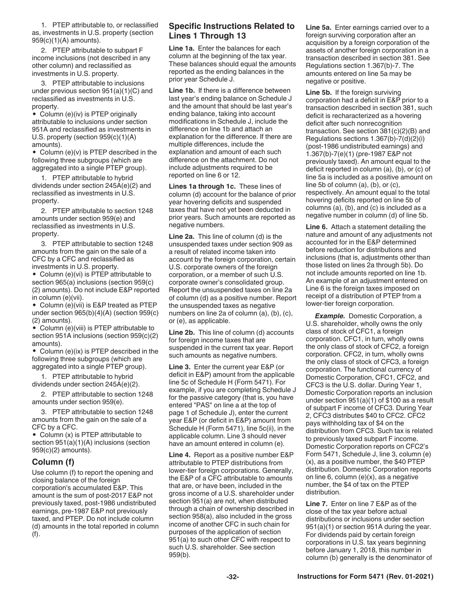<span id="page-31-0"></span>1. PTEP attributable to, or reclassified as, investments in U.S. property (section 959(c)(1)(A) amounts).

2. PTEP attributable to subpart F income inclusions (not described in any other column) and reclassified as investments in U.S. property.

3. PTEP attributable to inclusions under previous section 951(a)(1)(C) and reclassified as investments in U.S. property.

• Column (e)(iv) is PTEP originally attributable to inclusions under section 951A and reclassified as investments in U.S. property (section 959(c)(1)(A) amounts).

• Column (e)(v) is PTEP described in the following three subgroups (which are aggregated into a single PTEP group).

1. PTEP attributable to hybrid dividends under section 245A(e)(2) and reclassified as investments in U.S. property.

2. PTEP attributable to section 1248 amounts under section 959(e) and reclassified as investments in U.S. property.

3. PTEP attributable to section 1248 amounts from the gain on the sale of a CFC by a CFC and reclassified as investments in U.S. property.

• Column (e)(vi) is PTEP attributable to section 965(a) inclusions (section 959(c) (2) amounts). Do not include E&P reported in column (e)(vii).

• Column (e)(vii) is E&P treated as PTEP under section 965(b)(4)(A) (section 959(c) (2) amounts).

• Column (e)(viii) is PTEP attributable to section 951A inclusions (section 959(c)(2) amounts).

• Column (e)(ix) is PTEP described in the following three subgroups (which are aggregated into a single PTEP group).

1. PTEP attributable to hybrid dividends under section 245A(e)(2).

2. PTEP attributable to section 1248 amounts under section 959(e).

3. PTEP attributable to section 1248 amounts from the gain on the sale of a CFC by a CFC.

• Column (x) is PTEP attributable to section 951(a)(1)(A) inclusions (section 959(c)(2) amounts).

#### **Column (f)**

Use column (f) to report the opening and closing balance of the foreign corporation's accumulated E&P. This amount is the sum of post-2017 E&P not previously taxed, post-1986 undistributed earnings, pre-1987 E&P not previously taxed, and PTEP. Do not include column (d) amounts in the total reported in column (f).

# **Specific Instructions Related to Lines 1 Through 13**

**Line 1a.** Enter the balances for each column at the beginning of the tax year. These balances should equal the amounts reported as the ending balances in the prior year Schedule J.

**Line 1b.** If there is a difference between last year's ending balance on Schedule J and the amount that should be last year's ending balance, taking into account modifications in Schedule J, include the difference on line 1b and attach an explanation for the difference. If there are multiple differences, include the explanation and amount of each such difference on the attachment. Do not include adjustments required to be reported on line 6 or 12.

**Lines 1a through 1c.** These lines of column (d) account for the balance of prior year hovering deficits and suspended taxes that have not yet been deducted in prior years. Such amounts are reported as negative numbers.

**Line 2a.** This line of column (d) is the unsuspended taxes under section 909 as a result of related income taken into account by the foreign corporation, certain U.S. corporate owners of the foreign corporation, or a member of such U.S. corporate owner's consolidated group. Report the unsuspended taxes on line 2a of column (d) as a positive number. Report the unsuspended taxes as negative numbers on line 2a of column (a), (b), (c), or (e), as applicable.

**Line 2b.** This line of column (d) accounts for foreign income taxes that are suspended in the current tax year. Report such amounts as negative numbers.

**Line 3.** Enter the current year E&P (or deficit in E&P) amount from the applicable line 5c of Schedule H (Form 5471). For example, if you are completing Schedule J for the passive category (that is, you have entered "PAS" on line a at the top of page 1 of Schedule J), enter the current year E&P (or deficit in E&P) amount from Schedule H (Form 5471), line 5c(ii), in the applicable column. Line 3 should never have an amount entered in column (e).

**Line 4.** Report as a positive number E&P attributable to PTEP distributions from lower-tier foreign corporations. Generally, the E&P of a CFC attributable to amounts that are, or have been, included in the gross income of a U.S. shareholder under section 951(a) are not, when distributed through a chain of ownership described in section 958(a), also included in the gross income of another CFC in such chain for purposes of the application of section 951(a) to such other CFC with respect to such U.S. shareholder. See section 959(b).

**Line 5a.** Enter earnings carried over to a foreign surviving corporation after an acquisition by a foreign corporation of the assets of another foreign corporation in a transaction described in section 381. See Regulations section 1.367(b)-7. The amounts entered on line 5a may be negative or positive.

**Line 5b.** If the foreign surviving corporation had a deficit in E&P prior to a transaction described in section 381, such deficit is recharacterized as a hovering deficit after such nonrecognition transaction. See section 381(c)(2)(B) and Regulations sections 1.367(b)-7(d)(2)(i) (post-1986 undistributed earnings) and 1.367(b)-7(e)(1) (pre-1987 E&P not previously taxed). An amount equal to the deficit reported in column (a), (b), or (c) of line 5a is included as a positive amount on line 5b of column (a), (b), or (c), respectively. An amount equal to the total hovering deficits reported on line 5b of columns (a), (b), and (c) is included as a negative number in column (d) of line 5b.

**Line 6.** Attach a statement detailing the nature and amount of any adjustments not accounted for in the E&P determined before reduction for distributions and inclusions (that is, adjustments other than those listed on lines 2a through 5b). Do not include amounts reported on line 1b. An example of an adjustment entered on Line 6 is the foreign taxes imposed on receipt of a distribution of PTEP from a lower-tier foreign corporation.

*Example.* Domestic Corporation, a U.S. shareholder, wholly owns the only class of stock of CFC1, a foreign corporation. CFC1, in turn, wholly owns the only class of stock of CFC2, a foreign corporation. CFC2, in turn, wholly owns the only class of stock of CFC3, a foreign corporation. The functional currency of Domestic Corporation, CFC1, CFC2, and CFC3 is the U.S. dollar. During Year 1, Domestic Corporation reports an inclusion under section 951(a)(1) of \$100 as a result of subpart F income of CFC3. During Year 2, CFC3 distributes \$40 to CFC2. CFC2 pays withholding tax of \$4 on the distribution from CFC3. Such tax is related to previously taxed subpart F income. Domestic Corporation reports on CFC2's Form 5471, Schedule J, line 3, column (e) (x), as a positive number, the \$40 PTEP distribution. Domestic Corporation reports on line 6, column (e)(x), as a negative number, the \$4 of tax on the PTEP distribution.

**Line 7.** Enter on line 7 E&P as of the close of the tax year before actual distributions or inclusions under section 951(a)(1) or section 951A during the year. For dividends paid by certain foreign corporations in U.S. tax years beginning before January 1, 2018, this number in column (b) generally is the denominator of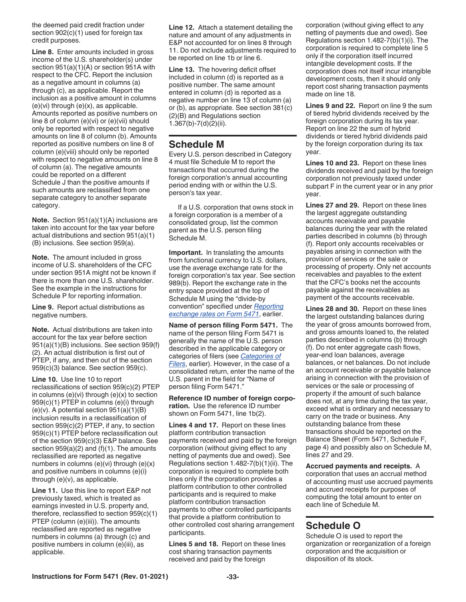<span id="page-32-0"></span>the deemed paid credit fraction under section 902(c)(1) used for foreign tax credit purposes.

**Line 8.** Enter amounts included in gross income of the U.S. shareholder(s) under section 951(a)(1)(A) or section 951A with respect to the CFC. Report the inclusion as a negative amount in columns (a) through (c), as applicable. Report the inclusion as a positive amount in columns  $(e)(vi)$  through  $(e)(x)$ , as applicable. Amounts reported as positive numbers on line 8 of column (e)(vi) or (e)(vii) should only be reported with respect to negative amounts on line 8 of column (b). Amounts reported as positive numbers on line 8 of column (e)(viii) should only be reported with respect to negative amounts on line 8 of column (a). The negative amounts could be reported on a different Schedule J than the positive amounts if such amounts are reclassified from one separate category to another separate category.

**Note.** Section 951(a)(1)(A) inclusions are taken into account for the tax year before actual distributions and section 951(a)(1) (B) inclusions. See section 959(a).

**Note.** The amount included in gross income of U.S. shareholders of the CFC under section 951A might not be known if there is more than one U.S. shareholder. See the example in the instructions for Schedule P for reporting information.

**Line 9.** Report actual distributions as negative numbers.

**Note.** Actual distributions are taken into account for the tax year before section 951(a)(1)(B) inclusions. See section 959(f) (2). An actual distribution is first out of PTEP, if any, and then out of the section 959(c)(3) balance. See section 959(c).

**Line 10.** Use line 10 to report reclassifications of section 959(c)(2) PTEP in columns (e)(vi) through (e)(x) to section 959(c)(1) PTEP in columns (e)(i) through  $(e)(v)$ . A potential section 951 $(a)(1)(B)$ inclusion results in a reclassification of section 959(c)(2) PTEP, if any, to section 959(c)(1) PTEP before reclassification out of the section 959(c)(3) E&P balance. See section  $959(a)(2)$  and  $(f)(1)$ . The amounts reclassified are reported as negative numbers in columns (e)(vi) through (e)(x) and positive numbers in columns (e)(i) through (e)(v), as applicable.

**Line 11.** Use this line to report E&P not previously taxed, which is treated as earnings invested in U.S. property and, therefore, reclassified to section 959(c)(1) PTEP (column (e)(iii)). The amounts reclassified are reported as negative numbers in columns (a) through (c) and positive numbers in column (e)(iii), as applicable.

**Line 12.** Attach a statement detailing the nature and amount of any adjustments in E&P not accounted for on lines 8 through 11. Do not include adjustments required to be reported on line 1b or line 6.

**Line 13.** The hovering deficit offset included in column (d) is reported as a positive number. The same amount entered in column (d) is reported as a negative number on line 13 of column (a) or (b), as appropriate. See section 381(c) (2)(B) and Regulations section 1.367(b)-7(d)(2)(ii).

# **Schedule M**

Every U.S. person described in Category 4 must file Schedule M to report the transactions that occurred during the foreign corporation's annual accounting period ending with or within the U.S. person's tax year.

If a U.S. corporation that owns stock in a foreign corporation is a member of a consolidated group, list the common parent as the U.S. person filing Schedule M.

**Important.** In translating the amounts from functional currency to U.S. dollars, use the average exchange rate for the foreign corporation's tax year. See section 989(b). Report the exchange rate in the entry space provided at the top of Schedule M using the "divide-by convention" specified under *[Reporting](#page-6-0)  [exchange rates on Form 5471](#page-6-0)*, earlier.

**Name of person filing Form 5471.** The name of the person filing Form 5471 is generally the name of the U.S. person described in the applicable category or categories of filers (see *[Categories of](#page-2-0) [Filers](#page-2-0)*, earlier). However, in the case of a consolidated return, enter the name of the U.S. parent in the field for "Name of person filing Form 5471."

**Reference ID number of foreign corporation.** Use the reference ID number shown on Form 5471, line 1b(2).

**Lines 4 and 17.** Report on these lines platform contribution transaction payments received and paid by the foreign corporation (without giving effect to any netting of payments due and owed). See Regulations section 1.482-7(b)(1)(ii). The corporation is required to complete both lines only if the corporation provides a platform contribution to other controlled participants and is required to make platform contribution transaction payments to other controlled participants that provide a platform contribution to other controlled cost sharing arrangement participants.

**Lines 5 and 18.** Report on these lines cost sharing transaction payments received and paid by the foreign

corporation (without giving effect to any netting of payments due and owed). See Regulations section 1.482-7(b)(1)(i). The corporation is required to complete line 5 only if the corporation itself incurred intangible development costs. If the corporation does not itself incur intangible development costs, then it should only report cost sharing transaction payments made on line 18.

**Lines 9 and 22.** Report on line 9 the sum of tiered hybrid dividends received by the foreign corporation during its tax year. Report on line 22 the sum of hybrid dividends or tiered hybrid dividends paid by the foreign corporation during its tax year.

**Lines 10 and 23.** Report on these lines dividends received and paid by the foreign corporation not previously taxed under subpart F in the current year or in any prior year.

**Lines 27 and 29.** Report on these lines the largest aggregate outstanding accounts receivable and payable balances during the year with the related parties described in columns (b) through (f). Report only accounts receivables or payables arising in connection with the provision of services or the sale or processing of property. Only net accounts receivables and payables to the extent that the CFC's books net the accounts payable against the receivables as payment of the accounts receivable.

**Lines 28 and 30.** Report on these lines the largest outstanding balances during the year of gross amounts borrowed from, and gross amounts loaned to, the related parties described in columns (b) through (f). Do not enter aggregate cash flows, year-end loan balances, average balances, or net balances. Do not include an account receivable or payable balance arising in connection with the provision of services or the sale or processing of property if the amount of such balance does not, at any time during the tax year, exceed what is ordinary and necessary to carry on the trade or business. Any outstanding balance from these transactions should be reported on the Balance Sheet (Form 5471, Schedule F, page 4) and possibly also on Schedule M, lines 27 and 29.

**Accrued payments and receipts.** A corporation that uses an accrual method of accounting must use accrued payments and accrued receipts for purposes of computing the total amount to enter on each line of Schedule M.

# **Schedule O**

Schedule O is used to report the organization or reorganization of a foreign corporation and the acquisition or disposition of its stock.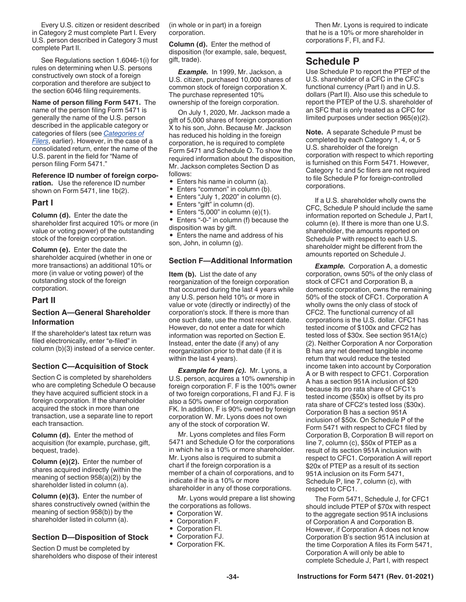<span id="page-33-0"></span>Every U.S. citizen or resident described in Category 2 must complete Part I. Every U.S. person described in Category 3 must complete Part II.

See Regulations section 1.6046-1(i) for rules on determining when U.S. persons constructively own stock of a foreign corporation and therefore are subject to the section 6046 filing requirements.

**Name of person filing Form 5471.** The name of the person filing Form 5471 is generally the name of the U.S. person described in the applicable category or categories of filers (see *[Categories of](#page-2-0) [Filers](#page-2-0)*, earlier). However, in the case of a consolidated return, enter the name of the U.S. parent in the field for "Name of person filing Form 5471."

**Reference ID number of foreign corporation.** Use the reference ID number shown on Form 5471, line 1b(2).

#### **Part I**

**Column (d).** Enter the date the shareholder first acquired 10% or more (in value or voting power) of the outstanding stock of the foreign corporation.

**Column (e).** Enter the date the shareholder acquired (whether in one or more transactions) an additional 10% or more (in value or voting power) of the outstanding stock of the foreign corporation.

### **Part II**

# **Section A—General Shareholder Information**

If the shareholder's latest tax return was filed electronically, enter "e-filed" in column (b)(3) instead of a service center.

#### **Section C—Acquisition of Stock**

Section C is completed by shareholders who are completing Schedule O because they have acquired sufficient stock in a foreign corporation. If the shareholder acquired the stock in more than one transaction, use a separate line to report each transaction.

**Column (d).** Enter the method of acquisition (for example, purchase, gift, bequest, trade).

**Column (e)(2).** Enter the number of shares acquired indirectly (within the meaning of section 958(a)(2)) by the shareholder listed in column (a).

**Column (e)(3).** Enter the number of shares constructively owned (within the meaning of section 958(b)) by the shareholder listed in column (a).

#### **Section D—Disposition of Stock**

Section D must be completed by shareholders who dispose of their interest (in whole or in part) in a foreign corporation.

**Column (d).** Enter the method of disposition (for example, sale, bequest, gift, trade).

*Example.* In 1999, Mr. Jackson, a U.S. citizen, purchased 10,000 shares of common stock of foreign corporation X. The purchase represented 10% ownership of the foreign corporation.

On July 1, 2020, Mr. Jackson made a gift of 5,000 shares of foreign corporation X to his son, John. Because Mr. Jackson has reduced his holding in the foreign corporation, he is required to complete Form 5471 and Schedule O. To show the required information about the disposition, Mr. Jackson completes Section D as follows:

- Enters his name in column (a).
- Enters "common" in column (b).
- Enters "July 1, 2020" in column (c).
- Enters "gift" in column (d).
- Enters "5,000" in column  $(e)(1)$ .

• Enters "-0-" in column (f) because the disposition was by gift.

• Enters the name and address of his son, John, in column (g).

#### **Section F—Additional Information**

**Item (b).** List the date of any reorganization of the foreign corporation that occurred during the last 4 years while any U.S. person held 10% or more in value or vote (directly or indirectly) of the corporation's stock. If there is more than one such date, use the most recent date. However, do not enter a date for which information was reported on Section E. Instead, enter the date (if any) of any reorganization prior to that date (if it is within the last 4 years).

**Example for Item (c).** Mr. Lyons, a U.S. person, acquires a 10% ownership in foreign corporation F. F is the 100% owner of two foreign corporations, FI and FJ. F is also a 50% owner of foreign corporation FK. In addition, F is 90% owned by foreign corporation W. Mr. Lyons does not own any of the stock of corporation W.

Mr. Lyons completes and files Form 5471 and Schedule O for the corporations in which he is a 10% or more shareholder. Mr. Lyons also is required to submit a chart if the foreign corporation is a member of a chain of corporations, and to indicate if he is a 10% or more shareholder in any of those corporations.

Mr. Lyons would prepare a list showing the corporations as follows.

- 
- Corporation W.<br>• Corporation F • Corporation F.
- Corporation FI.
- Corporation FJ.
- Corporation FK.

Then Mr. Lyons is required to indicate that he is a 10% or more shareholder in corporations F, FI, and FJ.

# **Schedule P**

Use Schedule P to report the PTEP of the U.S. shareholder of a CFC in the CFC's functional currency (Part I) and in U.S. dollars (Part II). Also use this schedule to report the PTEP of the U.S. shareholder of an SFC that is only treated as a CFC for limited purposes under section 965(e)(2).

**Note.** A separate Schedule P must be completed by each Category 1, 4, or 5 U.S. shareholder of the foreign corporation with respect to which reporting is furnished on this Form 5471. However, Category 1c and 5c filers are not required to file Schedule P for foreign-controlled corporations.

If a U.S. shareholder wholly owns the CFC, Schedule P should include the same information reported on Schedule J, Part I, column (e). If there is more than one U.S. shareholder, the amounts reported on Schedule P with respect to each U.S. shareholder might be different from the amounts reported on Schedule J.

**Example.** Corporation A, a domestic corporation, owns 50% of the only class of stock of CFC1 and Corporation B, a domestic corporation, owns the remaining 50% of the stock of CFC1. Corporation A wholly owns the only class of stock of CFC2. The functional currency of all corporations is the U.S. dollar. CFC1 has tested income of \$100x and CFC2 has tested loss of \$30x. See section 951A(c) (2). Neither Corporation A nor Corporation B has any net deemed tangible income return that would reduce the tested income taken into account by Corporation A or B with respect to CFC1. Corporation A has a section 951A inclusion of \$20 because its pro rata share of CFC1's tested income (\$50x) is offset by its pro rata share of CFC2's tested loss (\$30x). Corporation B has a section 951A inclusion of \$50x. On Schedule P of the Form 5471 with respect to CFC1 filed by Corporation B, Corporation B will report on line 7, column (c), \$50x of PTEP as a result of its section 951A inclusion with respect to CFC1. Corporation A will report \$20x of PTEP as a result of its section 951A inclusion on its Form 5471, Schedule P, line 7, column (c), with respect to CFC1.

The Form 5471, Schedule J, for CFC1 should include PTEP of \$70x with respect to the aggregate section 951A inclusions of Corporation A and Corporation B. However, if Corporation A does not know Corporation B's section 951A inclusion at the time Corporation A files its Form 5471, Corporation A will only be able to complete Schedule J, Part I, with respect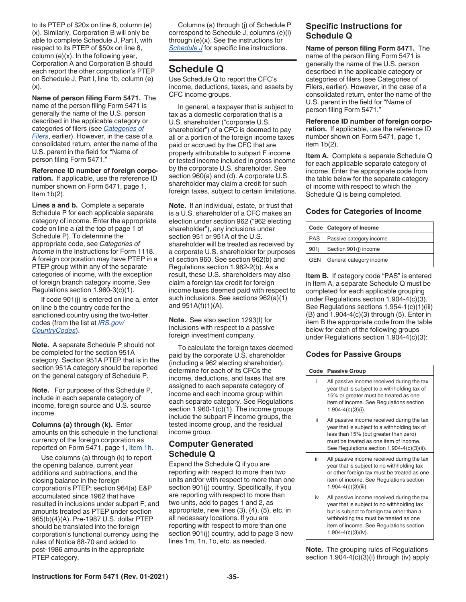<span id="page-34-0"></span>to its PTEP of \$20x on line 8, column (e) (x). Similarly, Corporation B will only be able to complete Schedule J, Part I, with respect to its PTEP of \$50x on line 8, column  $(e)(x)$ . In the following year, Corporation A and Corporation B should each report the other corporation's PTEP on Schedule J, Part I, line 1b, column (e)  $(x)$ .

**Name of person filing Form 5471.** The name of the person filing Form 5471 is generally the name of the U.S. person described in the applicable category or categories of filers (see *[Categories of](#page-2-0) [Filers](#page-2-0)*, earlier). However, in the case of a consolidated return, enter the name of the U.S. parent in the field for "Name of person filing Form 5471."

**Reference ID number of foreign corporation.** If applicable, use the reference ID number shown on Form 5471, page 1, Item  $1b(2)$ .

**Lines a and b.** Complete a separate Schedule P for each applicable separate category of income. Enter the appropriate code on line a (at the top of page 1 of Schedule P). To determine the appropriate code, see *Categories of Income* in the Instructions for Form 1118. A foreign corporation may have PTEP in a PTEP group within any of the separate categories of income, with the exception of foreign branch category income. See Regulations section 1.960-3(c)(1).

If code 901(j) is entered on line a, enter on line b the country code for the sanctioned country using the two-letter codes (from the list at *[IRS.gov/](https://www.irs.gov/e-file-providers/foreign-country-code-listing-for-modernized-e-file) [CountryCodes](https://www.irs.gov/e-file-providers/foreign-country-code-listing-for-modernized-e-file)*).

**Note.** A separate Schedule P should not be completed for the section 951A category. Section 951A PTEP that is in the section 951A category should be reported on the general category of Schedule P.

**Note.** For purposes of this Schedule P, include in each separate category of income, foreign source and U.S. source income.

**Columns (a) through (k).** Enter amounts on this schedule in the functional currency of the foreign corporation as reported on Form 5471, page 1, ltem 1h.

Use columns (a) through (k) to report the opening balance, current year additions and subtractions, and the closing balance in the foreign corporation's PTEP; section 964(a) E&P accumulated since 1962 that have resulted in inclusions under subpart F; and amounts treated as PTEP under section 965(b)(4)(A). Pre-1987 U.S. dollar PTEP should be translated into the foreign corporation's functional currency using the rules of Notice 88-70 and added to post-1986 amounts in the appropriate PTEP category.

Columns (a) through (j) of Schedule P correspond to Schedule J, columns (e)(i) through (e)(x). See the instructions for *[Schedule J](#page-30-0)* for specific line instructions.

# **Schedule Q**

Use Schedule Q to report the CFC's income, deductions, taxes, and assets by CFC income groups.

In general, a taxpayer that is subject to tax as a domestic corporation that is a U.S. shareholder ("corporate U.S. shareholder") of a CFC is deemed to pay all or a portion of the foreign income taxes paid or accrued by the CFC that are properly attributable to subpart F income or tested income included in gross income by the corporate U.S. shareholder. See section 960(a) and (d). A corporate U.S. shareholder may claim a credit for such foreign taxes, subject to certain limitations.

**Note.** If an individual, estate, or trust that is a U.S. shareholder of a CFC makes an election under section 962 ("962 electing shareholder"), any inclusions under section 951 or 951A of the U.S. shareholder will be treated as received by a corporate U.S. shareholder for purposes of section 960. See section 962(b) and Regulations section 1.962-2(b). As a result, these U.S. shareholders may also claim a foreign tax credit for foreign income taxes deemed paid with respect to such inclusions. See sections 962(a)(1) and  $951A(f)(1)(A)$ .

**Note.** See also section 1293(f) for inclusions with respect to a passive foreign investment company.

To calculate the foreign taxes deemed paid by the corporate U.S. shareholder (including a 962 electing shareholder), determine for each of its CFCs the income, deductions, and taxes that are assigned to each separate category of income and each income group within each separate category. See Regulations section 1.960-1(c)(1). The income groups include the subpart F income groups, the tested income group, and the residual income group.

# **Computer Generated Schedule Q**

Expand the Schedule Q if you are reporting with respect to more than two units and/or with respect to more than one section 901(j) country. Specifically, if you are reporting with respect to more than two units, add to pages 1 and 2, as appropriate, new lines (3), (4), (5), etc. in all necessary locations. If you are reporting with respect to more than one section 901(j) country, add to page 3 new lines 1m, 1n, 1o, etc. as needed.

# **Specific Instructions for Schedule Q**

**Name of person filing Form 5471.** The name of the person filing Form 5471 is generally the name of the U.S. person described in the applicable category or categories of filers (see Categories of Filers, earlier). However, in the case of a consolidated return, enter the name of the U.S. parent in the field for "Name of person filing Form 5471."

**Reference ID number of foreign corporation.** If applicable, use the reference ID number shown on Form 5471, page 1, item 1b(2).

**Item A.** Complete a separate Schedule Q for each applicable separate category of income. Enter the appropriate code from the table below for the separate category of income with respect to which the Schedule Q is being completed.

# **Codes for Categories of Income**

|            | Code Category of Income |
|------------|-------------------------|
| PAS        | Passive category income |
| 901i       | Section 901(i) income   |
| <b>GEN</b> | General category income |

**Item B.** If category code "PAS" is entered in Item A, a separate Schedule Q must be completed for each applicable grouping under Regulations section 1.904-4(c)(3). See Regulations sections 1.954-1(c)(1)(iii) (B) and 1.904-4(c)(3) through (5). Enter in item B the appropriate code from the table below for each of the following groups under Regulations section 1.904-4(c)(3):

# **Codes for Passive Groups**

| Code | <b>Passive Group</b>                                                                                                                                                                                                                                   |
|------|--------------------------------------------------------------------------------------------------------------------------------------------------------------------------------------------------------------------------------------------------------|
| i    | All passive income received during the tax<br>year that is subject to a withholding tax of<br>15% or greater must be treated as one<br>item of income. See Regulations section<br>$1.904 - 4(c)(3)(i)$ .                                               |
| ii.  | All passive income received during the tax<br>year that is subject to a withholding tax of<br>less than 15% (but greater than zero)<br>must be treated as one item of income.<br>See Regulations section 1.904-4(c)(3)(ii).                            |
| iii  | All passive income received during the tax<br>year that is subject to no withholding tax<br>or other foreign tax must be treated as one<br>item of income. See Regulations section<br>$1.904 - 4(c)(3)(iii)$ .                                         |
| iv   | All passive income received during the tax<br>year that is subject to no withholding tax<br>but is subject to foreign tax other than a<br>withholding tax must be treated as one<br>item of income. See Regulations section<br>$1.904 - 4(c)(3)(iv)$ . |

**Note.** The grouping rules of Regulations section 1.904-4(c)(3)(i) through (iv) apply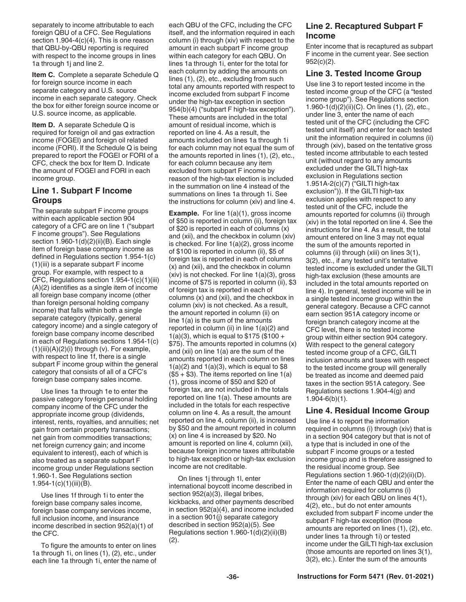separately to income attributable to each foreign QBU of a CFC. See Regulations section 1.904-4(c)(4). This is one reason that QBU-by-QBU reporting is required with respect to the income groups in lines 1a through 1j and line 2.

**Item C.** Complete a separate Schedule Q for foreign source income in each separate category and U.S. source income in each separate category. Check the box for either foreign source income or U.S. source income, as applicable.

**Item D.** A separate Schedule Q is required for foreign oil and gas extraction income (FOGEI) and foreign oil related income (FORI). If the Schedule Q is being prepared to report the FOGEI or FORI of a CFC, check the box for Item D. Indicate the amount of FOGEI and FORI in each income group.

# **Line 1. Subpart F Income Groups**

The separate subpart F income groups within each applicable section 904 category of a CFC are on line 1 ("subpart F income groups"). See Regulations section  $1.960-1(d)(2)(ii)(B)$ . Each single item of foreign base company income as defined in Regulations section 1.954-1(c) (1)(iii) is a separate subpart F income group. For example, with respect to a CFC, Regulations section 1.954-1(c)(1)(iii) (A)(2) identifies as a single item of income all foreign base company income (other than foreign personal holding company income) that falls within both a single separate category (typically, general category income) and a single category of foreign base company income described in each of Regulations sections 1.954-1(c)  $(1)(iii)(A)(2)(i)$  through  $(v)$ . For example, with respect to line 1f, there is a single subpart F income group within the general category that consists of all of a CFC's foreign base company sales income.

Use lines 1a through 1e to enter the passive category foreign personal holding company income of the CFC under the appropriate income group (dividends, interest, rents, royalties, and annuities; net gain from certain property transactions; net gain from commodities transactions; net foreign currency gain; and income equivalent to interest), each of which is also treated as a separate subpart F income group under Regulations section 1.960-1. See Regulations section  $1.954 - 1(c)(1)(iii)(B)$ .

Use lines 1f through 1i to enter the foreign base company sales income, foreign base company services income, full inclusion income, and insurance income described in section 952(a)(1) of the CFC.

To figure the amounts to enter on lines 1a through 1i, on lines (1), (2), etc., under each line 1a through 1i, enter the name of

each QBU of the CFC, including the CFC itself, and the information required in each column (i) through (xiv) with respect to the amount in each subpart F income group within each category for each QBU. On lines 1a through 1i, enter for the total for each column by adding the amounts on lines (1), (2), etc., excluding from such total any amounts reported with respect to income excluded from subpart F income under the high-tax exception in section 954(b)(4) ("subpart F high-tax exception"). These amounts are included in the total amount of residual income, which is reported on line 4. As a result, the amounts included on lines 1a through 1i for each column may not equal the sum of the amounts reported in lines (1), (2), etc., for each column because any item excluded from subpart F income by reason of the high-tax election is included in the summation on line 4 instead of the summations on lines 1a through 1i. See the instructions for column (xiv) and line 4.

**Example.** For line 1(a)(1), gross income of \$50 is reported in column (ii), foreign tax of \$20 is reported in each of columns (x) and (xii), and the checkbox in column (xiv) is checked. For line 1(a)(2), gross income of \$100 is reported in column (ii), \$5 of foreign tax is reported in each of columns (x) and (xii), and the checkbox in column (xiv) is not checked. For line 1(a)(3), gross income of \$75 is reported in column (ii), \$3 of foreign tax is reported in each of columns (x) and (xii), and the checkbox in column (xiv) is not checked. As a result, the amount reported in column (ii) on line 1(a) is the sum of the amounts reported in column (ii) in line  $1(a)(2)$  and 1(a)(3), which is equal to \$175 (\$100 + \$75). The amounts reported in columns (x) and (xii) on line 1(a) are the sum of the amounts reported in each column on lines  $1(a)(2)$  and  $1(a)(3)$ , which is equal to \$8  $($5 + $3)$ . The items reported on line  $1(a)$ (1), gross income of \$50 and \$20 of foreign tax, are not included in the totals reported on line 1(a). These amounts are included in the totals for each respective column on line 4. As a result, the amount reported on line 4, column (ii), is increased by \$50 and the amount reported in column (x) on line 4 is increased by \$20. No amount is reported on line 4, column (xii), because foreign income taxes attributable to high-tax exception or high-tax exclusion income are not creditable.

On lines 1j through 1l, enter international boycott income described in section 952(a)(3), illegal bribes, kickbacks, and other payments described in section 952(a)(4), and income included in a section 901(j) separate category described in section 952(a)(5). See Regulations section 1.960-1(d)(2)(ii)(B) (2).

# **Line 2. Recaptured Subpart F Income**

Enter income that is recaptured as subpart F income in the current year. See section 952(c)(2).

### **Line 3. Tested Income Group**

Use line 3 to report tested income in the tested income group of the CFC (a "tested income group"). See Regulations section 1.960-1(d)(2)(ii)(C). On lines (1), (2), etc., under line 3, enter the name of each tested unit of the CFC (including the CFC tested unit itself) and enter for each tested unit the information required in columns (ii) through (xiv), based on the tentative gross tested income attributable to each tested unit (without regard to any amounts excluded under the GILTI high-tax exclusion in Regulations section 1.951A-2(c)(7) ("GILTI high-tax exclusion")). If the GILTI high-tax exclusion applies with respect to any tested unit of the CFC, include the amounts reported for columns (ii) through (xiv) in the total reported on line 4. See the instructions for line 4. As a result, the total amount entered on line 3 may not equal the sum of the amounts reported in columns (ii) through (xiii) on lines 3(1), 3(2), etc., if any tested unit's tentative tested income is excluded under the GILTI high-tax exclusion (these amounts are included in the total amounts reported on line 4). In general, tested income will be in a single tested income group within the general category. Because a CFC cannot earn section 951A category income or foreign branch category income at the CFC level, there is no tested income group within either section 904 category. With respect to the general category tested income group of a CFC, GILTI inclusion amounts and taxes with respect to the tested income group will generally be treated as income and deemed paid taxes in the section 951A category. See Regulations sections 1.904-4(g) and 1.904-6(b)(1).

# **Line 4. Residual Income Group**

Use line 4 to report the information required in columns (i) through (xiv) that is in a section 904 category but that is not of a type that is included in one of the subpart F income groups or a tested income group and is therefore assigned to the residual income group. See Regulations section 1.960-1(d)(2)(ii)(D). Enter the name of each QBU and enter the information required for columns (i) through (xiv) for each QBU on lines 4(1), 4(2), etc., but do not enter amounts excluded from subpart F income under the subpart F high-tax exception (those amounts are reported on lines (1), (2), etc. under lines 1a through 1i) or tested income under the GILTI high-tax exclusion (those amounts are reported on lines 3(1), 3(2), etc.). Enter the sum of the amounts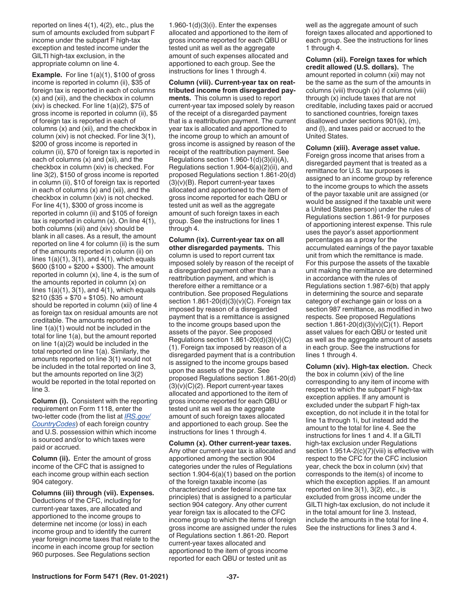reported on lines 4(1), 4(2), etc., plus the sum of amounts excluded from subpart F income under the subpart F high-tax exception and tested income under the GILTI high-tax exclusion, in the appropriate column on line 4.

**Example.** For line 1(a)(1), \$100 of gross income is reported in column (ii), \$35 of foreign tax is reported in each of columns (x) and (xii), and the checkbox in column (xiv) is checked. For line  $1(a)(2)$ , \$75 of gross income is reported in column (ii), \$5 of foreign tax is reported in each of columns (x) and (xii), and the checkbox in column (xiv) is not checked. For line 3(1), \$200 of gross income is reported in column (ii), \$70 of foreign tax is reported in each of columns (x) and (xii), and the checkbox in column (xiv) is checked. For line 3(2), \$150 of gross income is reported in column (ii), \$10 of foreign tax is reported in each of columns (x) and (xii), and the checkbox in column (xiv) is not checked. For line 4(1), \$300 of gross income is reported in column (ii) and \$105 of foreign tax is reported in column  $(x)$ . On line  $4(1)$ , both columns (xii) and (xiv) should be blank in all cases. As a result, the amount reported on line 4 for column (ii) is the sum of the amounts reported in column (ii) on lines  $1(a)(1)$ ,  $3(1)$ , and  $4(1)$ , which equals \$600 (\$100 + \$200 + \$300). The amount reported in column (x), line 4, is the sum of the amounts reported in column (x) on lines  $1(a)(1)$ ,  $3(1)$ , and  $4(1)$ , which equals \$210 (\$35 + \$70 + \$105). No amount should be reported in column (xii) of line 4 as foreign tax on residual amounts are not creditable. The amounts reported on line 1(a)(1) would not be included in the total for line 1(a), but the amount reported on line 1(a)(2) would be included in the total reported on line 1(a). Similarly, the amounts reported on line 3(1) would not be included in the total reported on line 3, but the amounts reported on line 3(2) would be reported in the total reported on line 3.

**Column (i).** Consistent with the reporting requirement on Form 1118, enter the two-letter code (from the list at *[IRS.gov/](https://www.irs.gov/countrycodes) [CountryCodes](https://www.irs.gov/countrycodes)*) of each foreign country and U.S. possession within which income is sourced and/or to which taxes were paid or accrued.

**Column (ii).** Enter the amount of gross income of the CFC that is assigned to each income group within each section 904 category.

**Columns (iii) through (vii). Expenses.**  Deductions of the CFC, including for current-year taxes, are allocated and apportioned to the income groups to determine net income (or loss) in each income group and to identify the current year foreign income taxes that relate to the income in each income group for section 960 purposes. See Regulations section

 $1.960 - 1(d)(3)(i)$ . Enter the expenses allocated and apportioned to the item of gross income reported for each QBU or tested unit as well as the aggregate amount of such expenses allocated and apportioned to each group. See the instructions for lines 1 through 4.

**Column (viii). Current-year tax on reattributed income from disregarded payments.** This column is used to report current-year tax imposed solely by reason of the receipt of a disregarded payment that is a reattribution payment. The current year tax is allocated and apportioned to the income group to which an amount of gross income is assigned by reason of the receipt of the reattribution payment. See Regulations section  $1.960-1(d)(3)(ii)(A)$ , Regulations section 1.904-6(a)(2)(ii), and proposed Regulations section 1.861-20(d) (3)(v)(B). Report current-year taxes allocated and apportioned to the item of gross income reported for each QBU or tested unit as well as the aggregate amount of such foreign taxes in each group. See the instructions for lines 1 through 4.

**Column (ix). Current-year tax on all other disregarded payments.** This column is used to report current tax imposed solely by reason of the receipt of a disregarded payment other than a reattribution payment, and which is therefore either a remittance or a contribution. See proposed Regulations section  $1.861-20(d)(3)(v)(C)$ . Foreign tax imposed by reason of a disregarded payment that is a remittance is assigned to the income groups based upon the assets of the payor. See proposed Regulations section  $1.861-20(d)(3)(v)(C)$ (1). Foreign tax imposed by reason of a disregarded payment that is a contribution is assigned to the income groups based upon the assets of the payor. See proposed Regulations section 1.861-20(d)  $(3)(v)(C)(2)$ . Report current-year taxes allocated and apportioned to the item of gross income reported for each QBU or tested unit as well as the aggregate amount of such foreign taxes allocated and apportioned to each group. See the instructions for lines 1 through 4.

**Column (x). Other current-year taxes.**  Any other current-year tax is allocated and apportioned among the section 904 categories under the rules of Regulations section 1.904-6(a)(1) based on the portion of the foreign taxable income (as characterized under federal income tax principles) that is assigned to a particular section 904 category. Any other current year foreign tax is allocated to the CFC income group to which the items of foreign gross income are assigned under the rules of Regulations section 1.861-20. Report current-year taxes allocated and apportioned to the item of gross income reported for each QBU or tested unit as

well as the aggregate amount of such foreign taxes allocated and apportioned to each group. See the instructions for lines 1 through 4.

**Column (xii). Foreign taxes for which credit allowed (U.S. dollars).** The amount reported in column (xii) may not be the same as the sum of the amounts in columns (viii) through (x) if columns (viii) through (x) include taxes that are not creditable, including taxes paid or accrued to sanctioned countries, foreign taxes disallowed under sections 901(k), (m), and (l), and taxes paid or accrued to the United States.

**Column (xiii). Average asset value.**  Foreign gross income that arises from a disregarded payment that is treated as a remittance for U.S. tax purposes is assigned to an income group by reference to the income groups to which the assets of the payor taxable unit are assigned (or would be assigned if the taxable unit were a United States person) under the rules of Regulations section 1.861-9 for purposes of apportioning interest expense. This rule uses the payor's asset apportionment percentages as a proxy for the accumulated earnings of the payor taxable unit from which the remittance is made. For this purpose the assets of the taxable unit making the remittance are determined in accordance with the rules of Regulations section 1.987-6(b) that apply in determining the source and separate category of exchange gain or loss on a section 987 remittance, as modified in two respects. See proposed Regulations section 1.861-20(d)(3)(v)(C)(1). Report asset values for each QBU or tested unit as well as the aggregate amount of assets in each group. See the instructions for lines 1 through 4.

**Column (xiv). High-tax election.** Check the box in column (xiv) of the line corresponding to any item of income with respect to which the subpart F high-tax exception applies. If any amount is excluded under the subpart F high-tax exception, do not include it in the total for line 1a through 1i, but instead add the amount to the total for line 4. See the instructions for lines 1 and 4. If a GILTI high-tax exclusion under Regulations section 1.951A-2(c)(7)(viii) is effective with respect to the CFC for the CFC inclusion year, check the box in column (xiv) that corresponds to the item(s) of income to which the exception applies. If an amount reported on line 3(1), 3(2), etc., is excluded from gross income under the GILTI high-tax exclusion, do not include it in the total amount for line 3. Instead, include the amounts in the total for line 4. See the instructions for lines 3 and 4.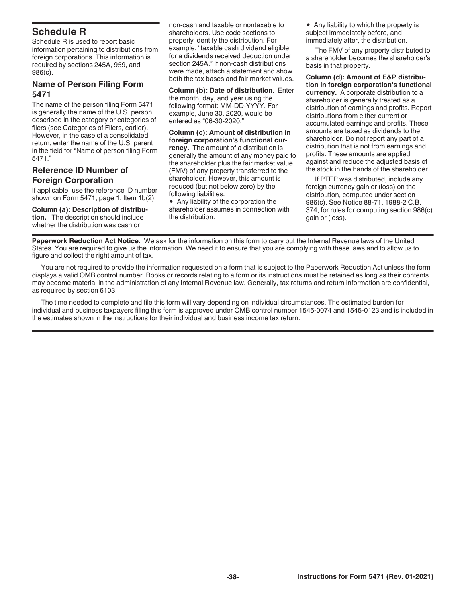# <span id="page-37-0"></span>**Schedule R**

Schedule R is used to report basic information pertaining to distributions from foreign corporations. This information is required by sections 245A, 959, and 986(c).

# **Name of Person Filing Form 5471**

The name of the person filing Form 5471 is generally the name of the U.S. person described in the category or categories of filers (see Categories of Filers, earlier). However, in the case of a consolidated return, enter the name of the U.S. parent in the field for "Name of person filing Form 5471."

# **Reference ID Number of Foreign Corporation**

If applicable, use the reference ID number shown on Form 5471, page 1, Item 1b(2).

**Column (a): Description of distribution.** The description should include whether the distribution was cash or

non-cash and taxable or nontaxable to shareholders. Use code sections to properly identify the distribution. For example, "taxable cash dividend eligible for a dividends received deduction under section 245A." If non-cash distributions were made, attach a statement and show both the tax bases and fair market values.

**Column (b): Date of distribution.** Enter the month, day, and year using the following format: MM-DD-YYYY. For example, June 30, 2020, would be entered as "06-30-2020."

**Column (c): Amount of distribution in foreign corporation's functional currency.** The amount of a distribution is generally the amount of any money paid to the shareholder plus the fair market value (FMV) of any property transferred to the shareholder. However, this amount is reduced (but not below zero) by the following liabilities.

• Any liability of the corporation the shareholder assumes in connection with the distribution.

• Any liability to which the property is subject immediately before, and immediately after, the distribution.

The FMV of any property distributed to a shareholder becomes the shareholder's basis in that property.

**Column (d): Amount of E&P distribution in foreign corporation's functional currency.** A corporate distribution to a shareholder is generally treated as a distribution of earnings and profits. Report distributions from either current or accumulated earnings and profits. These amounts are taxed as dividends to the shareholder. Do not report any part of a distribution that is not from earnings and profits. These amounts are applied against and reduce the adjusted basis of the stock in the hands of the shareholder.

If PTEP was distributed, include any foreign currency gain or (loss) on the distribution, computed under section 986(c). See Notice 88-71, 1988-2 C.B. 374, for rules for computing section 986(c) gain or (loss).

**Paperwork Reduction Act Notice.** We ask for the information on this form to carry out the Internal Revenue laws of the United States. You are required to give us the information. We need it to ensure that you are complying with these laws and to allow us to figure and collect the right amount of tax.

You are not required to provide the information requested on a form that is subject to the Paperwork Reduction Act unless the form displays a valid OMB control number. Books or records relating to a form or its instructions must be retained as long as their contents may become material in the administration of any Internal Revenue law. Generally, tax returns and return information are confidential, as required by section 6103.

The time needed to complete and file this form will vary depending on individual circumstances. The estimated burden for individual and business taxpayers filing this form is approved under OMB control number 1545-0074 and 1545-0123 and is included in the estimates shown in the instructions for their individual and business income tax return.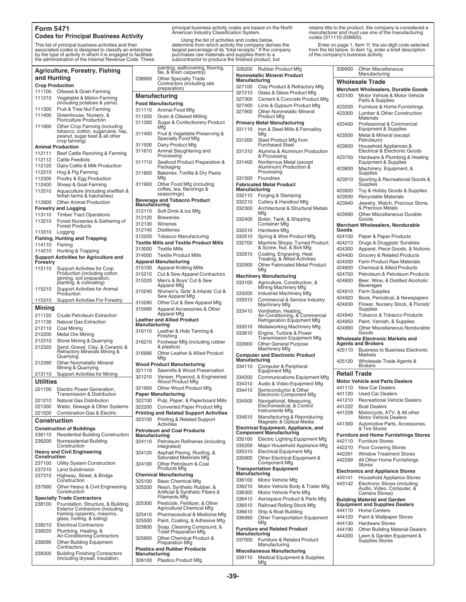#### **Form 5471 Codes for Principal Business Activity**

This list of principal business activities and their associated codes is designed to classify an enterprise by the type of activity in which it is engaged to facilitate the administration of the Internal Revenue Code. These

|                        | <b>Agriculture, Forestry, Fishing</b>                               |                         | <i>n</i> ainung, walicovenny<br>tile, & finish carpentry   |
|------------------------|---------------------------------------------------------------------|-------------------------|------------------------------------------------------------|
| and Hunting            |                                                                     | 238900                  | Other Specialty Trad                                       |
| <b>Crop Production</b> |                                                                     |                         | Contractors (including<br>preparation)                     |
| 111100                 | Oilseed & Grain Farming                                             |                         |                                                            |
| 111210                 | Vegetable & Melon Farming                                           |                         | <b>Manufacturing</b>                                       |
| 111300                 | (including potatoes & yams)<br>Fruit & Tree Nut Farming             | 311110                  | <b>Food Manufacturing</b>                                  |
| 111400                 | Greenhouse, Nursery, &                                              | 311200                  | Animal Food Mfg<br>Grain & Oilseed Millir                  |
|                        | Floriculture Production                                             | 311300                  | Sugar & Confectione                                        |
| 111900                 | Other Crop Farming (including<br>tobacco, cotton, sugarcane, hay,   | 311400                  | Mfg                                                        |
|                        | peanut, sugar beet & all other<br>crop farming)                     |                         | Fruit & Vegetable Pre<br>Specialty Food Mfg                |
|                        | <b>Animal Production</b>                                            | 311500                  | Dairy Product Mfg                                          |
| 112111                 | Beef Cattle Ranching & Farming                                      | 311610                  | Animal Slaughtering<br>Processing                          |
| 112112                 | <b>Cattle Feedlots</b>                                              | 311710                  | Seafood Product Pre                                        |
| 112120                 | Dairy Cattle & Milk Production                                      |                         | Packaging                                                  |
| 112210<br>112300       | Hog & Pig Farming<br>Poultry & Egg Production                       | 311800                  | Bakeries, Tortilla & D<br>Mfg                              |
| 112400                 | Sheep & Goat Farming                                                | 311900                  | Other Food Mfg (inclu                                      |
| 112510                 | Aquaculture (including shellfish &<br>finfish farms & hatcheries)   |                         | coffee, tea, flavorings<br>seasonings)                     |
| 112900                 | <b>Other Animal Production</b>                                      |                         | <b>Beverage and Tobacco Prod</b>                           |
|                        | <b>Forestry and Logging</b>                                         | Manufacturing           |                                                            |
| 113110                 | <b>Timber Tract Operations</b>                                      | 312110<br>312120        | Soft Drink & Ice Mfg<br><b>Breweries</b>                   |
| 113210                 | Forest Nurseries & Gathering of                                     | 312130                  | Wineries                                                   |
|                        | <b>Forest Products</b>                                              | 312140                  | <b>Distilleries</b>                                        |
| 113310                 | Logging                                                             | 312200                  | Tobacco Manufacturi                                        |
|                        | <b>Fishing, Hunting and Trapping</b>                                |                         | <b>Textile Mills and Textile Prod</b>                      |
| 114110<br>114210       | Fishing<br>Hunting & Trapping                                       | 313000                  | <b>Textile Mills</b>                                       |
|                        | <b>Support Activities for Agriculture and</b>                       | 314000                  | <b>Textile Product Mills</b>                               |
| Forestry               |                                                                     |                         | <b>Apparel Manufacturing</b>                               |
| 115110                 | <b>Support Activities for Crop</b>                                  | 315100                  | Apparel Knitting Mills                                     |
|                        | Production (including cotton<br>ginning, soil preparation,          | 315210                  | Cut & Sew Apparel C                                        |
| 115210                 | planting, & cultivating)<br>Support Activities for Animal           | 315220                  | Men's & Boys' Cut &<br>Apparel Mfg                         |
| 115310                 | Production<br><b>Support Activities For Forestry</b>                | 315240                  | Women's, Girls' & Inf<br>Sew Apparel Mfg                   |
|                        |                                                                     | 315280                  | Other Cut & Sew App                                        |
| Mining                 |                                                                     | 315990                  | <b>Apparel Accessories</b><br>Apparel Mfg                  |
| 211120<br>211130       | <b>Crude Petroleum Extraction</b><br><b>Natural Gas Extraction</b>  |                         | <b>Leather and Allied Product</b>                          |
| 212110                 | Coal Mining                                                         | Manufacturing           |                                                            |
| 212200                 | <b>Metal Ore Mining</b>                                             | 316110                  | Leather & Hide Tanni                                       |
| 212310                 | Stone Mining & Quarrying                                            | 316210                  | Finishing<br>Footwear Mfg (includ                          |
| 212320                 | Sand, Gravel, Clay, & Ceramic &<br>Refractory Minerals Mining &     | 316990                  | & plastics)<br>Other Leather & Allie                       |
|                        | Quarrying                                                           |                         | Mfg                                                        |
| 212390                 | <b>Other Nonmetallic Mineral</b><br>Mining & Quarrying              |                         | <b>Wood Product Manufacturing</b>                          |
| 213110                 | Support Activities for Mining                                       | 321110                  | Sawmills & Wood Pre                                        |
| Utilities              |                                                                     | 321210                  | Veneer, Plywood, & E<br>Wood Product Mfg                   |
| 221100                 | Electric Power Generation,                                          | 321900                  | <b>Other Wood Product</b>                                  |
|                        | <b>Transmission &amp; Distribution</b>                              |                         | <b>Paper Manufacturing</b>                                 |
| 221210                 | <b>Natural Gas Distribution</b>                                     | 322100                  | Pulp, Paper, & Paper                                       |
| 221300                 | Water, Sewage & Other Systems                                       | 322200                  | Converted Paper Pro                                        |
| 221500                 | <b>Combination Gas &amp; Electric</b>                               |                         | <b>Printing and Related Suppor</b>                         |
| <b>Construction</b>    |                                                                     | 323100                  | Printing & Related Su<br>Activities                        |
|                        | <b>Construction of Buildings</b>                                    |                         | <b>Petroleum and Coal Product:</b>                         |
| 236110<br>236200       | <b>Residential Building Construction</b><br>Nonresidential Building | Manufacturing<br>324110 | <b>Petroleum Refineries</b>                                |
|                        | Construction<br><b>Heavy and Civil Engineering</b>                  | 324120                  | integrated)<br>Asphalt Paving, Roof                        |
| Construction           |                                                                     |                         | Saturated Materials M                                      |
| 237100                 | Utility System Construction                                         | 324190                  | Other Petroleum & C                                        |
| 237210                 | <b>Land Subdivision</b>                                             |                         | Products Mfg                                               |
| 237310                 | Highway, Street, & Bridge<br>Construction                           | 325100                  | <b>Chemical Manufacturing</b><br>Basic Chemical Mfg        |
| 237990                 | Other Heavy & Civil Engineering                                     | 325200                  | Resin, Synthetic Rub                                       |
|                        | Construction<br><b>Specialty Trade Contractors</b>                  |                         | Artificial & Synthetic F<br>Filaments Mfg                  |
| 238100                 | Foundation, Structure, & Building                                   | 325300                  | Pesticide, Fertilizer, &                                   |
|                        | <b>Exterior Contractors (including</b>                              |                         | Agricultural Chemica                                       |
|                        | framing carpentry, masonry,                                         | 325410                  | Pharmaceutical & Me                                        |
| 238210                 | glass, roofing, & siding)<br><b>Electrical Contractors</b>          | 325500                  | Paint, Coating, & Adr                                      |
| 238220                 | Plumbing, Heating, &                                                | 325600                  | Soap, Cleaning Com                                         |
|                        | Air-Conditioning Contractors                                        | 325900                  | <b>Toilet Preparation Mf</b><br><b>Other Chemical Prod</b> |
| 238290                 | Other Building Equipment<br>Contractors                             |                         | Preparation Mfg<br><b>Plastics and Rubber Product</b>      |
| 238300                 | <b>Building Finishing Contractors</b>                               | Manufacturing           |                                                            |
|                        | (including drywall, insulation,                                     |                         | 326100 Plastics Product Mfg                                |

principal business activity codes are based on the North American Industry Classification System.

Using the list of activities and codes below, determine from which activity the company derives the largest percentage of its "total receipts." If the company purchases raw materials and supplies them to a subcontractor to produce the finished product, but

retains title to the product, the company is considered a manufacturer and must use one of the manufacturing codes (311110-339900).

Enter on page 1, Item 1f, the six-digit code selected from the list below. In item 1g, enter a brief description of the company's business activity.

|                                                                                       | painting, wallcovering, flooring,<br>tile, & finish carpentry)                 | 326200                                                                                         | <b>Rubber Product Mfg</b>                                                              | 339900                                     | <b>Other Miscellaneous</b><br>Manufacturing                                 |  |
|---------------------------------------------------------------------------------------|--------------------------------------------------------------------------------|------------------------------------------------------------------------------------------------|----------------------------------------------------------------------------------------|--------------------------------------------|-----------------------------------------------------------------------------|--|
| 238900<br><b>Other Specialty Trade</b><br>Contractors (including site<br>preparation) |                                                                                | <b>Nonmetallic Mineral Product</b><br>Manufacturing<br>327100<br>Clay Product & Refractory Mfg |                                                                                        | <b>Wholesale Trade</b>                     |                                                                             |  |
|                                                                                       |                                                                                |                                                                                                |                                                                                        | <b>Merchant Wholesalers, Durable Goods</b> |                                                                             |  |
|                                                                                       | Manufacturing                                                                  | 327210<br>327300                                                                               | Glass & Glass Product Mfg<br>Cement & Concrete Product Mfg                             | 423100                                     | Motor Vehicle & Motor Vehicle                                               |  |
|                                                                                       | <b>Food Manufacturing</b>                                                      | 327400                                                                                         | Lime & Gypsum Product Mfg                                                              | 423200                                     | Parts & Supplies<br>Furniture & Home Furnishings                            |  |
| 311110                                                                                | Animal Food Mfg                                                                | 327900                                                                                         | <b>Other Nonmetallic Mineral</b>                                                       | 423300                                     | Lumber & Other Construction                                                 |  |
| 311200<br>311300                                                                      | Grain & Oilseed Milling                                                        |                                                                                                | <b>Product Mfg</b>                                                                     |                                            | Materials                                                                   |  |
|                                                                                       | Sugar & Confectionery Product<br>Mfg                                           | 331110                                                                                         | <b>Primary Metal Manufacturing</b><br>Iron & Steel Mills & Ferroalloy                  | 423400                                     | Professional & Commercial<br>Equipment & Supplies                           |  |
| 311400                                                                                | Fruit & Vegetable Preserving &                                                 |                                                                                                | Mfg                                                                                    | 423500                                     | Metal & Mineral (except                                                     |  |
| 311500                                                                                | Specialty Food Mfg<br>Dairy Product Mfg                                        | 331200                                                                                         | Steel Product Mfg from<br><b>Purchased Steel</b>                                       |                                            | Petroleum)                                                                  |  |
| 311610                                                                                | Animal Slaughtering and                                                        | 331310                                                                                         | Alumina & Aluminum Production                                                          | 423600                                     | Household Appliances &<br>Electrical & Electronic Goods                     |  |
|                                                                                       | Processing                                                                     |                                                                                                | & Processing                                                                           | 423700                                     | Hardware & Plumbing & Heating                                               |  |
| 311710                                                                                | Seafood Product Preparation &<br>Packaging                                     | 331400                                                                                         | Nonferrous Metal (except<br>Aluminum) Production &                                     |                                            | <b>Equipment &amp; Supplies</b>                                             |  |
| 311800                                                                                | Bakeries, Tortilla & Dry Pasta                                                 |                                                                                                | Processing                                                                             | 423800                                     | Machinery, Equipment, &<br>Supplies                                         |  |
|                                                                                       | Mfg                                                                            | 331500                                                                                         | Foundries                                                                              | 423910                                     | Sporting & Recreational Goods &                                             |  |
| 311900                                                                                | Other Food Mfg (including<br>coffee, tea, flavorings &                         | Manufacturing                                                                                  | <b>Fabricated Metal Product</b>                                                        | 423920                                     | Supplies<br>Toy & Hobby Goods & Supplies                                    |  |
|                                                                                       | seasonings)                                                                    | 332110                                                                                         | Forging & Stamping                                                                     | 423930                                     | <b>Recyclable Materials</b>                                                 |  |
| Manufacturing                                                                         | <b>Beverage and Tobacco Product</b>                                            | 332210                                                                                         | Cutlery & Handtool Mfg                                                                 | 423940                                     | Jewelry, Watch, Precious Stone,                                             |  |
| 312110                                                                                | Soft Drink & Ice Mfg                                                           | 332300                                                                                         | Architectural & Structural Metals<br>Mfg                                               |                                            | & Precious Metals                                                           |  |
| 312120                                                                                | <b>Breweries</b>                                                               | 332400                                                                                         | Boiler, Tank, & Shipping                                                               | 423990                                     | <b>Other Miscellaneous Durable</b><br>Goods                                 |  |
| 312130                                                                                | Wineries                                                                       |                                                                                                | <b>Container Mfg</b>                                                                   |                                            | Merchant Wholesalers, Nondurable                                            |  |
| 312140                                                                                | <b>Distilleries</b>                                                            | 332510                                                                                         | Hardware Mfg                                                                           | Goods                                      |                                                                             |  |
| 312200                                                                                | <b>Tobacco Manufacturing</b><br><b>Textile Mills and Textile Product Mills</b> | 332610<br>332700                                                                               | Spring & Wire Product Mfg<br>Machine Shops; Turned Product;                            | 424100<br>424210                           | Paper & Paper Products<br>Drugs & Druggists' Sundries                       |  |
| 313000                                                                                | <b>Textile Mills</b>                                                           |                                                                                                | & Screw, Nut, & Bolt Mfg                                                               | 424300                                     | Apparel, Piece Goods, & Notions                                             |  |
| 314000                                                                                | <b>Textile Product Mills</b>                                                   | 332810                                                                                         | Coating, Engraving, Heat<br>Treating, & Allied Activities                              | 424400                                     | Grocery & Related Products                                                  |  |
|                                                                                       | <b>Apparel Manufacturing</b>                                                   | 332900                                                                                         | <b>Other Fabricated Metal Product</b>                                                  | 424500                                     | Farm Product Raw Materials                                                  |  |
| 315100<br>315210                                                                      | <b>Apparel Knitting Mills</b>                                                  |                                                                                                | Mfg                                                                                    | 424600<br>424700                           | <b>Chemical &amp; Allied Products</b><br>Petroleum & Petroleum Products     |  |
| 315220                                                                                | Cut & Sew Apparel Contractors<br>Men's & Boys' Cut & Sew                       |                                                                                                | <b>Machinery Manufacturing</b>                                                         | 424800                                     | Beer, Wine, & Distilled Alcoholic                                           |  |
|                                                                                       | Apparel Mfg                                                                    | 333100                                                                                         | Agriculture, Construction, &<br>Mining Machinery Mfg                                   |                                            | <b>Beverages</b>                                                            |  |
| 315240                                                                                | Women's, Girls' & Infants' Cut &<br>Sew Apparel Mfg                            | 333200                                                                                         | Industrial Machinery Mfg                                                               | 424910                                     | <b>Farm Supplies</b>                                                        |  |
| 315280                                                                                | Other Cut & Sew Apparel Mfg                                                    | 333310                                                                                         | Commercial & Service Industry<br><b>Machinery Mfg</b>                                  | 424920<br>424930                           | Book, Periodical, & Newspapers<br>Flower, Nursery Stock, & Florists'        |  |
| 315990                                                                                | Apparel Accessories & Other                                                    | 333410                                                                                         |                                                                                        |                                            | Supplies                                                                    |  |
|                                                                                       | Apparel Mfg<br><b>Leather and Allied Product</b>                               |                                                                                                | Ventilation, Heating,<br>Air-Conditioning, & Commercial<br>Refrigeration Equipment Mfg | 424940                                     | Tobacco & Tobacco Products                                                  |  |
|                                                                                       |                                                                                |                                                                                                |                                                                                        | 424950                                     | Paint, Varnish, & Supplies                                                  |  |
| Manufacturing                                                                         |                                                                                |                                                                                                |                                                                                        |                                            |                                                                             |  |
| 316110                                                                                | Leather & Hide Tanning &                                                       | 333510<br>333610                                                                               | Metalworking Machinery Mfg<br>Engine, Turbine & Power                                  | 424990                                     | Other Miscellaneous Nondurable<br>Goods                                     |  |
|                                                                                       | Finishing                                                                      |                                                                                                | <b>Transmission Equipment Mfg</b>                                                      |                                            | <b>Wholesale Electronic Markets and</b>                                     |  |
| 316210                                                                                | Footwear Mfg (including rubber<br>& plastics)                                  | 333900                                                                                         | <b>Other General Purpose</b><br>Machinery Mfg                                          |                                            | <b>Agents and Brokers</b>                                                   |  |
| 316990                                                                                | Other Leather & Allied Product                                                 |                                                                                                | <b>Computer and Electronic Product</b>                                                 | 425110                                     | <b>Business to Business Electronic</b><br>Markets                           |  |
|                                                                                       | Mfg<br><b>Wood Product Manufacturing</b>                                       | Manufacturing                                                                                  |                                                                                        | 425120                                     | Wholesale Trade Agents &                                                    |  |
| 321110                                                                                | Sawmills & Wood Preservation                                                   | 334110                                                                                         | Computer & Peripheral<br><b>Equipment Mfg</b>                                          |                                            | <b>Brokers</b>                                                              |  |
| 321210                                                                                | Veneer, Plywood, & Engineered                                                  | 334200                                                                                         | Communications Equipment Mfg                                                           | <b>Retail Trade</b>                        |                                                                             |  |
| 321900                                                                                | Wood Product Mfg<br>Other Wood Product Mfg                                     | 334310                                                                                         | Audio & Video Equipment Mfg                                                            | 441110                                     | <b>Motor Vehicle and Parts Dealers</b><br><b>New Car Dealers</b>            |  |
|                                                                                       | <b>Paper Manufacturing</b>                                                     | 334410                                                                                         | Semiconductor & Other<br>Electronic Component Mfg                                      | 441120                                     | <b>Used Car Dealers</b>                                                     |  |
|                                                                                       | 322100 Pulp, Paper, & Paperboard Mills                                         | 334500                                                                                         | Navigational, Measuring,                                                               | 441210                                     | <b>Recreational Vehicle Dealers</b>                                         |  |
|                                                                                       | 322200 Converted Paper Product Mfg                                             |                                                                                                | Electromedical, & Control<br>Instruments Mfg                                           | 441222                                     | <b>Boat Dealers</b>                                                         |  |
| 323100                                                                                | <b>Printing and Related Support Activities</b>                                 | 334610                                                                                         | Manufacturing & Reproducing                                                            | 441228                                     | Motorcycle, ATV, & All other<br><b>Motor Vehicle Dealers</b>                |  |
|                                                                                       | Printing & Related Support<br>Activities                                       |                                                                                                | Magnetic & Optical Media                                                               | 441300                                     | Automotive Parts, Accessories,                                              |  |
|                                                                                       | <b>Petroleum and Coal Products</b>                                             |                                                                                                | Electrical Equipment, Appliance, and<br>Component Manufacturing                        |                                            | & Tire Stores<br><b>Furniture and Home Furnishings Stores</b>               |  |
| Manufacturing<br>324110                                                               | Petroleum Refineries (including                                                | 335100                                                                                         | <b>Electric Lighting Equipment Mfg</b>                                                 | 442110                                     | <b>Furniture Stores</b>                                                     |  |
|                                                                                       | integrated)                                                                    | 335200                                                                                         | Major Household Appliance Mfg                                                          | 442210                                     | <b>Floor Covering Stores</b>                                                |  |
| 324120                                                                                | Asphalt Paving, Roofing, &<br>Saturated Materials Mfg                          | 335310                                                                                         | <b>Electrical Equipment Mfg</b>                                                        | 442291                                     | <b>Window Treatment Stores</b>                                              |  |
| 324190                                                                                | Other Petroleum & Coal                                                         | 335900                                                                                         | Other Electrical Equipment &<br><b>Component Mfg</b>                                   | 442299                                     | All Other Home Furnishings<br><b>Stores</b>                                 |  |
|                                                                                       | Products Mfg<br><b>Chemical Manufacturing</b>                                  |                                                                                                | <b>Transportation Equipment</b><br>Manufacturing                                       |                                            | <b>Electronics and Appliance Stores</b>                                     |  |
| 325100                                                                                | <b>Basic Chemical Mfg</b>                                                      | 336100                                                                                         | Motor Vehicle Mfg                                                                      | 443141                                     | Household Appliance Stores                                                  |  |
| 325200                                                                                | Resin, Synthetic Rubber, &<br>Artificial & Synthetic Fibers &                  | 336210<br>336300                                                                               | Motor Vehicle Body & Trailer Mfg<br>Motor Vehicle Parts Mfg                            | 443142                                     | Electronic Stores (including<br>Audio, Video, Computer, &<br>Camera Stores) |  |
|                                                                                       | <b>Filaments Mfg</b>                                                           | 336410                                                                                         | Aerospace Product & Parts Mfg                                                          |                                            | <b>Building Material and Garden</b>                                         |  |
| 325300                                                                                | Pesticide, Fertilizer, & Other<br><b>Agricultural Chemical Mfg</b>             | 336510                                                                                         | Railroad Rolling Stock Mfg                                                             |                                            | <b>Equipment and Supplies Dealers</b>                                       |  |
| 325410                                                                                | Pharmaceutical & Medicine Mfg                                                  | 336610                                                                                         | Ship & Boat Building                                                                   | 444110<br>444120                           | <b>Home Centers</b><br>Paint & Wallpaper Stores                             |  |
| 325500                                                                                | Paint, Coating, & Adhesive Mfg                                                 | 336990                                                                                         | Other Transportation Equipment<br>Mfg                                                  | 444130                                     | <b>Hardware Stores</b>                                                      |  |
| 325600                                                                                | Soap, Cleaning Compound, &<br><b>Toilet Preparation Mfg</b>                    | Manufacturing                                                                                  | <b>Furniture and Related Product</b>                                                   | 444190                                     | <b>Other Building Material Dealers</b>                                      |  |
| 325900                                                                                | Other Chemical Product &<br><b>Preparation Mfg</b>                             | 337000                                                                                         | Furniture & Related Product                                                            | 444200                                     | Lawn & Garden Equipment &<br><b>Supplies Stores</b>                         |  |
|                                                                                       | <b>Plastics and Rubber Products</b>                                            |                                                                                                | Manufacturing<br><b>Miscellaneous Manufacturing</b>                                    |                                            |                                                                             |  |
| Manufacturing                                                                         | 326100 Plastics Product Mfg                                                    | 339110                                                                                         | Medical Equipment & Supplies<br>Mfg                                                    |                                            |                                                                             |  |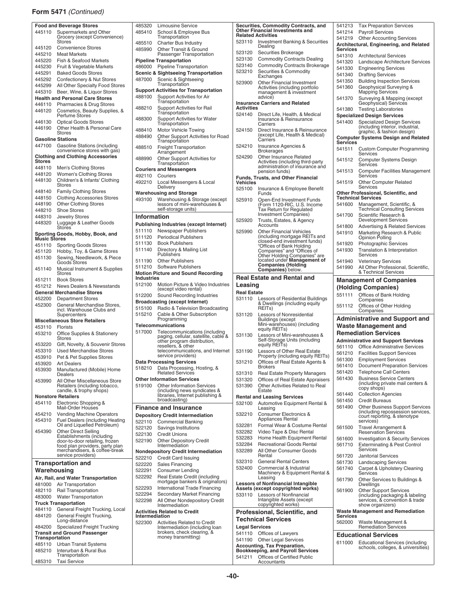#### **Form 5471** *(Continued)*

|                          | <b>Food and Beverage Stores</b>                                           | 485                   |
|--------------------------|---------------------------------------------------------------------------|-----------------------|
| 445110                   | Supermarkets and Other<br>Grocery (except Convenience)<br>Stores          | 4854<br>485           |
| 445120                   | <b>Convenience Stores</b>                                                 | 485                   |
| 445210                   | <b>Meat Markets</b>                                                       |                       |
| 445220                   | Fish & Seafood Markets                                                    | Pipe                  |
| 445230<br>445291         | Fruit & Vegetable Markets<br><b>Baked Goods Stores</b>                    | 4860<br>Sce           |
| 445292                   | Confectionery & Nut Stores                                                | 4870                  |
| 445299                   | All Other Specialty Food Stores                                           |                       |
| 445310                   | Beer, Wine, & Liquor Stores                                               | Sup                   |
| 446110                   | <b>Health and Personal Care Stores</b>                                    | 488                   |
| 446120                   | Pharmacies & Drug Stores<br>Cosmetics, Beauty Supplies, &                 | 4882                  |
|                          | Perfume Stores                                                            | 488                   |
| 446130                   | <b>Optical Goods Stores</b>                                               |                       |
| 446190                   | Other Health & Personal Care<br><b>Stores</b>                             | 4884                  |
|                          | <b>Gasoline Stations</b>                                                  | 4884                  |
| 447100                   | Gasoline Stations (including                                              | 488                   |
|                          | convenience stores with gas)<br><b>Clothing and Clothing Accessories</b>  |                       |
| Stores                   |                                                                           | 4889                  |
| 448110                   | Men's Clothing Stores                                                     | Cou                   |
| 448120                   | Women's Clothing Stores                                                   | 492                   |
| 448130                   | Children's & Infants' Clothing<br><b>Stores</b>                           | 4922                  |
| 448140                   | <b>Family Clothing Stores</b>                                             | War                   |
| 448150                   | <b>Clothing Accessories Stores</b>                                        | 493                   |
| 448190                   | <b>Other Clothing Stores</b>                                              |                       |
| 448210<br>448310         | <b>Shoe Stores</b><br><b>Jewelry Stores</b>                               | Info                  |
| 448320                   | Luggage & Leather Goods                                                   | Pub                   |
|                          | <b>Stores</b>                                                             | 511'                  |
| <b>Music Stores</b>      | Sporting Goods, Hobby, Book, and                                          | 511'                  |
| 451110                   | <b>Sporting Goods Stores</b>                                              | 511'                  |
| 451120                   | Hobby, Toy, & Game Stores                                                 | 511'                  |
| 451130                   | Sewing, Needlework, & Piece<br>Goods Stores                               | 511'                  |
| 451140                   | Musical Instrument & Supplies                                             | 5112                  |
|                          | <b>Stores</b>                                                             | Mot                   |
| 451211                   | <b>Book Stores</b>                                                        | Indu<br>$512^{\circ}$ |
| 451212                   | <b>News Dealers &amp; Newsstands</b><br><b>General Merchandise Stores</b> |                       |
| 452200                   | <b>Department Stores</b>                                                  | 5122                  |
| 452300                   | General Merchandise Stores,                                               | Bro<br>515            |
|                          | incl. Warehouse Clubs and<br>Supercenters                                 | 5152                  |
|                          | <b>Miscellaneous Store Retailers</b>                                      |                       |
| 453110                   | <b>Florists</b>                                                           | Tele<br>5170          |
| 453210                   | <b>Office Supplies &amp; Stationery</b><br>Stores                         |                       |
| 453220                   | Gift, Novelty, & Souvenir Stores                                          |                       |
| 453310                   | <b>Used Merchandise Stores</b>                                            |                       |
| 453910                   | Pet & Pet Supplies Stores                                                 | Data                  |
| 453920<br>453930         | Art Dealers<br>Manufactured (Mobile) Home                                 | 5182                  |
|                          | Dealers                                                                   |                       |
| 453990                   | All Other Miscellaneous Store                                             | Oth                   |
|                          | Retailers (including tobacco,<br>candle, & trophy shops)                  | 519                   |
|                          | <b>Nonstore Retailers</b>                                                 |                       |
| 454110                   | Electronic Shopping &<br>Mail-Order Houses                                | Fin                   |
| 454210                   | <b>Vending Machine Operators</b>                                          | Dep                   |
| 454310                   | <b>Fuel Dealers (including Heating</b>                                    | $522 -$               |
|                          | Oil and Liquefied Petroleum)                                              | $522 -$               |
| 454390                   | <b>Other Direct Selling</b><br>Establishments (including                  | $522 -$               |
|                          | door-to-door retailing, frozen<br>food plan providers, party plan         | $522 -$               |
|                          | merchandisers, & coffee-break                                             | Non                   |
|                          | service providers)                                                        | 5222                  |
|                          | <b>Transportation and</b>                                                 | 5222                  |
| Warehousing              |                                                                           | 5222<br>5222          |
| 481000                   | Air, Rail, and Water Transportation<br>Air Transportation                 |                       |
| 482110                   | Rail Transportation                                                       | 5222                  |
| 483000                   | <b>Water Transportation</b>                                               | 5222                  |
|                          | <b>Truck Transportation</b>                                               | 5222                  |
| 484110                   | General Freight Trucking, Local                                           | Acti                  |
| 484120                   | General Freight Trucking,                                                 |                       |
|                          | Long-distance                                                             | Inte                  |
| 484200                   | Specialized Freight Trucking                                              | 5223                  |
|                          | <b>Transit and Ground Passenger</b>                                       |                       |
| Transportation<br>485110 | <b>Urban Transit Systems</b>                                              |                       |
| 485210                   | Interurban & Rural Bus                                                    |                       |
| 485310                   | Transportation<br><b>Taxi Service</b>                                     |                       |

| 485320<br>485410            | Limousine Service<br>School & Employee Bus                             |                       | <b>Securities, Commodity Contract</b><br><b>Other Financial Investments and</b> |
|-----------------------------|------------------------------------------------------------------------|-----------------------|---------------------------------------------------------------------------------|
| 485510                      | Transportation<br><b>Charter Bus Industry</b>                          | 523110                | <b>Related Activities</b><br>Investment Banking & Se                            |
| 485990                      | Other Transit & Ground                                                 |                       | Dealing                                                                         |
|                             | Passenger Transportation                                               | 523120                | Securities Brokerage                                                            |
|                             | <b>Pipeline Transportation</b>                                         | 523130                | <b>Commodity Contracts De</b>                                                   |
| 486000                      | <b>Pipeline Transportation</b>                                         | 523140                | <b>Commodity Contracts Br</b>                                                   |
|                             | <b>Scenic &amp; Sightseeing Transportation</b>                         | 523210                | Securities & Commodity<br>Exchanges                                             |
| 487000                      | Scenic & Sightseeing<br>Transportation                                 | 523900                | Other Financial Investme                                                        |
|                             | <b>Support Activities for Transportation</b>                           |                       | Activities (including portf<br>management & investme                            |
| 488100                      | Support Activities for Air<br>Transportation                           |                       | advice)<br><b>Insurance Carriers and Related</b>                                |
| 488210                      | Support Activities for Rail                                            | Activities            |                                                                                 |
| 488300                      | Transportation<br><b>Support Activities for Water</b>                  | 524140                | Direct Life, Health, & Me<br>Insurance & Reinsurance                            |
| 488410                      | Transportation<br>Motor Vehicle Towing                                 | 524150                | Carriers<br>Direct Insurance & Reins                                            |
| 488490                      | Other Support Activities for Road<br>Transportation                    |                       | (except Life, Health & Me<br>Carriers                                           |
| 488510                      | <b>Freight Transportation</b>                                          | 524210                | Insurance Agencies &<br><b>Brokerages</b>                                       |
| 488990                      | Arrangement<br>Other Support Activities for                            | 524290                | Other Insurance Related                                                         |
|                             | Transportation<br><b>Couriers and Messengers</b>                       |                       | Activities (including third-<br>administration of insuran                       |
| 492110                      | Couriers                                                               |                       | pension funds)<br><b>Funds, Trusts, and Other Finand</b>                        |
| 492210                      | Local Messengers & Local<br>Delivery                                   | Vehicles              |                                                                                 |
|                             | <b>Warehousing and Storage</b>                                         | 525100                | Insurance & Employee B<br>Funds                                                 |
| 493100                      | Warehousing & Storage (except<br>lessors of mini-warehouses &          | 525910                | Open-End Investment Fu                                                          |
|                             | self-storage units)                                                    |                       | (Form 1120-RIC, U.S. In<br>Tax Return for Regulated                             |
| Information                 |                                                                        | 525920                | Investment Companies)<br>Trusts, Estates, & Agenc                               |
|                             | Publishing Industries (except Internet)                                |                       | Accounts                                                                        |
| 511110<br>511120            | <b>Newspaper Publishers</b><br><b>Periodical Publishers</b>            | 525990                | Other Financial Vehicles<br>(including mortgage REI <sup>-</sup>                |
| 511130                      |                                                                        |                       | closed-end investment fu                                                        |
| 511140                      | <b>Book Publishers</b><br>Directory & Mailing List                     |                       | "Offices of Bank Holding                                                        |
|                             | Publishers                                                             |                       | Companies" and "Offices                                                         |
| 511190                      | <b>Other Publishers</b>                                                |                       | Other Holding Companie<br>located under Managem                                 |
| 511210                      | Software Publishers                                                    |                       | <b>Companies (Holding</b>                                                       |
|                             | <b>Motion Picture and Sound Recording</b>                              |                       | <b>Companies</b> ) below.                                                       |
| <b>Industries</b><br>512100 | Motion Picture & Video Industries                                      |                       | <b>Real Estate and Rental an</b>                                                |
|                             | (except video rental)                                                  | Leasing               |                                                                                 |
| 512200                      | Sound Recording Industries                                             | <b>Real Estate</b>    |                                                                                 |
|                             | <b>Broadcasting (except Internet)</b>                                  | 531110                | Lessors of Residential Br<br>& Dwellings (including ed                          |
| 515100                      | Radio & Television Broadcasting                                        |                       | REITs)                                                                          |
| 515210                      | Cable & Other Subscription<br>Programming                              | 531120                | Lessors of Nonresidentia                                                        |
|                             | Telecommunications                                                     |                       | Buildings (except<br>Mini-warehouses) (includ                                   |
| 517000                      | Telecommunications (including                                          |                       | equity REITs)                                                                   |
|                             | paging, cellular, satellite, cable &                                   | 531130                | Lessors of Mini-warehou                                                         |
|                             | other program distribution,                                            |                       | Self-Storage Units (inclu<br>equity REITs)                                      |
|                             | resellers, & other<br>telecommunications, and Internet                 | 531190                | Lessors of Other Real Es                                                        |
|                             | service providers)                                                     |                       | Property (including equit                                                       |
|                             | <b>Data Processing Services</b>                                        | 531210                | Offices of Real Estate Ac                                                       |
| 518210                      | Data Processing, Hosting, &                                            |                       | <b>Brokers</b>                                                                  |
|                             | <b>Related Services</b>                                                | 531310                | Real Estate Property Ma                                                         |
|                             | <b>Other Information Services</b><br><b>Other Information Services</b> | 531320                | Offices of Real Estate Ap                                                       |
| 519100                      | (including news syndicates &                                           | 531390                | <b>Other Activities Related t</b><br>Estate                                     |
|                             | libraries, Internet publishing &                                       |                       | <b>Rental and Leasing Services</b>                                              |
|                             | broadcasting)                                                          | 532100                | <b>Automotive Equipment R</b>                                                   |
|                             | <b>Finance and Insurance</b>                                           | 532210                | Leasing<br>Consumer Electronics &                                               |
|                             | Depository Credit Intermediation                                       |                       | Appliances Rental                                                               |
| 522110                      | <b>Commercial Banking</b>                                              | 532281                | Formal Wear & Costume                                                           |
| 522120                      | Savings Institutions                                                   | 532282                | Video Tape & Disc Renta                                                         |
| 522130                      | <b>Credit Unions</b>                                                   | 532283                | Home Health Equipment                                                           |
| 522190                      | <b>Other Depository Credit</b><br>Intermediation                       | 532284                | <b>Recreational Goods Ren</b>                                                   |
|                             | <b>Nondepository Credit Intermediation</b>                             | 532289                | All Other Consumer Goo                                                          |
| 522210                      | Credit Card Issuing                                                    |                       | Rental                                                                          |
| 522220                      | <b>Sales Financing</b>                                                 | 532310                | <b>General Rental Centers</b>                                                   |
| 522291                      | Consumer Lending                                                       | 532400                | Commercial & Industrial                                                         |
| 522292                      | Real Estate Credit (including                                          |                       | Machinery & Equipment<br>Leasing                                                |
|                             | mortgage bankers & originators)                                        |                       | <b>Lessors of Nonfinancial Intangib</b>                                         |
| 522293                      | International Trade Financing                                          |                       | Assets (except copyrighted wor                                                  |
| 522294                      | Secondary Market Financing                                             | 533110                | Lessors of Nonfinancial                                                         |
| 522298                      | All Other Nondepository Credit<br>Intermediation                       |                       | Intangible Assets (excep<br>copyrighted works)                                  |
| Intermediation              | <b>Activities Related to Credit</b>                                    |                       | Professional, Scientific, are                                                   |
|                             |                                                                        |                       | <b>Technical Services</b>                                                       |
| 522300                      | <b>Activities Related to Credit</b>                                    |                       |                                                                                 |
|                             | Intermediation (including loan                                         | <b>Legal Services</b> |                                                                                 |
|                             | brokers, check clearing, &                                             | 541110                | Offices of Lawyers                                                              |
|                             | money transmitting)                                                    | 541190                | <b>Other Legal Services</b><br><b>Accounting, Tax Preparation,</b>              |

541211 Offices of Certified Public Accountants

|                    | Securities, Commodity Contracts, and<br>Other Financial Investments and    | 541213<br>541214                                    | <b>Tax Preparation Services</b><br><b>Payroll Services</b>                            |
|--------------------|----------------------------------------------------------------------------|-----------------------------------------------------|---------------------------------------------------------------------------------------|
|                    | <b>Related Activities</b>                                                  | 541219                                              | <b>Other Accounting Services</b>                                                      |
| 523110             | <b>Investment Banking &amp; Securities</b><br>Dealing                      | Architectural, Engineering, and Related<br>Services |                                                                                       |
| 523120             | Securities Brokerage                                                       | 541310                                              | <b>Architectural Services</b>                                                         |
| 523130<br>523140   | <b>Commodity Contracts Dealing</b><br><b>Commodity Contracts Brokerage</b> | 541320                                              | Landscape Architecture Services                                                       |
| 523210             | Securities & Commodity                                                     | 541330                                              | <b>Engineering Services</b>                                                           |
|                    | Exchanges                                                                  | 541340                                              | <b>Drafting Services</b>                                                              |
| 523900             | Other Financial Investment                                                 | 541350                                              | <b>Building Inspection Services</b>                                                   |
|                    | Activities (including portfolio                                            | 541360                                              | Geophysical Surveying &                                                               |
|                    | management & investment<br>advice)                                         | 541370                                              | <b>Mapping Services</b><br>Surveying & Mapping (except                                |
|                    | <b>Insurance Carriers and Related</b>                                      |                                                     | Geophysical) Services                                                                 |
| Activities         |                                                                            | 541380                                              | <b>Testing Laboratories</b>                                                           |
| 524140             | Direct Life, Health, & Medical                                             |                                                     | <b>Specialized Design Services</b>                                                    |
|                    | Insurance & Reinsurance<br>Carriers                                        | 541400                                              | Specialized Design Services                                                           |
| 524150             | Direct Insurance & Reinsurance                                             |                                                     | (including interior, industrial,                                                      |
|                    | (except Life, Health & Medical)                                            |                                                     | graphic, & fashion design)<br><b>Computer Systems Design and Related</b>              |
|                    | Carriers                                                                   | Services                                            |                                                                                       |
| 524210             | Insurance Agencies &<br>Brokerages                                         | 541511                                              | <b>Custom Computer Programming</b>                                                    |
| 524290             | Other Insurance Related                                                    |                                                     | Services                                                                              |
|                    | Activities (including third-party                                          | 541512                                              | Computer Systems Design<br>Services                                                   |
|                    | administration of insurance and<br>pension funds)                          | 541513                                              | <b>Computer Facilities Management</b>                                                 |
|                    | <b>Funds, Trusts, and Other Financial</b>                                  |                                                     | Services                                                                              |
| Vehicles           |                                                                            | 541519                                              | <b>Other Computer Related</b>                                                         |
| 525100             | Insurance & Employee Benefit                                               |                                                     | Services                                                                              |
|                    | Funds                                                                      |                                                     | Other Professional, Scientific, and                                                   |
| 525910             | Open-End Investment Funds                                                  | 541600                                              | <b>Technical Services</b><br>Management, Scientific, &                                |
|                    | (Form 1120-RIC, U.S. Income<br>Tax Return for Regulated                    |                                                     | <b>Technical Consulting Services</b>                                                  |
|                    | Investment Companies)                                                      | 541700                                              | Scientific Research &                                                                 |
| 525920             | Trusts, Estates, & Agency                                                  |                                                     | <b>Development Services</b>                                                           |
|                    | Accounts                                                                   | 541800                                              | <b>Advertising &amp; Related Services</b>                                             |
| 525990             | <b>Other Financial Vehicles</b><br>(including mortgage REITs and           | 541910                                              | Marketing Research & Public<br>Opinion Polling                                        |
|                    | closed-end investment funds)                                               | 541920                                              | <b>Photographic Services</b>                                                          |
|                    | "Offices of Bank Holding<br>Companies" and "Offices of                     | 541930                                              | Translation & Interpretation                                                          |
|                    |                                                                            |                                                     | Services                                                                              |
|                    | Other Holding Companies" are<br>located under <b>Management of</b>         | 541940                                              | <b>Veterinary Services</b>                                                            |
|                    | <b>Companies (Holding</b><br><b>Companies</b> ) below.                     | 541990                                              | All Other Professional, Scientific,                                                   |
|                    | <b>Real Estate and Rental and</b>                                          |                                                     | & Technical Services                                                                  |
| Leasing            |                                                                            |                                                     | <b>Management of Companies</b>                                                        |
| <b>Real Estate</b> |                                                                            |                                                     | (Holding Companies)                                                                   |
| 531110             | Lessors of Residential Buildings                                           | 551111                                              | Offices of Bank Holding<br>Companies                                                  |
|                    | & Dwellings (including equity                                              |                                                     | Offices of Other Holding                                                              |
|                    |                                                                            |                                                     |                                                                                       |
|                    | REITs)                                                                     | 551112                                              | Companies                                                                             |
| 531120             | Lessors of Nonresidential                                                  |                                                     |                                                                                       |
|                    | Buildings (except<br>Mini-warehouses) (including                           |                                                     | <b>Administrative and Support and</b>                                                 |
|                    | equity REITs)                                                              |                                                     | Waste Management and                                                                  |
| 531130             | Lessors of Mini-warehouses &                                               |                                                     | <b>Remediation Services</b>                                                           |
|                    | Self-Storage Units (including<br>equity REITs)                             |                                                     | <b>Administrative and Support Services</b>                                            |
| 531190             | Lessors of Other Real Estate                                               | 561110                                              | <b>Office Administrative Services</b>                                                 |
|                    | Property (including equity REITs)                                          | 561210<br>561300                                    | <b>Facilities Support Services</b>                                                    |
| 531210             | Offices of Real Estate Agents &                                            | 561410                                              | <b>Employment Services</b><br><b>Document Preparation Services</b>                    |
|                    | <b>Brokers</b>                                                             | 561420                                              | <b>Telephone Call Centers</b>                                                         |
| 531310             | <b>Real Estate Property Managers</b>                                       | 561430                                              | <b>Business Service Centers</b>                                                       |
| 531320<br>531390   | Offices of Real Estate Appraisers<br>Other Activities Related to Real      |                                                     | (including private mail centers &                                                     |
|                    | Estate                                                                     |                                                     | copy shops)                                                                           |
|                    | <b>Rental and Leasing Services</b>                                         | 561440                                              | <b>Collection Agencies</b>                                                            |
| 532100             | Automotive Equipment Rental &                                              | 561450                                              | <b>Credit Bureaus</b>                                                                 |
|                    | Leasing                                                                    | 561490                                              | Other Business Support Services<br>(including repossession services,                  |
| 532210             | Consumer Electronics &                                                     |                                                     | court reporting, & stenotype                                                          |
| 532281             | Appliances Rental<br>Formal Wear & Costume Rental                          |                                                     | services)                                                                             |
| 532282             | Video Tape & Disc Rental                                                   | 561500                                              | Travel Arrangement &<br><b>Reservation Services</b>                                   |
| 532283             | Home Health Equipment Rental                                               | 561600                                              | <b>Investigation &amp; Security Services</b>                                          |
| 532284             | <b>Recreational Goods Rental</b>                                           | 561710                                              | <b>Exterminating &amp; Pest Control</b>                                               |
| 532289             | All Other Consumer Goods                                                   |                                                     | Services                                                                              |
|                    | Rental                                                                     | 561720                                              | <b>Janitorial Services</b>                                                            |
| 532310             | <b>General Rental Centers</b>                                              | 561730                                              | <b>Landscaping Services</b>                                                           |
| 532400             | Commercial & Industrial                                                    | 561740                                              | Carpet & Upholstery Cleaning                                                          |
|                    | Machinery & Equipment Rental &<br>Leasing                                  |                                                     | Services                                                                              |
|                    | Lessors of Nonfinancial Intangible                                         | 561790                                              | Other Services to Buildings &<br>Dwellings                                            |
|                    | Assets (except copyrighted works)                                          | 561900                                              | Other Support Services                                                                |
| 533110             | Lessors of Nonfinancial                                                    |                                                     |                                                                                       |
|                    | Intangible Assets (except<br>copyrighted works)                            |                                                     | (including packaging & labeling<br>services, & convention & trade<br>show organizers) |
|                    | Professional, Scientific, and                                              |                                                     | <b>Waste Management and Remediation</b>                                               |
|                    | <b>Technical Services</b>                                                  | Services                                            |                                                                                       |
| Legal Services     |                                                                            | 562000                                              | Waste Management &<br><b>Remediation Services</b>                                     |
| 541110             | Offices of Lawyers                                                         |                                                     | <b>Educational Services</b>                                                           |
| 541190             | <b>Other Legal Services</b><br><b>Accounting, Tax Preparation,</b>         | 611000                                              | <b>Educational Services (including</b><br>schools, colleges, & universities)          |